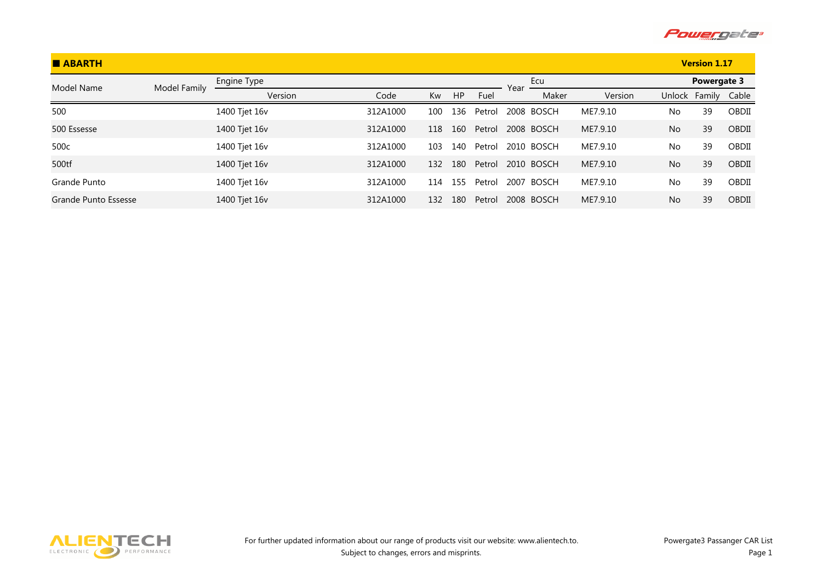

| <b>BABARTH</b>       |              |               |          |     |     |        |      |            |          |           | <b>Version 1.17</b> |       |
|----------------------|--------------|---------------|----------|-----|-----|--------|------|------------|----------|-----------|---------------------|-------|
| Model Name           | Model Family | Engine Type   |          |     |     |        | Year | Ecu        |          |           | Powergate 3         |       |
|                      |              | Version       | Code     | Kw  | HP  | Fuel   |      | Maker      | Version  | Unlock    | Family              | Cable |
| 500                  |              | 1400 Tjet 16v | 312A1000 | 100 | 136 | Petrol |      | 2008 BOSCH | ME7.9.10 | No        | 39                  | OBDII |
| 500 Essesse          |              | 1400 Tjet 16v | 312A1000 | 118 | 160 | Petrol |      | 2008 BOSCH | ME7.9.10 | No        | 39                  | OBDII |
| 500c                 |              | 1400 Tjet 16v | 312A1000 | 103 | 140 | Petrol |      | 2010 BOSCH | ME7.9.10 | No        | 39                  | OBDII |
| 500tf                |              | 1400 Tjet 16v | 312A1000 | 132 | 180 | Petrol |      | 2010 BOSCH | ME7.9.10 | No        | 39                  | OBDII |
| Grande Punto         |              | 1400 Tjet 16v | 312A1000 | 114 | 155 | Petrol |      | 2007 BOSCH | ME7.9.10 | No.       | 39                  | OBDII |
| Grande Punto Essesse |              | 1400 Tjet 16v | 312A1000 | 132 | 180 | Petrol |      | 2008 BOSCH | ME7.9.10 | <b>No</b> | 39                  | OBDII |

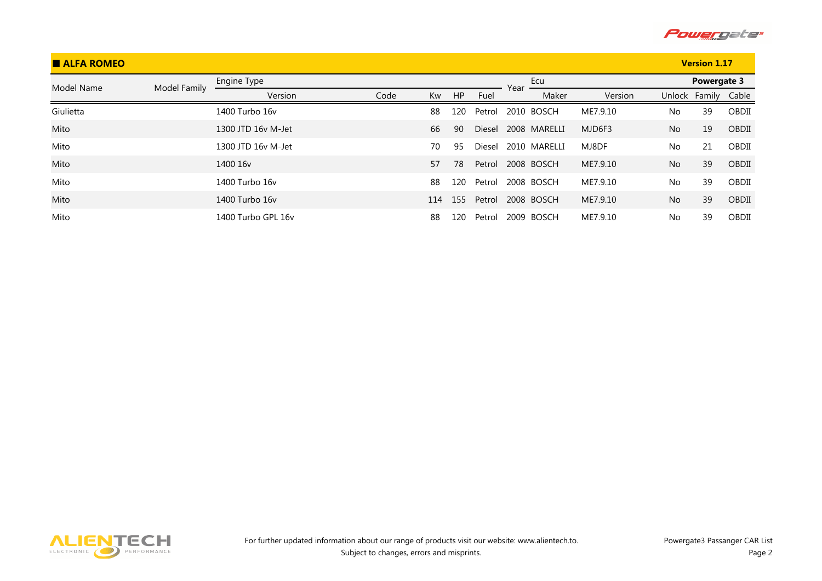

| <b>E ALFA ROMEO</b> |              |                      |      |     |           |        |      |              |          |           | <b>Version 1.17</b> |       |
|---------------------|--------------|----------------------|------|-----|-----------|--------|------|--------------|----------|-----------|---------------------|-------|
| Model Name          | Model Family | Engine Type          |      |     |           |        | Year | Ecu          |          |           | Powergate 3         |       |
|                     |              | Version              | Code | Kw  | <b>HP</b> | Fuel   |      | Maker        | Version  |           | Unlock Family       | Cable |
| Giulietta           |              | 1400 Turbo 16y       |      | 88  | 120       | Petrol |      | 2010 BOSCH   | ME7.9.10 | No        | 39                  | OBDII |
| Mito                |              | 1300 JTD 16y M-Jet   |      | 66  | 90        | Diesel |      | 2008 MARELLI | MJD6F3   | <b>No</b> | 19                  | OBDII |
| Mito                |              | 1300 JTD 16y M-Jet   |      | 70  | 95        | Diesel |      | 2010 MARELLI | MJ8DF    | <b>No</b> | 21                  | OBDII |
| Mito                |              | 1400 16 <sub>v</sub> |      | 57  | 78        | Petrol |      | 2008 BOSCH   | ME7.9.10 | <b>No</b> | 39                  | OBDII |
| Mito                |              | 1400 Turbo 16y       |      | 88  | 120       | Petrol |      | 2008 BOSCH   | ME7.9.10 | <b>No</b> | 39                  | OBDII |
| Mito                |              | 1400 Turbo 16y       |      | 114 | 155       | Petrol |      | 2008 BOSCH   | ME7.9.10 | <b>No</b> | 39                  | OBDII |
| Mito                |              | 1400 Turbo GPL 16v   |      | 88  | 120       | Petrol |      | 2009 BOSCH   | ME7.9.10 | No        | 39                  | OBDII |

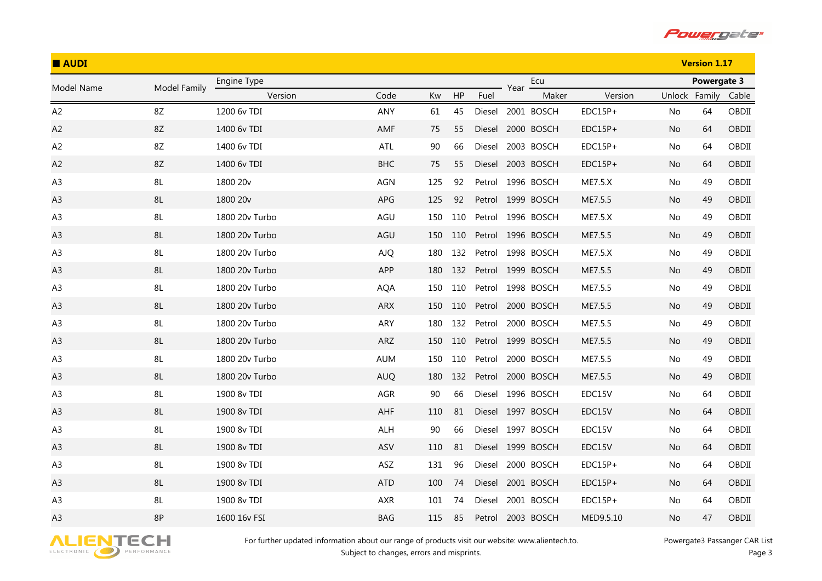

| <b>AUDI</b>    |               |                      |            |     |     |        |      | <b>Version 1.17</b> |                |               |                    |       |
|----------------|---------------|----------------------|------------|-----|-----|--------|------|---------------------|----------------|---------------|--------------------|-------|
| Model Name     | Model Family  | Engine Type          |            |     |     |        |      | Ecu                 |                |               | <b>Powergate 3</b> |       |
|                |               | Version              | Code       | Kw  | HP  | Fuel   | Year | Maker               | Version        | Unlock Family |                    | Cable |
| A <sub>2</sub> | 8Z            | 1200 6v TDI          | ANY        | 61  | 45  |        |      | Diesel 2001 BOSCH   | $EDC15P+$      | No            | 64                 | OBDII |
| A2             | $8\mathsf{Z}$ | 1400 6v TDI          | AMF        | 75  | 55  | Diesel |      | 2000 BOSCH          | $EDC15P+$      | No.           | 64                 | OBDII |
| A <sub>2</sub> | 8Z            | 1400 6v TDI          | ATL        | 90  | 66  | Diesel |      | 2003 BOSCH          | $EDC15P+$      | No.           | 64                 | OBDII |
| A <sub>2</sub> | 8Z            | 1400 6v TDI          | <b>BHC</b> | 75  | 55  | Diesel |      | 2003 BOSCH          | $EDC15P+$      | No.           | 64                 | OBDII |
| A <sub>3</sub> | 8L            | 1800 20 <sub>v</sub> | AGN        | 125 | 92  |        |      | Petrol 1996 BOSCH   | ME7.5.X        | No.           | 49                 | OBDII |
| A <sub>3</sub> | $8\mathsf{L}$ | 1800 20v             | APG        | 125 | 92  |        |      | Petrol 1999 BOSCH   | ME7.5.5        | No.           | 49                 | OBDII |
| A <sub>3</sub> | 8L            | 1800 20v Turbo       | AGU        | 150 | 110 | Petrol |      | 1996 BOSCH          | <b>ME7.5.X</b> | No.           | 49                 | OBDII |
| A3             | $8\mathsf{L}$ | 1800 20v Turbo       | AGU        | 150 | 110 |        |      | Petrol 1996 BOSCH   | ME7.5.5        | No            | 49                 | OBDII |
| A <sub>3</sub> | 8L            | 1800 20v Turbo       | <b>AJQ</b> | 180 | 132 | Petrol |      | 1998 BOSCH          | <b>ME7.5.X</b> | No            | 49                 | OBDII |
| A <sub>3</sub> | 8L            | 1800 20v Turbo       | APP        | 180 | 132 |        |      | Petrol 1999 BOSCH   | ME7.5.5        | No.           | 49                 | OBDII |
| A <sub>3</sub> | 8L            | 1800 20v Turbo       | <b>AQA</b> | 150 | 110 |        |      | Petrol 1998 BOSCH   | ME7.5.5        | No.           | 49                 | OBDII |
| A <sub>3</sub> | 8L            | 1800 20v Turbo       | <b>ARX</b> | 150 | 110 | Petrol |      | 2000 BOSCH          | ME7.5.5        | No.           | 49                 | OBDII |
| A <sub>3</sub> | 8L            | 1800 20v Turbo       | ARY        | 180 | 132 | Petrol |      | 2000 BOSCH          | ME7.5.5        | No            | 49                 | OBDII |
| A <sub>3</sub> | 8L            | 1800 20v Turbo       | ARZ        | 150 | 110 |        |      | Petrol 1999 BOSCH   | ME7.5.5        | No.           | 49                 | OBDII |
| A <sub>3</sub> | 8L            | 1800 20v Turbo       | <b>AUM</b> | 150 | 110 | Petrol |      | 2000 BOSCH          | ME7.5.5        | No            | 49                 | OBDII |
| A3             | 8L            | 1800 20v Turbo       | <b>AUQ</b> | 180 | 132 | Petrol |      | 2000 BOSCH          | ME7.5.5        | No.           | 49                 | OBDII |
| A <sub>3</sub> | 8L            | 1900 8v TDI          | AGR        | 90  | 66  | Diesel |      | 1996 BOSCH          | EDC15V         | No.           | 64                 | OBDII |
| A <sub>3</sub> | 8L            | 1900 8v TDI          | AHF        | 110 | 81  |        |      | Diesel 1997 BOSCH   | EDC15V         | No.           | 64                 | OBDII |
| A <sub>3</sub> | 8L            | 1900 8v TDI          | <b>ALH</b> | 90  | 66  | Diesel |      | 1997 BOSCH          | EDC15V         | No            | 64                 | OBDII |
| A3             | $8\mathsf{L}$ | 1900 8v TDI          | ASV        | 110 | 81  |        |      | Diesel 1999 BOSCH   | EDC15V         | No.           | 64                 | OBDII |
| A <sub>3</sub> | 8L            | 1900 8v TDI          | ASZ        | 131 | 96  | Diesel |      | 2000 BOSCH          | $EDC15P+$      | No.           | 64                 | OBDII |
| A <sub>3</sub> | $8\mathsf{L}$ | 1900 8v TDI          | <b>ATD</b> | 100 | 74  | Diesel |      | 2001 BOSCH          | EDC15P+        | No            | 64                 | OBDII |
| A <sub>3</sub> | 8L            | 1900 8v TDI          | <b>AXR</b> | 101 | 74  | Diesel |      | 2001 BOSCH          | $EDC15P+$      | No.           | 64                 | OBDII |
| A3             | 8P            | 1600 16v FSI         | <b>BAG</b> | 115 | 85  | Petrol |      | 2003 BOSCH          | MED9.5.10      | No            | 47                 | OBDII |

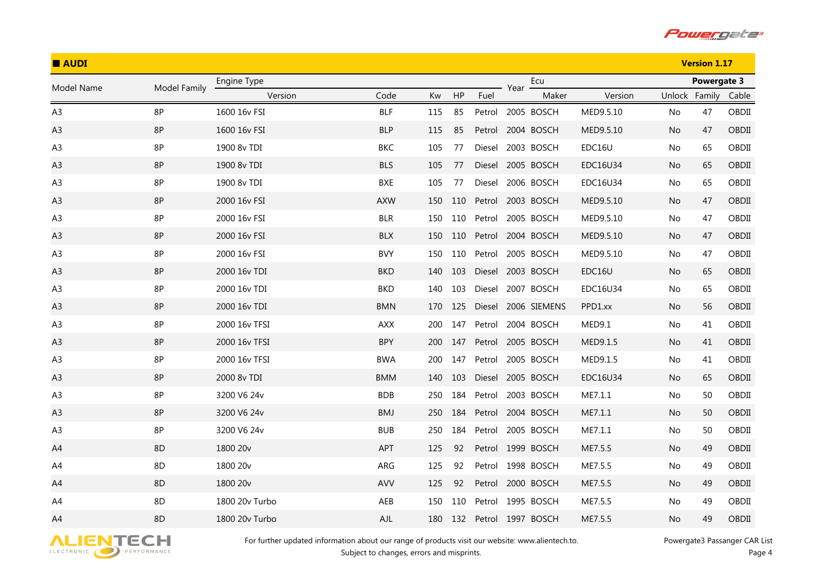

| <b>AUDI</b>    |              |                      |            |     |     |        |                   |                     |           |               | <b>Version 1.17</b> |       |
|----------------|--------------|----------------------|------------|-----|-----|--------|-------------------|---------------------|-----------|---------------|---------------------|-------|
| Model Name     | Model Family | Engine Type          |            |     |     |        | Year              | Ecu                 |           |               | Powergate 3         |       |
|                |              | Version              | Code       | Kw  | HP  | Fuel   |                   | Maker               | Version   | Unlock Family |                     | Cable |
| A <sub>3</sub> | 8P           | 1600 16v FSI         | <b>BLF</b> | 115 | 85  | Petrol |                   | 2005 BOSCH          | MED9.5.10 | No            | 47                  | OBDII |
| A <sub>3</sub> | 8P           | 1600 16v FSI         | <b>BLP</b> | 115 | 85  | Petrol | 2004 BOSCH        |                     | MED9.5.10 | No.           | 47                  | OBDII |
| A <sub>3</sub> | 8P           | 1900 8v TDI          | <b>BKC</b> | 105 | 77  | Diesel |                   | 2003 BOSCH          | EDC16U    | No            | 65                  | OBDII |
| A <sub>3</sub> | 8P           | 1900 8v TDI          | <b>BLS</b> | 105 | 77  | Diesel | 2005 BOSCH        |                     | EDC16U34  | No.           | 65                  | OBDII |
| A <sub>3</sub> | 8P           | 1900 8v TDI          | BXE        | 105 | 77  | Diesel |                   | 2006 BOSCH          | EDC16U34  | No            | 65                  | OBDII |
| A3             | 8P           | 2000 16v FSI         | <b>AXW</b> | 150 | 110 | Petrol | 2003 BOSCH        |                     | MED9.5.10 | No.           | 47                  | OBDII |
| A <sub>3</sub> | 8P           | 2000 16v FSI         | <b>BLR</b> | 150 | 110 | Petrol |                   | 2005 BOSCH          | MED9.5.10 | No            | 47                  | OBDII |
| A <sub>3</sub> | 8P           | 2000 16v FSI         | <b>BLX</b> | 150 | 110 |        | Petrol 2004 BOSCH |                     | MED9.5.10 | No            | 47                  | OBDII |
| A <sub>3</sub> | 8P           | 2000 16v FSI         | <b>BVY</b> | 150 | 110 | Petrol |                   | 2005 BOSCH          | MED9.5.10 | No.           | 47                  | OBDII |
| A <sub>3</sub> | 8P           | 2000 16v TDI         | <b>BKD</b> | 140 | 103 | Diesel | 2003 BOSCH        |                     | EDC16U    | No.           | 65                  | OBDII |
| A <sub>3</sub> | 8P           | 2000 16v TDI         | <b>BKD</b> | 140 | 103 | Diesel |                   | 2007 BOSCH          | EDC16U34  | No.           | 65                  | OBDII |
| A <sub>3</sub> | 8P           | 2000 16v TDI         | <b>BMN</b> | 170 | 125 |        |                   | Diesel 2006 SIEMENS | PPD1.xx   | No.           | 56                  | OBDII |
| A <sub>3</sub> | 8P           | 2000 16v TFSI        | <b>AXX</b> | 200 | 147 | Petrol |                   | 2004 BOSCH          | MED9.1    | No.           | 41                  | OBDII |
| A <sub>3</sub> | 8P           | 2000 16v TFSI        | <b>BPY</b> | 200 | 147 | Petrol |                   | 2005 BOSCH          | MED9.1.5  | No.           | 41                  | OBDII |
| A <sub>3</sub> | 8P           | 2000 16v TFSI        | <b>BWA</b> | 200 | 147 | Petrol |                   | 2005 BOSCH          | MED9.1.5  | No.           | 41                  | OBDII |
| A3             | 8P           | 2000 8v TDI          | <b>BMM</b> | 140 | 103 |        | Diesel 2005 BOSCH |                     | EDC16U34  | No.           | 65                  | OBDII |
| A <sub>3</sub> | 8P           | 3200 V6 24v          | <b>BDB</b> | 250 | 184 | Petrol |                   | 2003 BOSCH          | ME7.1.1   | No.           | 50                  | OBDII |
| A <sub>3</sub> | 8P           | 3200 V6 24v          | <b>BMJ</b> | 250 | 184 |        | Petrol 2004 BOSCH |                     | ME7.1.1   | No            | 50                  | OBDII |
| A <sub>3</sub> | 8P           | 3200 V6 24v          | <b>BUB</b> | 250 | 184 | Petrol |                   | 2005 BOSCH          | ME7.1.1   | No            | 50                  | OBDII |
| A4             | 8D           | 1800 20v             | APT        | 125 | 92  |        | Petrol 1999 BOSCH |                     | ME7.5.5   | No            | 49                  | OBDII |
| A4             | 8D           | 1800 20 <sub>v</sub> | ARG        | 125 | 92  |        | Petrol 1998 BOSCH |                     | ME7.5.5   | No.           | 49                  | OBDII |
| A4             | 8D           | 1800 20v             | <b>AVV</b> | 125 | 92  | Petrol | 2000 BOSCH        |                     | ME7.5.5   | No            | 49                  | OBDII |
| A4             | 8D           | 1800 20v Turbo       | AEB        | 150 | 110 | Petrol |                   | 1995 BOSCH          | ME7.5.5   | No.           | 49                  | OBDII |
| A4             | 8D           | 1800 20v Turbo       | AJL        | 180 | 132 |        | Petrol 1997 BOSCH |                     | ME7.5.5   | No            | 49                  | OBDII |

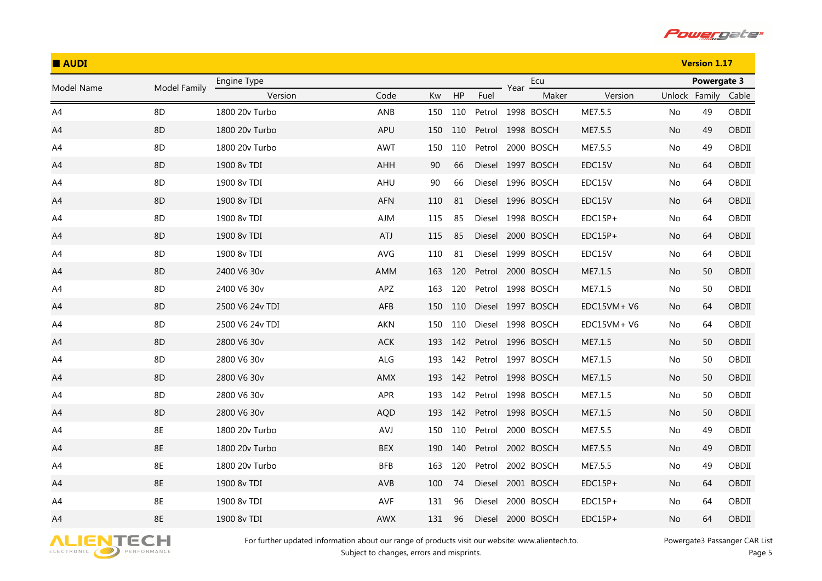

| <b>AUDI</b>    |              |                 |            |     |     |        |      | <b>Version 1.17</b> |             |               |             |       |
|----------------|--------------|-----------------|------------|-----|-----|--------|------|---------------------|-------------|---------------|-------------|-------|
| Model Name     | Model Family | Engine Type     |            |     |     |        | Year | Ecu                 |             |               | Powergate 3 |       |
|                |              | Version         | Code       | Kw  | HP  | Fuel   |      | Maker               | Version     | Unlock Family |             | Cable |
| A <sub>4</sub> | 8D           | 1800 20v Turbo  | ANB        | 150 | 110 |        |      | Petrol 1998 BOSCH   | ME7.5.5     | No            | 49          | OBDII |
| A4             | 8D           | 1800 20v Turbo  | APU        | 150 | 110 |        |      | Petrol 1998 BOSCH   | ME7.5.5     | No.           | 49          | OBDII |
| A4             | 8D           | 1800 20v Turbo  | <b>AWT</b> | 150 | 110 | Petrol |      | 2000 BOSCH          | ME7.5.5     | No            | 49          | OBDII |
| A4             | 8D           | 1900 8v TDI     | AHH        | 90  | 66  |        |      | Diesel 1997 BOSCH   | EDC15V      | No.           | 64          | OBDII |
| A4             | 8D           | 1900 8v TDI     | AHU        | 90  | 66  | Diesel |      | 1996 BOSCH          | EDC15V      | No            | 64          | OBDII |
| A4             | 8D           | 1900 8v TDI     | AFN        | 110 | 81  |        |      | Diesel 1996 BOSCH   | EDC15V      | No.           | 64          | OBDII |
| A4             | 8D           | 1900 8v TDI     | AJM        | 115 | 85  |        |      | Diesel 1998 BOSCH   | EDC15P+     | No            | 64          | OBDII |
| A4             | 8D           | 1900 8v TDI     | <b>ATJ</b> | 115 | 85  |        |      | Diesel 2000 BOSCH   | EDC15P+     | No.           | 64          | OBDII |
| A4             | 8D           | 1900 8v TDI     | AVG        | 110 | 81  |        |      | Diesel 1999 BOSCH   | EDC15V      | No.           | 64          | OBDII |
| A4             | 8D           | 2400 V6 30v     | AMM        | 163 | 120 |        |      | Petrol 2000 BOSCH   | ME7.1.5     | No.           | 50          | OBDII |
| A4             | 8D           | 2400 V6 30v     | APZ        | 163 | 120 | Petrol |      | 1998 BOSCH          | ME7.1.5     | No.           | 50          | OBDII |
| A4             | 8D           | 2500 V6 24v TDI | AFB        | 150 | 110 |        |      | Diesel 1997 BOSCH   | EDC15VM+V6  | No.           | 64          | OBDII |
| A4             | 8D           | 2500 V6 24v TDI | <b>AKN</b> | 150 | 110 |        |      | Diesel 1998 BOSCH   | EDC15VM+ V6 | No.           | 64          | OBDII |
| A4             | 8D           | 2800 V6 30v     | ACK        | 193 | 142 |        |      | Petrol 1996 BOSCH   | ME7.1.5     | No.           | 50          | OBDII |
| A4             | 8D           | 2800 V6 30v     | ALG        | 193 | 142 |        |      | Petrol 1997 BOSCH   | ME7.1.5     | No            | 50          | OBDII |
| A4             | 8D           | 2800 V6 30v     | AMX        | 193 | 142 |        |      | Petrol 1998 BOSCH   | ME7.1.5     | No.           | 50          | OBDII |
| A4             | 8D           | 2800 V6 30v     | APR        | 193 | 142 |        |      | Petrol 1998 BOSCH   | ME7.1.5     | No.           | 50          | OBDII |
| A4             | 8D           | 2800 V6 30v     | <b>AQD</b> | 193 | 142 |        |      | Petrol 1998 BOSCH   | ME7.1.5     | No            | 50          | OBDII |
| A4             | 8E           | 1800 20v Turbo  | AVJ        | 150 | 110 | Petrol |      | 2000 BOSCH          | ME7.5.5     | No            | 49          | OBDII |
| A4             | 8E           | 1800 20v Turbo  | BEX        | 190 | 140 |        |      | Petrol 2002 BOSCH   | ME7.5.5     | No            | 49          | OBDII |
| A4             | 8E           | 1800 20v Turbo  | <b>BFB</b> | 163 | 120 | Petrol |      | 2002 BOSCH          | ME7.5.5     | No.           | 49          | OBDII |
| A4             | 8E           | 1900 8v TDI     | AVB        | 100 | 74  | Diesel |      | 2001 BOSCH          | EDC15P+     | No            | 64          | OBDII |
| A4             | 8E           | 1900 8v TDI     | AVF        | 131 | 96  | Diesel |      | 2000 BOSCH          | $EDC15P+$   | No.           | 64          | OBDII |
| A4             | 8E           | 1900 8v TDI     | <b>AWX</b> | 131 | 96  | Diesel |      | 2000 BOSCH          | $EDC15P+$   | No            | 64          | OBDII |

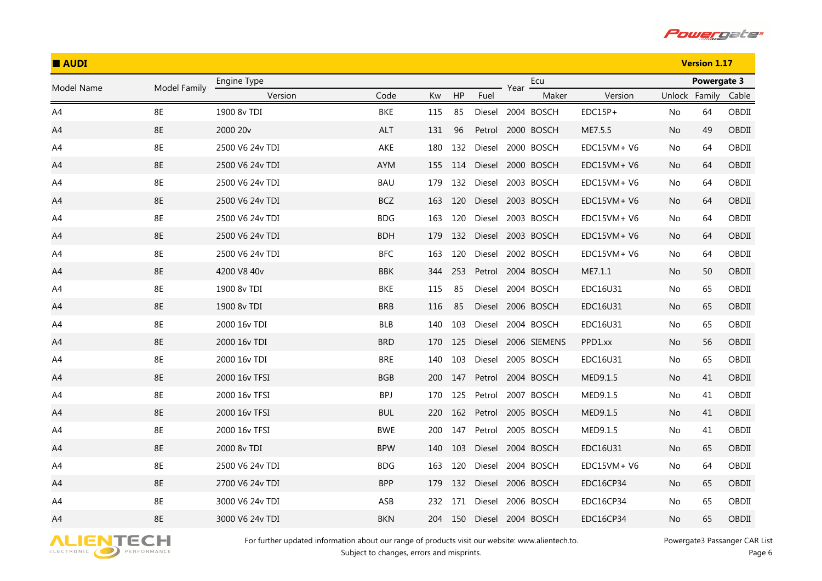

| <b>AUDI</b> |              |                 |            |     |         |        |      |                   |              |               | <b>Version 1.17</b> |       |
|-------------|--------------|-----------------|------------|-----|---------|--------|------|-------------------|--------------|---------------|---------------------|-------|
| Model Name  | Model Family | Engine Type     |            |     |         |        | Year | Ecu               |              |               | Powergate 3         |       |
|             |              | Version         | Code       | Kw  | HP      | Fuel   |      | Maker             | Version      | Unlock Family |                     | Cable |
| A4          | 8E           | 1900 8v TDI     | BKE        | 115 | 85      |        |      | Diesel 2004 BOSCH | $EDC15P+$    | No            | 64                  | OBDII |
| A4          | 8E           | 2000 20v        | ALT        | 131 | 96      | Petrol |      | 2000 BOSCH        | ME7.5.5      | No.           | 49                  | OBDII |
| A4          | 8E           | 2500 V6 24v TDI | AKE        | 180 | 132     | Diesel |      | 2000 BOSCH        | EDC15VM+ V6  | No            | 64                  | OBDII |
| A4          | 8E           | 2500 V6 24v TDI | <b>AYM</b> | 155 | 114     | Diesel |      | 2000 BOSCH        | $EDC15VM+V6$ | No            | 64                  | OBDII |
| A4          | 8E           | 2500 V6 24v TDI | <b>BAU</b> | 179 | 132     | Diesel |      | 2003 BOSCH        | EDC15VM+ V6  | No            | 64                  | OBDII |
| A4          | 8E           | 2500 V6 24v TDI | <b>BCZ</b> | 163 | 120     | Diesel |      | 2003 BOSCH        | EDC15VM+ V6  | No            | 64                  | OBDII |
| A4          | 8E           | 2500 V6 24v TDI | <b>BDG</b> | 163 | 120     | Diesel |      | 2003 BOSCH        | EDC15VM+ V6  | No            | 64                  | OBDII |
| A4          | <b>8E</b>    | 2500 V6 24v TDI | <b>BDH</b> | 179 | 132     |        |      | Diesel 2003 BOSCH | $EDC15VM+V6$ | No.           | 64                  | OBDII |
| A4          | 8E           | 2500 V6 24v TDI | <b>BFC</b> | 163 | 120     | Diesel |      | 2002 BOSCH        | EDC15VM+ V6  | No            | 64                  | OBDII |
| A4          | 8E           | 4200 V8 40v     | <b>BBK</b> | 344 | 253     |        |      | Petrol 2004 BOSCH | ME7.1.1      | No.           | 50                  | OBDII |
| A4          | 8E           | 1900 8v TDI     | BKE        | 115 | 85      | Diesel |      | 2004 BOSCH        | EDC16U31     | No            | 65                  | OBDII |
| A4          | <b>8E</b>    | 1900 8v TDI     | <b>BRB</b> | 116 | 85      | Diesel |      | 2006 BOSCH        | EDC16U31     | No.           | 65                  | OBDII |
| A4          | 8E           | 2000 16y TDI    | <b>BLB</b> | 140 | 103     | Diesel |      | 2004 BOSCH        | EDC16U31     | No            | 65                  | OBDII |
| A4          | 8E           | 2000 16v TDI    | <b>BRD</b> | 170 | 125     | Diesel |      | 2006 SIEMENS      | PPD1.xx      | No            | 56                  | OBDII |
| A4          | 8E           | 2000 16v TDI    | <b>BRE</b> | 140 | 103     | Diesel |      | 2005 BOSCH        | EDC16U31     | No            | 65                  | OBDII |
| A4          | 8E           | 2000 16v TFSI   | <b>BGB</b> | 200 | 147     | Petrol |      | 2004 BOSCH        | MED9.1.5     | No            | 41                  | OBDII |
| A4          | 8E           | 2000 16v TFSI   | <b>BPJ</b> | 170 | 125     | Petrol |      | 2007 BOSCH        | MED9.1.5     | No            | 41                  | OBDII |
| A4          | 8E           | 2000 16v TFSI   | <b>BUL</b> | 220 | 162     |        |      | Petrol 2005 BOSCH | MED9.1.5     | No            | 41                  | OBDII |
| A4          | 8E           | 2000 16v TFSI   | <b>BWE</b> | 200 | 147     | Petrol |      | 2005 BOSCH        | MED9.1.5     | No            | 41                  | OBDII |
| A4          | <b>8E</b>    | 2000 8v TDI     | <b>BPW</b> | 140 | 103     | Diesel |      | 2004 BOSCH        | EDC16U31     | No            | 65                  | OBDII |
| A4          | 8E           | 2500 V6 24v TDI | <b>BDG</b> | 163 | 120     | Diesel |      | 2004 BOSCH        | $EDC15VM+V6$ | No            | 64                  | OBDII |
| A4          | <b>8E</b>    | 2700 V6 24v TDI | <b>BPP</b> | 179 | 132     | Diesel |      | 2006 BOSCH        | EDC16CP34    | No            | 65                  | OBDII |
| A4          | 8E           | 3000 V6 24v TDI | ASB        | 232 | 171     | Diesel |      | 2006 BOSCH        | EDC16CP34    | No            | 65                  | OBDII |
| A4          | <b>8E</b>    | 3000 V6 24v TDI | <b>BKN</b> |     | 204 150 | Diesel |      | 2004 BOSCH        | EDC16CP34    | No            | 65                  | OBDII |

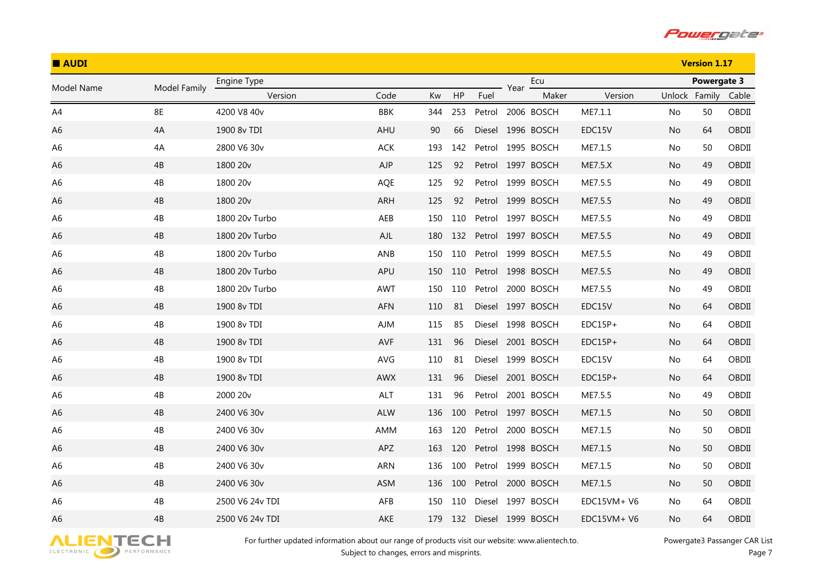

| <b>AUDI</b>    |               |                      |            |     |     |        |      |                   |             |               | <b>Version 1.17</b> |       |
|----------------|---------------|----------------------|------------|-----|-----|--------|------|-------------------|-------------|---------------|---------------------|-------|
| Model Name     | Model Family  | Engine Type          |            |     |     |        | Year | Ecu               |             |               | Powergate 3         |       |
|                |               | Version              | Code       | Kw  | HP  | Fuel   |      | Maker             | Version     | Unlock Family |                     | Cable |
| A4             | <b>8E</b>     | 4200 V8 40v          | BBK        | 344 | 253 |        |      | Petrol 2006 BOSCH | ME7.1.1     | No            | 50                  | OBDII |
| A6             | 4A            | 1900 8v TDI          | AHU        | 90  | 66  |        |      | Diesel 1996 BOSCH | EDC15V      | No.           | 64                  | OBDII |
| A <sub>6</sub> | 4A            | 2800 V6 30v          | ACK        | 193 | 142 | Petrol |      | 1995 BOSCH        | ME7.1.5     | No            | 50                  | OBDII |
| A6             | 4B            | 1800 20 <sub>v</sub> | AJP        | 125 | 92  |        |      | Petrol 1997 BOSCH | ME7.5.X     | No.           | 49                  | OBDII |
| A <sub>6</sub> | 4B            | 1800 20v             | AQE        | 125 | 92  | Petrol |      | 1999 BOSCH        | ME7.5.5     | No            | 49                  | OBDII |
| A6             | 4B            | 1800 20v             | ARH        | 125 | 92  |        |      | Petrol 1999 BOSCH | ME7.5.5     | No            | 49                  | OBDII |
| A <sub>6</sub> | $4\mathrm{B}$ | 1800 20v Turbo       | AEB        | 150 | 110 | Petrol |      | 1997 BOSCH        | ME7.5.5     | No            | 49                  | OBDII |
| A <sub>6</sub> | 4B            | 1800 20v Turbo       | AJL        | 180 | 132 |        |      | Petrol 1997 BOSCH | ME7.5.5     | No            | 49                  | OBDII |
| A <sub>6</sub> | 4B            | 1800 20v Turbo       | ANB        | 150 | 110 | Petrol |      | 1999 BOSCH        | ME7.5.5     | No            | 49                  | OBDII |
| A <sub>6</sub> | 4B            | 1800 20v Turbo       | APU        | 150 | 110 |        |      | Petrol 1998 BOSCH | ME7.5.5     | No            | 49                  | OBDII |
| A <sub>6</sub> | 4B            | 1800 20v Turbo       | <b>AWT</b> | 150 | 110 | Petrol |      | 2000 BOSCH        | ME7.5.5     | No.           | 49                  | OBDII |
| A6             | 4B            | 1900 8v TDI          | AFN        | 110 | 81  |        |      | Diesel 1997 BOSCH | EDC15V      | No            | 64                  | OBDII |
| A <sub>6</sub> | 4B            | 1900 8v TDI          | AJM        | 115 | 85  |        |      | Diesel 1998 BOSCH | $EDC15P+$   | No            | 64                  | OBDII |
| A <sub>6</sub> | 4B            | 1900 8v TDI          | AVF        | 131 | 96  | Diesel |      | 2001 BOSCH        | $EDC15P+$   | No            | 64                  | OBDII |
| A6             | 4B            | 1900 8v TDI          | AVG        | 110 | 81  |        |      | Diesel 1999 BOSCH | EDC15V      | No            | 64                  | OBDII |
| A6             | 4B            | 1900 8v TDI          | AWX        | 131 | 96  |        |      | Diesel 2001 BOSCH | $EDC15P+$   | No            | 64                  | OBDII |
| A6             | 4B            | 2000 20v             | ALT        | 131 | 96  | Petrol |      | 2001 BOSCH        | ME7.5.5     | No            | 49                  | OBDII |
| A <sub>6</sub> | 4B            | 2400 V6 30v          | ALW        | 136 | 100 |        |      | Petrol 1997 BOSCH | ME7.1.5     | No            | 50                  | OBDII |
| A6             | 4B            | 2400 V6 30v          | AMM        | 163 | 120 | Petrol |      | 2000 BOSCH        | ME7.1.5     | No            | 50                  | OBDII |
| A6             | 4B            | 2400 V6 30v          | APZ        | 163 | 120 |        |      | Petrol 1998 BOSCH | ME7.1.5     | No            | 50                  | OBDII |
| A6             | 4B            | 2400 V6 30v          | ARN        | 136 | 100 | Petrol |      | 1999 BOSCH        | ME7.1.5     | No            | 50                  | OBDII |
| A <sub>6</sub> | 4B            | 2400 V6 30v          | <b>ASM</b> | 136 | 100 | Petrol |      | 2000 BOSCH        | ME7.1.5     | No            | 50                  | OBDII |
| A6             | 4B            | 2500 V6 24v TDI      | AFB        | 150 | 110 |        |      | Diesel 1997 BOSCH | EDC15VM+V6  | No.           | 64                  | OBDII |
| A <sub>6</sub> | 4B            | 2500 V6 24v TDI      | AKE        | 179 | 132 |        |      | Diesel 1999 BOSCH | EDC15VM+ V6 | No            | 64                  | OBDII |

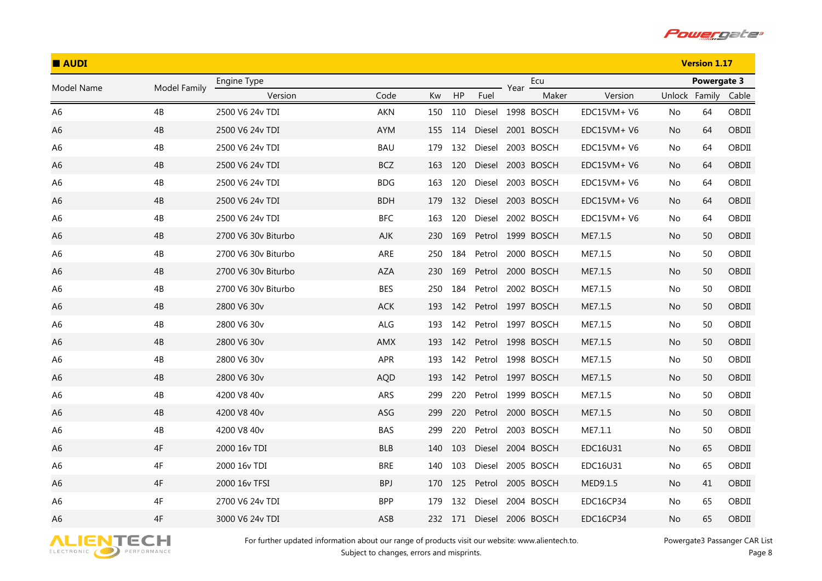

| <b>AUDI</b>    |              |                         |            |     |         |        |      |                   |              |               | <b>Version 1.17</b> |       |
|----------------|--------------|-------------------------|------------|-----|---------|--------|------|-------------------|--------------|---------------|---------------------|-------|
| Model Name     | Model Family | Engine Type             |            |     |         |        | Year | Ecu               |              |               | Powergate 3         |       |
|                |              | Version                 | Code       | Kw  | HP      | Fuel   |      | Maker             | Version      | Unlock Family |                     | Cable |
| A <sub>6</sub> | 4B           | 2500 V6 24v TDI         | <b>AKN</b> | 150 | 110     |        |      | Diesel 1998 BOSCH | EDC15VM+ V6  | No            | 64                  | OBDII |
| A <sub>6</sub> | 4B           | 2500 V6 24v TDI         | <b>AYM</b> | 155 | 114     |        |      | Diesel 2001 BOSCH | $EDC15VM+V6$ | No.           | 64                  | OBDII |
| A <sub>6</sub> | 4B           | 2500 V6 24v TDI         | BAU        | 179 | 132     | Diesel |      | 2003 BOSCH        | EDC15VM+ V6  | No            | 64                  | OBDII |
| A <sub>6</sub> | 4B           | 2500 V6 24v TDI         | <b>BCZ</b> | 163 | 120     | Diesel |      | 2003 BOSCH        | $EDC15VM+V6$ | No.           | 64                  | OBDII |
| A6             | 4B           | 2500 V6 24v TDI         | <b>BDG</b> | 163 | 120     | Diesel |      | 2003 BOSCH        | EDC15VM+ V6  | No            | 64                  | OBDII |
| A6             | 4B           | 2500 V6 24v TDI         | <b>BDH</b> | 179 | 132     |        |      | Diesel 2003 BOSCH | EDC15VM+ V6  | No.           | 64                  | OBDII |
| A6             | 4B           | 2500 V6 24v TDI         | <b>BFC</b> | 163 | 120     | Diesel |      | 2002 BOSCH        | EDC15VM+ V6  | No            | 64                  | OBDII |
| A <sub>6</sub> | 4B           | 2700 V6 30v Biturbo     | AJK        | 230 | 169     |        |      | Petrol 1999 BOSCH | ME7.1.5      | No.           | 50                  | OBDII |
| A <sub>6</sub> | 4B           | 2700 V6 30v Biturbo     | ARE        | 250 | 184     | Petrol |      | 2000 BOSCH        | ME7.1.5      | No.           | 50                  | OBDII |
| A6             | 4B           | 2700 V6 30v Biturbo     | AZA        | 230 | 169     | Petrol |      | 2000 BOSCH        | ME7.1.5      | No.           | 50                  | OBDII |
| A <sub>6</sub> | 4B           | 2700 V6 30v Biturbo     | <b>BES</b> | 250 | 184     | Petrol |      | 2002 BOSCH        | ME7.1.5      | No.           | 50                  | OBDII |
| A6             | 4B           | 2800 V6 30v             | <b>ACK</b> | 193 | 142     |        |      | Petrol 1997 BOSCH | ME7.1.5      | No.           | 50                  | OBDII |
| A6             | 4B           | 2800 V6 30 <sub>v</sub> | ALG        | 193 | 142     |        |      | Petrol 1997 BOSCH | ME7.1.5      | No.           | 50                  | OBDII |
| A <sub>6</sub> | 4B           | 2800 V6 30v             | AMX        | 193 | 142     |        |      | Petrol 1998 BOSCH | ME7.1.5      | No.           | 50                  | OBDII |
| A6             | 4B           | 2800 V6 30v             | APR        | 193 | 142     | Petrol |      | 1998 BOSCH        | ME7.1.5      | No            | 50                  | OBDII |
| A6             | 4B           | 2800 V6 30v             | <b>AQD</b> | 193 | 142     |        |      | Petrol 1997 BOSCH | ME7.1.5      | No.           | 50                  | OBDII |
| A6             | 4B           | 4200 V8 40v             | ARS        | 299 | 220     | Petrol |      | 1999 BOSCH        | ME7.1.5      | No.           | 50                  | OBDII |
| A <sub>6</sub> | 4B           | 4200 V8 40v             | ASG        | 299 | 220     |        |      | Petrol 2000 BOSCH | ME7.1.5      | No            | 50                  | OBDII |
| A <sub>6</sub> | 4B           | 4200 V8 40v             | <b>BAS</b> | 299 | 220     | Petrol |      | 2003 BOSCH        | ME7.1.1      | No.           | 50                  | OBDII |
| A <sub>6</sub> | 4F           | 2000 16v TDI            | <b>BLB</b> | 140 | 103     |        |      | Diesel 2004 BOSCH | EDC16U31     | No            | 65                  | OBDII |
| A <sub>6</sub> | 4F           | 2000 16v TDI            | BRE        | 140 | 103     | Diesel |      | 2005 BOSCH        | EDC16U31     | No.           | 65                  | OBDII |
| A <sub>6</sub> | 4F           | 2000 16v TFSI           | <b>BPJ</b> | 170 | 125     | Petrol |      | 2005 BOSCH        | MED9.1.5     | No            | 41                  | OBDII |
| A6             | 4F           | 2700 V6 24v TDI         | <b>BPP</b> | 179 | 132     | Diesel |      | 2004 BOSCH        | EDC16CP34    | No.           | 65                  | OBDII |
| A6             | 4F           | 3000 V6 24v TDI         | ASB        |     | 232 171 | Diesel |      | 2006 BOSCH        | EDC16CP34    | No            | 65                  | OBDII |

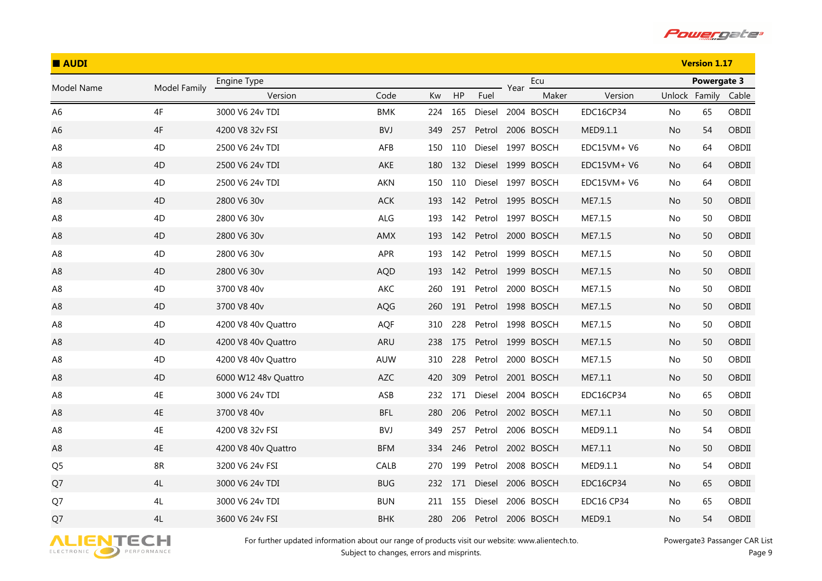

| <b>AUDI</b>    |              |                      |            |     |     |        |      |                   |                   |               | <b>Version 1.17</b> |       |
|----------------|--------------|----------------------|------------|-----|-----|--------|------|-------------------|-------------------|---------------|---------------------|-------|
| Model Name     | Model Family | Engine Type          |            |     |     |        | Year | Ecu               |                   |               | Powergate 3         |       |
|                |              | Version              | Code       | Kw  | HP  | Fuel   |      | Maker             | Version           | Unlock Family |                     | Cable |
| A <sub>6</sub> | 4F           | 3000 V6 24v TDI      | <b>BMK</b> | 224 | 165 |        |      | Diesel 2004 BOSCH | EDC16CP34         | No            | 65                  | OBDII |
| A <sub>6</sub> | 4F           | 4200 V8 32v FSI      | <b>BVJ</b> | 349 | 257 | Petrol |      | 2006 BOSCH        | MED9.1.1          | No.           | 54                  | OBDII |
| A <sub>8</sub> | 4D           | 2500 V6 24v TDI      | AFB        | 150 | 110 |        |      | Diesel 1997 BOSCH | EDC15VM+ V6       | No            | 64                  | OBDII |
| A8             | 4D           | 2500 V6 24v TDI      | AKE        | 180 | 132 | Diesel |      | 1999 BOSCH        | $EDC15VM+V6$      | No            | 64                  | OBDII |
| A8             | 4D           | 2500 V6 24v TDI      | AKN        | 150 | 110 |        |      | Diesel 1997 BOSCH | EDC15VM+ V6       | No            | 64                  | OBDII |
| A8             | 4D           | 2800 V6 30v          | <b>ACK</b> | 193 | 142 |        |      | Petrol 1995 BOSCH | ME7.1.5           | No            | 50                  | OBDII |
| A8             | 4D           | 2800 V6 30v          | ALG        | 193 | 142 |        |      | Petrol 1997 BOSCH | ME7.1.5           | No            | 50                  | OBDII |
| A8             | 4D           | 2800 V6 30v          | AMX        | 193 | 142 |        |      | Petrol 2000 BOSCH | ME7.1.5           | No            | 50                  | OBDII |
| A8             | 4D           | 2800 V6 30v          | APR        | 193 | 142 |        |      | Petrol 1999 BOSCH | ME7.1.5           | No            | 50                  | OBDII |
| A <sub>8</sub> | 4D           | 2800 V6 30v          | <b>AQD</b> | 193 | 142 |        |      | Petrol 1999 BOSCH | ME7.1.5           | No            | 50                  | OBDII |
| A <sub>8</sub> | 4D           | 3700 V8 40v          | AKC        | 260 | 191 | Petrol |      | 2000 BOSCH        | ME7.1.5           | No            | 50                  | OBDII |
| A8             | 4D           | 3700 V8 40v          | AQG        | 260 | 191 |        |      | Petrol 1998 BOSCH | ME7.1.5           | No.           | 50                  | OBDII |
| A8             | 4D           | 4200 V8 40v Quattro  | AQF        | 310 | 228 |        |      | Petrol 1998 BOSCH | ME7.1.5           | No            | 50                  | OBDII |
| A <sub>8</sub> | 4D           | 4200 V8 40v Quattro  | <b>ARU</b> | 238 | 175 | Petrol |      | 1999 BOSCH        | ME7.1.5           | No            | 50                  | OBDII |
| A8             | 4D           | 4200 V8 40v Quattro  | AUW        | 310 | 228 | Petrol |      | 2000 BOSCH        | ME7.1.5           | No            | 50                  | OBDII |
| A8             | 4D           | 6000 W12 48v Quattro | <b>AZC</b> | 420 | 309 |        |      | Petrol 2001 BOSCH | ME7.1.1           | No            | 50                  | OBDII |
| A8             | 4E           | 3000 V6 24v TDI      | ASB        | 232 | 171 | Diesel |      | 2004 BOSCH        | EDC16CP34         | No            | 65                  | OBDII |
| A <sub>8</sub> | 4E           | 3700 V8 40v          | <b>BFL</b> | 280 | 206 |        |      | Petrol 2002 BOSCH | ME7.1.1           | No            | 50                  | OBDII |
| A <sub>8</sub> | 4E           | 4200 V8 32v FSI      | <b>BVJ</b> | 349 | 257 | Petrol |      | 2006 BOSCH        | MED9.1.1          | No            | 54                  | OBDII |
| A <sub>8</sub> | 4E           | 4200 V8 40v Quattro  | <b>BFM</b> | 334 | 246 |        |      | Petrol 2002 BOSCH | ME7.1.1           | No            | 50                  | OBDII |
| Q <sub>5</sub> | 8R           | 3200 V6 24v FSI      | CALB       | 270 | 199 | Petrol |      | 2008 BOSCH        | MED9.1.1          | No            | 54                  | OBDII |
| Q7             | 4L           | 3000 V6 24v TDI      | <b>BUG</b> | 232 | 171 | Diesel |      | 2006 BOSCH        | EDC16CP34         | No            | 65                  | OBDII |
| Q7             | 4L           | 3000 V6 24v TDI      | <b>BUN</b> | 211 | 155 | Diesel |      | 2006 BOSCH        | <b>EDC16 CP34</b> | No            | 65                  | OBDII |
| Q7             | 4L           | 3600 V6 24v FSI      | <b>BHK</b> | 280 | 206 | Petrol |      | 2006 BOSCH        | MED9.1            | No            | 54                  | OBDII |

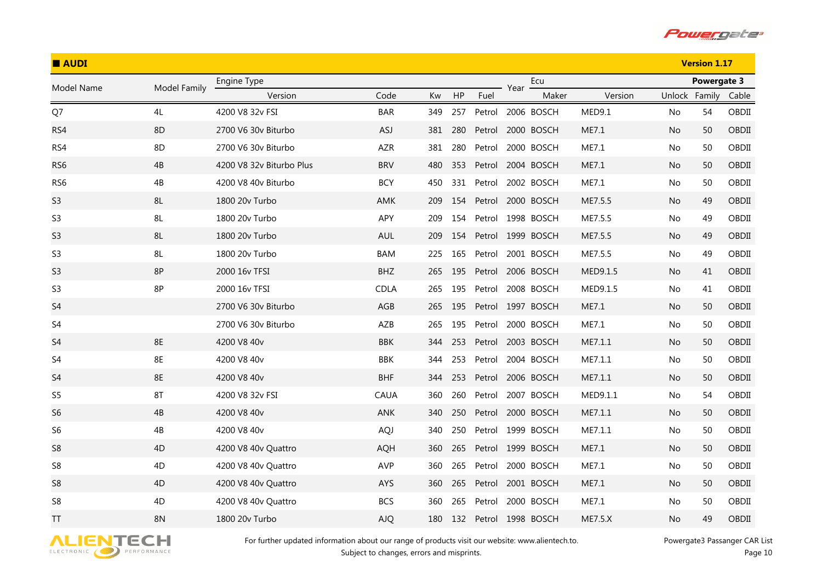

| <b>AUDI</b>       |              |                          |             |     |     |        |      | <b>Version 1.17</b> |                |               |             |       |
|-------------------|--------------|--------------------------|-------------|-----|-----|--------|------|---------------------|----------------|---------------|-------------|-------|
|                   |              | Engine Type              |             |     |     |        |      | Ecu                 |                |               | Powergate 3 |       |
| <b>Model Name</b> | Model Family | Version                  | Code        | Kw  | HP  | Fuel   | Year | Maker               | Version        | Unlock Family |             | Cable |
| Q7                | 4L           | 4200 V8 32v FSI          | <b>BAR</b>  | 349 | 257 | Petrol |      | 2006 BOSCH          | MED9.1         | No.           | 54          | OBDII |
| RS4               | 8D           | 2700 V6 30v Biturbo      | <b>ASJ</b>  | 381 | 280 | Petrol |      | 2000 BOSCH          | ME7.1          | No            | 50          | OBDII |
| RS4               | 8D           | 2700 V6 30v Biturbo      | AZR         | 381 | 280 | Petrol |      | 2000 BOSCH          | ME7.1          | No.           | 50          | OBDII |
| RS <sub>6</sub>   | 4B           | 4200 V8 32v Biturbo Plus | <b>BRV</b>  | 480 | 353 | Petrol |      | 2004 BOSCH          | ME7.1          | No.           | 50          | OBDII |
| RS <sub>6</sub>   | 4B           | 4200 V8 40v Biturbo      | <b>BCY</b>  | 450 | 331 | Petrol |      | 2002 BOSCH          | ME7.1          | No.           | 50          | OBDII |
| S <sub>3</sub>    | 8L           | 1800 20v Turbo           | AMK         | 209 | 154 | Petrol |      | 2000 BOSCH          | ME7.5.5        | No.           | 49          | OBDII |
| S <sub>3</sub>    | 8L           | 1800 20v Turbo           | APY         | 209 | 154 | Petrol |      | 1998 BOSCH          | ME7.5.5        | No.           | 49          | OBDII |
| S <sub>3</sub>    | 8L           | 1800 20v Turbo           | AUL         | 209 | 154 |        |      | Petrol 1999 BOSCH   | ME7.5.5        | No.           | 49          | OBDII |
| S <sub>3</sub>    | 8L           | 1800 20v Turbo           | <b>BAM</b>  | 225 | 165 | Petrol |      | 2001 BOSCH          | ME7.5.5        | No            | 49          | OBDII |
| S <sub>3</sub>    | 8P           | 2000 16v TFSI            | <b>BHZ</b>  | 265 | 195 | Petrol |      | 2006 BOSCH          | MED9.1.5       | No            | 41          | OBDII |
| S <sub>3</sub>    | 8P           | 2000 16v TFSI            | <b>CDLA</b> | 265 | 195 | Petrol |      | 2008 BOSCH          | MED9.1.5       | No.           | 41          | OBDII |
| S <sub>4</sub>    |              | 2700 V6 30v Biturbo      | AGB         | 265 | 195 |        |      | Petrol 1997 BOSCH   | ME7.1          | No.           | 50          | OBDII |
| S4                |              | 2700 V6 30v Biturbo      | AZB         | 265 | 195 | Petrol |      | 2000 BOSCH          | ME7.1          | No.           | 50          | OBDII |
| S <sub>4</sub>    | <b>8E</b>    | 4200 V8 40v              | <b>BBK</b>  | 344 | 253 | Petrol |      | 2003 BOSCH          | ME7.1.1        | No            | 50          | OBDII |
| S <sub>4</sub>    | 8E           | 4200 V8 40v              | BBK         | 344 | 253 | Petrol |      | 2004 BOSCH          | ME7.1.1        | No.           | 50          | OBDII |
| S <sub>4</sub>    | 8E           | 4200 V8 40v              | <b>BHF</b>  | 344 | 253 | Petrol |      | 2006 BOSCH          | ME7.1.1        | No            | 50          | OBDII |
| S <sub>5</sub>    | 8T           | 4200 V8 32v FSI          | CAUA        | 360 | 260 | Petrol |      | 2007 BOSCH          | MED9.1.1       | No.           | 54          | OBDII |
| S <sub>6</sub>    | 4B           | 4200 V8 40v              | ANK         | 340 | 250 |        |      | Petrol 2000 BOSCH   | ME7.1.1        | No            | 50          | OBDII |
| S <sub>6</sub>    | 4B           | 4200 V8 40v              | <b>AQJ</b>  | 340 | 250 | Petrol |      | 1999 BOSCH          | ME7.1.1        | No            | 50          | OBDII |
| S <sub>8</sub>    | 4D           | 4200 V8 40v Quattro      | <b>AQH</b>  | 360 | 265 |        |      | Petrol 1999 BOSCH   | ME7.1          | No            | 50          | OBDII |
| S8                | 4D           | 4200 V8 40v Quattro      | <b>AVP</b>  | 360 | 265 | Petrol |      | 2000 BOSCH          | ME7.1          | No.           | 50          | OBDII |
| S <sub>8</sub>    | 4D           | 4200 V8 40v Quattro      | AYS         | 360 | 265 | Petrol |      | 2001 BOSCH          | ME7.1          | No            | 50          | OBDII |
| S8                | 4D           | 4200 V8 40y Quattro      | <b>BCS</b>  | 360 | 265 | Petrol |      | 2000 BOSCH          | ME7.1          | No.           | 50          | OBDII |
| ΤT                | <b>8N</b>    | 1800 20v Turbo           | <b>AJQ</b>  | 180 | 132 | Petrol |      | 1998 BOSCH          | <b>ME7.5.X</b> | No            | 49          | OBDII |

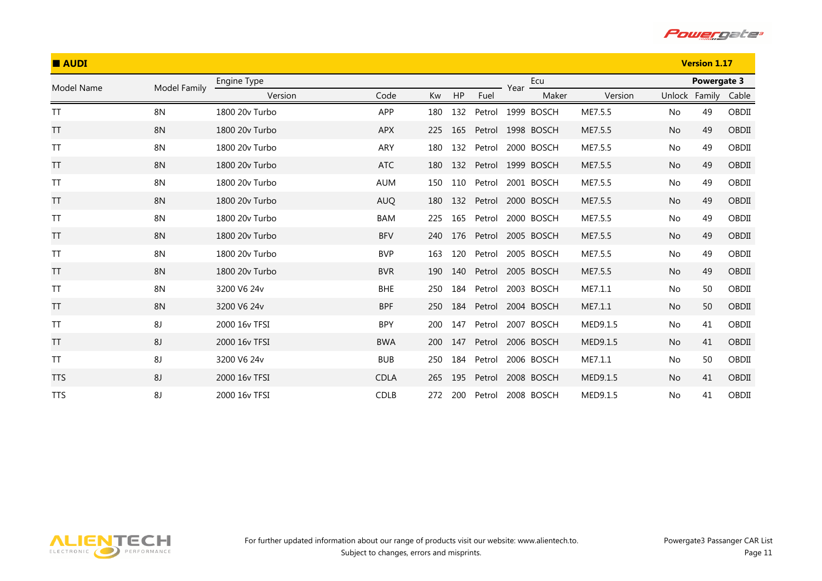

| <b>AUDI</b> |              |                |             |     |     |        |      |            |          |           | <b>Version 1.17</b> |       |
|-------------|--------------|----------------|-------------|-----|-----|--------|------|------------|----------|-----------|---------------------|-------|
| Model Name  | Model Family | Engine Type    |             |     |     |        | Year | Ecu        |          |           | Powergate 3         |       |
|             |              | Version        | Code        | Kw  | HP  | Fuel   |      | Maker      | Version  |           | Unlock Family       | Cable |
| <b>TT</b>   | <b>8N</b>    | 1800 20y Turbo | APP         | 180 | 132 | Petrol |      | 1999 BOSCH | ME7.5.5  | No        | 49                  | OBDII |
| TT          | <b>8N</b>    | 1800 20v Turbo | <b>APX</b>  | 225 | 165 | Petrol |      | 1998 BOSCH | ME7.5.5  | <b>No</b> | 49                  | OBDII |
| <b>TT</b>   | 8N           | 1800 20v Turbo | ARY         | 180 | 132 | Petrol |      | 2000 BOSCH | ME7.5.5  | No        | 49                  | OBDII |
| TT          | <b>8N</b>    | 1800 20v Turbo | <b>ATC</b>  | 180 | 132 | Petrol |      | 1999 BOSCH | ME7.5.5  | No        | 49                  | OBDII |
| <b>TT</b>   | 8N           | 1800 20v Turbo | <b>AUM</b>  | 150 | 110 | Petrol |      | 2001 BOSCH | ME7.5.5  | No        | 49                  | OBDII |
| <b>TT</b>   | 8N           | 1800 20v Turbo | <b>AUQ</b>  | 180 | 132 | Petrol |      | 2000 BOSCH | ME7.5.5  | No        | 49                  | OBDII |
| <b>TT</b>   | 8N           | 1800 20v Turbo | <b>BAM</b>  | 225 | 165 | Petrol |      | 2000 BOSCH | ME7.5.5  | No        | 49                  | OBDII |
| <b>TT</b>   | <b>8N</b>    | 1800 20v Turbo | <b>BFV</b>  | 240 | 176 | Petrol |      | 2005 BOSCH | ME7.5.5  | No        | 49                  | OBDII |
| <b>TT</b>   | 8N           | 1800 20v Turbo | <b>BVP</b>  | 163 | 120 | Petrol |      | 2005 BOSCH | ME7.5.5  | No        | 49                  | OBDII |
| <b>TT</b>   | <b>8N</b>    | 1800 20v Turbo | <b>BVR</b>  | 190 | 140 | Petrol |      | 2005 BOSCH | ME7.5.5  | No        | 49                  | OBDII |
| <b>TT</b>   | <b>8N</b>    | 3200 V6 24v    | <b>BHE</b>  | 250 | 184 | Petrol |      | 2003 BOSCH | ME7.1.1  | No        | 50                  | OBDII |
| <b>TT</b>   | <b>8N</b>    | 3200 V6 24v    | <b>BPF</b>  | 250 | 184 | Petrol |      | 2004 BOSCH | ME7.1.1  | <b>No</b> | 50                  | OBDII |
| <b>TT</b>   | 8J           | 2000 16v TFSI  | <b>BPY</b>  | 200 | 147 | Petrol |      | 2007 BOSCH | MED9.1.5 | No        | 41                  | OBDII |
| TT          | 8J           | 2000 16v TFSI  | <b>BWA</b>  | 200 | 147 | Petrol |      | 2006 BOSCH | MED9.1.5 | <b>No</b> | 41                  | OBDII |
| <b>TT</b>   | 8J           | 3200 V6 24v    | <b>BUB</b>  | 250 | 184 | Petrol |      | 2006 BOSCH | ME7.1.1  | No        | 50                  | OBDII |
| <b>TTS</b>  | 8J           | 2000 16v TFSI  | <b>CDLA</b> | 265 | 195 | Petrol |      | 2008 BOSCH | MED9.1.5 | No        | 41                  | OBDII |
| <b>TTS</b>  | 8J           | 2000 16v TFSI  | <b>CDLB</b> | 272 | 200 | Petrol |      | 2008 BOSCH | MED9.1.5 | No        | 41                  | OBDII |

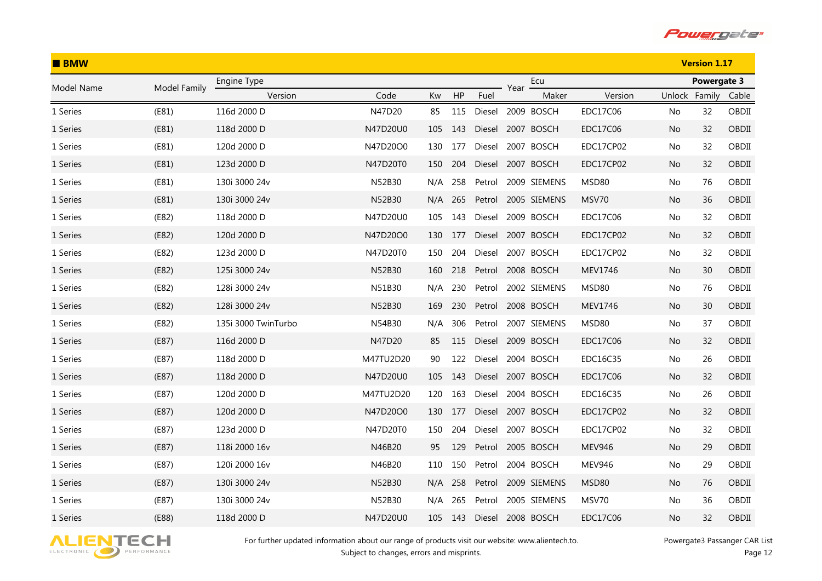

| <b>BMW</b> |              |                     |           |     |     |        |      | <b>Version 1.17</b> |                 |               |             |       |
|------------|--------------|---------------------|-----------|-----|-----|--------|------|---------------------|-----------------|---------------|-------------|-------|
| Model Name | Model Family | Engine Type         |           |     |     |        | Year | Ecu                 |                 |               | Powergate 3 |       |
|            |              | Version             | Code      | Kw  | HP  | Fuel   |      | Maker               | Version         | Unlock Family |             | Cable |
| 1 Series   | (E81)        | 116d 2000 D         | N47D20    | 85  | 115 | Diesel |      | 2009 BOSCH          | <b>EDC17C06</b> | No            | 32          | OBDII |
| 1 Series   | (E81)        | 118d 2000 D         | N47D20U0  | 105 | 143 | Diesel |      | 2007 BOSCH          | EDC17C06        | No            | 32          | OBDII |
| 1 Series   | (E81)        | 120d 2000 D         | N47D20O0  | 130 | 177 | Diesel |      | 2007 BOSCH          | EDC17CP02       | No            | 32          | OBDII |
| 1 Series   | (E81)        | 123d 2000 D         | N47D20T0  | 150 | 204 | Diesel |      | 2007 BOSCH          | EDC17CP02       | No.           | 32          | OBDII |
| 1 Series   | (E81)        | 130i 3000 24v       | N52B30    | N/A | 258 | Petrol |      | 2009 SIEMENS        | MSD80           | No.           | 76          | OBDII |
| 1 Series   | (E81)        | 130i 3000 24v       | N52B30    | N/A | 265 | Petrol |      | 2005 SIEMENS        | MSV70           | No.           | 36          | OBDII |
| 1 Series   | (E82)        | 118d 2000 D         | N47D20U0  | 105 | 143 | Diesel |      | 2009 BOSCH          | EDC17C06        | No            | 32          | OBDII |
| 1 Series   | (E82)        | 120d 2000 D         | N47D20O0  | 130 | 177 | Diesel |      | 2007 BOSCH          | EDC17CP02       | No.           | 32          | OBDII |
| 1 Series   | (E82)        | 123d 2000 D         | N47D20T0  | 150 | 204 | Diesel |      | 2007 BOSCH          | EDC17CP02       | No            | 32          | OBDII |
| 1 Series   | (E82)        | 125i 3000 24v       | N52B30    | 160 | 218 |        |      | Petrol 2008 BOSCH   | MEV1746         | No            | 30          | OBDII |
| 1 Series   | (E82)        | 128i 3000 24v       | N51B30    | N/A | 230 | Petrol |      | 2002 SIEMENS        | MSD80           | No.           | 76          | OBDII |
| 1 Series   | (E82)        | 128i 3000 24v       | N52B30    | 169 | 230 | Petrol |      | 2008 BOSCH          | MEV1746         | No.           | 30          | OBDII |
| 1 Series   | (E82)        | 135i 3000 TwinTurbo | N54B30    | N/A | 306 | Petrol |      | 2007 SIEMENS        | MSD80           | No.           | 37          | OBDII |
| 1 Series   | (E87)        | 116d 2000 D         | N47D20    | 85  | 115 | Diesel |      | 2009 BOSCH          | EDC17C06        | No            | 32          | OBDII |
| 1 Series   | (E87)        | 118d 2000 D         | M47TU2D20 | 90  | 122 | Diesel |      | 2004 BOSCH          | EDC16C35        | No.           | 26          | OBDII |
| 1 Series   | (E87)        | 118d 2000 D         | N47D20U0  | 105 | 143 | Diesel |      | 2007 BOSCH          | EDC17C06        | No.           | 32          | OBDII |
| 1 Series   | (E87)        | 120d 2000 D         | M47TU2D20 | 120 | 163 | Diesel |      | 2004 BOSCH          | EDC16C35        | No            | 26          | OBDII |
| 1 Series   | (E87)        | 120d 2000 D         | N47D20O0  | 130 | 177 | Diesel |      | 2007 BOSCH          | EDC17CP02       | No            | 32          | OBDII |
| 1 Series   | (E87)        | 123d 2000 D         | N47D20T0  | 150 | 204 | Diesel |      | 2007 BOSCH          | EDC17CP02       | No            | 32          | OBDII |
| 1 Series   | (E87)        | 118i 2000 16v       | N46B20    | 95  | 129 | Petrol |      | 2005 BOSCH          | <b>MEV946</b>   | No            | 29          | OBDII |
| 1 Series   | (E87)        | 120i 2000 16v       | N46B20    | 110 | 150 | Petrol |      | 2004 BOSCH          | <b>MEV946</b>   | No.           | 29          | OBDII |
| 1 Series   | (E87)        | 130i 3000 24v       | N52B30    | N/A | 258 | Petrol |      | 2009 SIEMENS        | MSD80           | No.           | 76          | OBDII |
| 1 Series   | (E87)        | 130i 3000 24v       | N52B30    | N/A | 265 | Petrol |      | 2005 SIEMENS        | MSV70           | No.           | 36          | OBDII |
| 1 Series   | (E88)        | 118d 2000 D         | N47D20U0  | 105 | 143 | Diesel |      | 2008 BOSCH          | EDC17C06        | No            | 32          | OBDII |

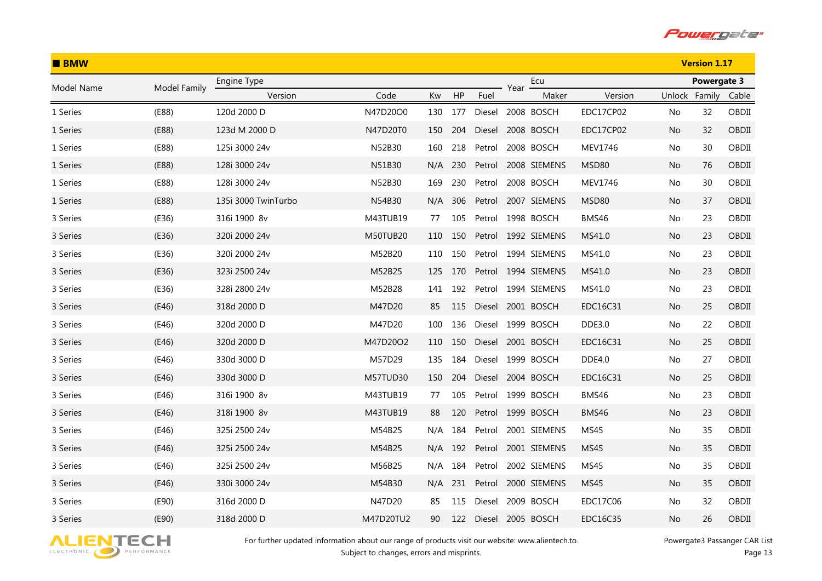

| <b>BMW</b> |              |                     |           |     |     |        |      | <b>Version 1.17</b> |               |               |             |       |
|------------|--------------|---------------------|-----------|-----|-----|--------|------|---------------------|---------------|---------------|-------------|-------|
| Model Name | Model Family | Engine Type         |           |     |     |        | Year | Ecu                 |               |               | Powergate 3 |       |
|            |              | Version             | Code      | Kw  | HP  | Fuel   |      | Maker               | Version       | Unlock Family |             | Cable |
| 1 Series   | (E88)        | 120d 2000 D         | N47D20O0  | 130 | 177 | Diesel |      | 2008 BOSCH          | EDC17CP02     | No            | 32          | OBDII |
| 1 Series   | (E88)        | 123d M 2000 D       | N47D20T0  | 150 | 204 | Diesel |      | 2008 BOSCH          | EDC17CP02     | No.           | 32          | OBDII |
| 1 Series   | (E88)        | 125i 3000 24v       | N52B30    | 160 | 218 | Petrol |      | 2008 BOSCH          | MEV1746       | No            | 30          | OBDII |
| 1 Series   | (E88)        | 128i 3000 24v       | N51B30    | N/A | 230 | Petrol |      | 2008 SIEMENS        | MSD80         | No.           | 76          | OBDII |
| 1 Series   | (E88)        | 128i 3000 24v       | N52B30    | 169 | 230 | Petrol |      | 2008 BOSCH          | MEV1746       | No            | 30          | OBDII |
| 1 Series   | (E88)        | 135i 3000 TwinTurbo | N54B30    | N/A | 306 | Petrol |      | 2007 SIEMENS        | MSD80         | No.           | 37          | OBDII |
| 3 Series   | (E36)        | 316i 1900 8v        | M43TUB19  | 77  | 105 | Petrol |      | 1998 BOSCH          | BMS46         | No.           | 23          | OBDII |
| 3 Series   | (E36)        | 320i 2000 24v       | M50TUB20  | 110 | 150 |        |      | Petrol 1992 SIEMENS | MS41.0        | No.           | 23          | OBDII |
| 3 Series   | (E36)        | 320i 2000 24v       | M52B20    | 110 | 150 | Petrol |      | 1994 SIEMENS        | MS41.0        | No.           | 23          | OBDII |
| 3 Series   | (E36)        | 323i 2500 24v       | M52B25    | 125 | 170 | Petrol |      | 1994 SIEMENS        | MS41.0        | No.           | 23          | OBDII |
| 3 Series   | (E36)        | 328i 2800 24v       | M52B28    | 141 | 192 | Petrol |      | 1994 SIEMENS        | MS41.0        | No.           | 23          | OBDII |
| 3 Series   | (E46)        | 318d 2000 D         | M47D20    | 85  | 115 | Diesel |      | 2001 BOSCH          | EDC16C31      | No.           | 25          | OBDII |
| 3 Series   | (E46)        | 320d 2000 D         | M47D20    | 100 | 136 | Diesel |      | 1999 BOSCH          | DDE3.0        | No.           | 22          | OBDII |
| 3 Series   | (E46)        | 320d 2000 D         | M47D20O2  | 110 | 150 | Diesel |      | 2001 BOSCH          | EDC16C31      | No.           | 25          | OBDII |
| 3 Series   | (E46)        | 330d 3000 D         | M57D29    | 135 | 184 | Diesel |      | 1999 BOSCH          | <b>DDE4.0</b> | No.           | 27          | OBDII |
| 3 Series   | (E46)        | 330d 3000 D         | M57TUD30  | 150 | 204 | Diesel |      | 2004 BOSCH          | EDC16C31      | No.           | 25          | OBDII |
| 3 Series   | (E46)        | 316i 1900 8v        | M43TUB19  | 77  | 105 | Petrol |      | 1999 BOSCH          | BMS46         | No.           | 23          | OBDII |
| 3 Series   | (E46)        | 318i 1900 8v        | M43TUB19  | 88  | 120 |        |      | Petrol 1999 BOSCH   | <b>BMS46</b>  | No            | 23          | OBDII |
| 3 Series   | (E46)        | 325i 2500 24v       | M54B25    | N/A | 184 | Petrol |      | 2001 SIEMENS        | MS45          | No            | 35          | OBDII |
| 3 Series   | (E46)        | 325i 2500 24v       | M54B25    | N/A | 192 | Petrol |      | 2001 SIEMENS        | <b>MS45</b>   | No            | 35          | OBDII |
| 3 Series   | (E46)        | 325i 2500 24v       | M56B25    | N/A | 184 | Petrol |      | 2002 SIEMENS        | MS45          | No.           | 35          | OBDII |
| 3 Series   | (E46)        | 330i 3000 24v       | M54B30    | N/A | 231 | Petrol |      | 2000 SIEMENS        | <b>MS45</b>   | No            | 35          | OBDII |
| 3 Series   | (E90)        | 316d 2000 D         | N47D20    | 85  | 115 | Diesel |      | 2009 BOSCH          | EDC17C06      | No.           | 32          | OBDII |
| 3 Series   | (E90)        | 318d 2000 D         | M47D20TU2 | 90  | 122 | Diesel |      | 2005 BOSCH          | EDC16C35      | No            | 26          | OBDII |

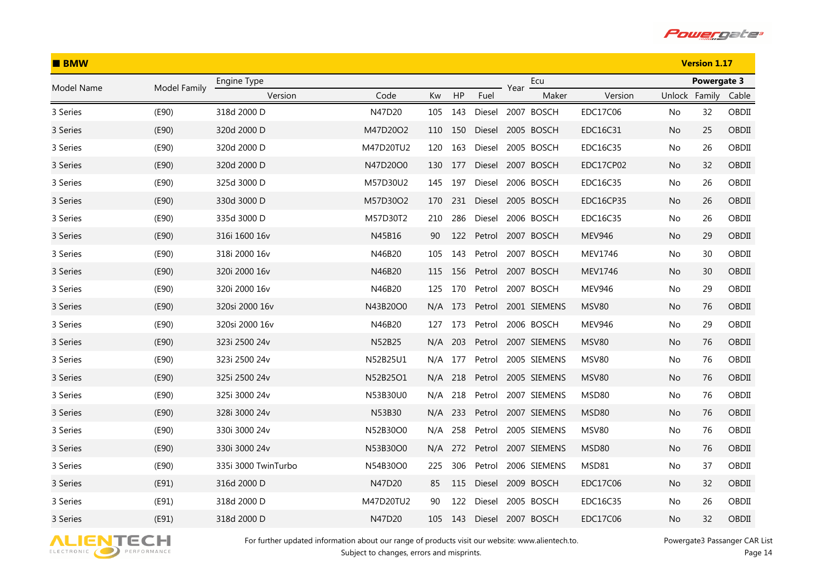

| <b>BMW</b> |              |                     |           |     |     |        |      | <b>Version 1.17</b> |                 |               |             |       |
|------------|--------------|---------------------|-----------|-----|-----|--------|------|---------------------|-----------------|---------------|-------------|-------|
| Model Name | Model Family | Engine Type         |           |     |     |        | Year | Ecu                 |                 |               | Powergate 3 |       |
|            |              | Version             | Code      | Kw  | HP  | Fuel   |      | Maker               | Version         | Unlock Family |             | Cable |
| 3 Series   | (E90)        | 318d 2000 D         | N47D20    | 105 | 143 | Diesel |      | 2007 BOSCH          | EDC17C06        | No            | 32          | OBDII |
| 3 Series   | (E90)        | 320d 2000 D         | M47D20O2  | 110 | 150 | Diesel |      | 2005 BOSCH          | EDC16C31        | No.           | 25          | OBDII |
| 3 Series   | (E90)        | 320d 2000 D         | M47D20TU2 | 120 | 163 | Diesel |      | 2005 BOSCH          | EDC16C35        | No            | 26          | OBDII |
| 3 Series   | (E90)        | 320d 2000 D         | N47D20O0  | 130 | 177 | Diesel |      | 2007 BOSCH          | EDC17CP02       | No.           | 32          | OBDII |
| 3 Series   | (E90)        | 325d 3000 D         | M57D30U2  | 145 | 197 | Diesel |      | 2006 BOSCH          | EDC16C35        | No            | 26          | OBDII |
| 3 Series   | (E90)        | 330d 3000 D         | M57D30O2  | 170 | 231 | Diesel |      | 2005 BOSCH          | EDC16CP35       | No.           | 26          | OBDII |
| 3 Series   | (E90)        | 335d 3000 D         | M57D30T2  | 210 | 286 | Diesel |      | 2006 BOSCH          | EDC16C35        | No            | 26          | OBDII |
| 3 Series   | (E90)        | 316i 1600 16v       | N45B16    | 90  | 122 | Petrol |      | 2007 BOSCH          | <b>MEV946</b>   | No.           | 29          | OBDII |
| 3 Series   | (E90)        | 318i 2000 16v       | N46B20    | 105 | 143 | Petrol |      | 2007 BOSCH          | <b>MEV1746</b>  | No.           | 30          | OBDII |
| 3 Series   | (E90)        | 320i 2000 16v       | N46B20    | 115 | 156 | Petrol |      | 2007 BOSCH          | MEV1746         | No.           | 30          | OBDII |
| 3 Series   | (E90)        | 320i 2000 16v       | N46B20    | 125 | 170 | Petrol |      | 2007 BOSCH          | <b>MEV946</b>   | No.           | 29          | OBDII |
| 3 Series   | (E90)        | 320si 2000 16v      | N43B20O0  | N/A | 173 | Petrol |      | 2001 SIEMENS        | MSV80           | No.           | 76          | OBDII |
| 3 Series   | (E90)        | 320si 2000 16v      | N46B20    | 127 | 173 | Petrol |      | 2006 BOSCH          | <b>MEV946</b>   | No.           | 29          | OBDII |
| 3 Series   | (E90)        | 323i 2500 24v       | N52B25    | N/A | 203 | Petrol |      | 2007 SIEMENS        | <b>MSV80</b>    | No.           | 76          | OBDII |
| 3 Series   | (E90)        | 323i 2500 24v       | N52B25U1  | N/A | 177 | Petrol |      | 2005 SIEMENS        | MSV80           | No.           | 76          | OBDII |
| 3 Series   | (E90)        | 325i 2500 24v       | N52B25O1  | N/A | 218 | Petrol |      | 2005 SIEMENS        | <b>MSV80</b>    | No.           | 76          | OBDII |
| 3 Series   | (E90)        | 325i 3000 24v       | N53B30U0  | N/A | 218 | Petrol |      | 2007 SIEMENS        | MSD80           | No.           | 76          | OBDII |
| 3 Series   | (E90)        | 328i 3000 24v       | N53B30    | N/A | 233 | Petrol |      | 2007 SIEMENS        | MSD80           | No            | 76          | OBDII |
| 3 Series   | (E90)        | 330i 3000 24v       | N52B30O0  | N/A | 258 | Petrol |      | 2005 SIEMENS        | MSV80           | No            | 76          | OBDII |
| 3 Series   | (E90)        | 330i 3000 24v       | N53B30O0  | N/A | 272 | Petrol |      | 2007 SIEMENS        | MSD80           | No            | 76          | OBDII |
| 3 Series   | (E90)        | 335i 3000 TwinTurbo | N54B30O0  | 225 | 306 | Petrol |      | 2006 SIEMENS        | MSD81           | No.           | 37          | OBDII |
| 3 Series   | (E91)        | 316d 2000 D         | N47D20    | 85  | 115 | Diesel |      | 2009 BOSCH          | <b>EDC17C06</b> | No.           | 32          | OBDII |
| 3 Series   | (E91)        | 318d 2000 D         | M47D20TU2 | 90  | 122 | Diesel |      | 2005 BOSCH          | EDC16C35        | No.           | 26          | OBDII |
| 3 Series   | (E91)        | 318d 2000 D         | N47D20    | 105 | 143 | Diesel |      | 2007 BOSCH          | EDC17C06        | No            | 32          | OBDII |

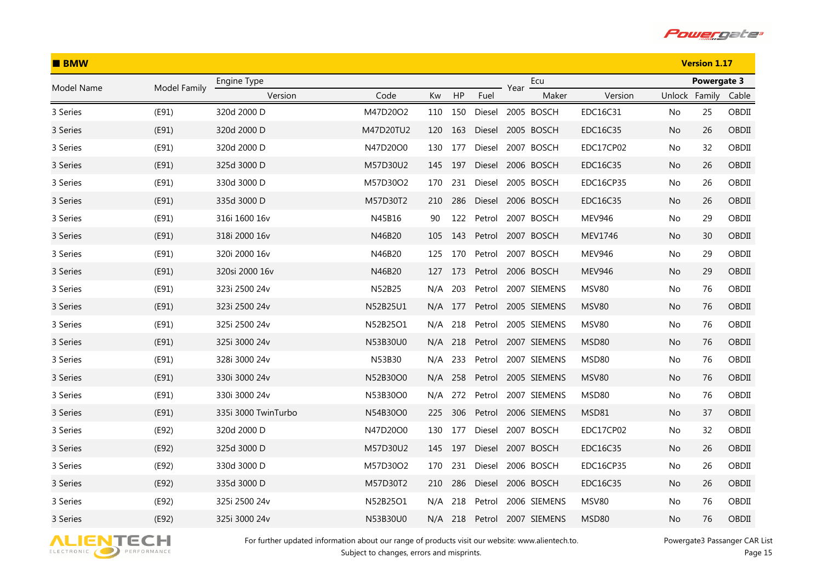

| <b>BMW</b> |              |                     |           |         |     |        |      | <b>Version 1.17</b> |                  |               |             |       |
|------------|--------------|---------------------|-----------|---------|-----|--------|------|---------------------|------------------|---------------|-------------|-------|
| Model Name | Model Family | Engine Type         |           |         |     |        | Year | Ecu                 |                  |               | Powergate 3 |       |
|            |              | Version             | Code      | Kw      | HP  | Fuel   |      | Maker               | Version          | Unlock Family |             | Cable |
| 3 Series   | (E91)        | 320d 2000 D         | M47D20O2  | 110     | 150 | Diesel |      | 2005 BOSCH          | EDC16C31         | No            | 25          | OBDII |
| 3 Series   | (E91)        | 320d 2000 D         | M47D20TU2 | 120     | 163 | Diesel |      | 2005 BOSCH          | EDC16C35         | No.           | 26          | OBDII |
| 3 Series   | (E91)        | 320d 2000 D         | N47D20O0  | 130     | 177 | Diesel |      | 2007 BOSCH          | EDC17CP02        | No            | 32          | OBDII |
| 3 Series   | (E91)        | 325d 3000 D         | M57D30U2  | 145     | 197 | Diesel |      | 2006 BOSCH          | EDC16C35         | No.           | 26          | OBDII |
| 3 Series   | (E91)        | 330d 3000 D         | M57D30O2  | 170     | 231 | Diesel |      | 2005 BOSCH          | EDC16CP35        | No            | 26          | OBDII |
| 3 Series   | (E91)        | 335d 3000 D         | M57D30T2  | 210     | 286 | Diesel |      | 2006 BOSCH          | EDC16C35         | No.           | 26          | OBDII |
| 3 Series   | (E91)        | 316i 1600 16v       | N45B16    | 90      | 122 | Petrol |      | 2007 BOSCH          | <b>MEV946</b>    | No            | 29          | OBDII |
| 3 Series   | (E91)        | 318i 2000 16v       | N46B20    | 105     | 143 | Petrol |      | 2007 BOSCH          | MEV1746          | No.           | 30          | OBDII |
| 3 Series   | (E91)        | 320i 2000 16v       | N46B20    | 125     | 170 | Petrol |      | 2007 BOSCH          | <b>MEV946</b>    | No.           | 29          | OBDII |
| 3 Series   | (E91)        | 320si 2000 16v      | N46B20    | 127     | 173 | Petrol |      | 2006 BOSCH          | <b>MEV946</b>    | No.           | 29          | OBDII |
| 3 Series   | (E91)        | 323i 2500 24v       | N52B25    | N/A     | 203 | Petrol |      | 2007 SIEMENS        | MSV80            | No.           | 76          | OBDII |
| 3 Series   | (E91)        | 323i 2500 24v       | N52B25U1  | N/A     | 177 | Petrol |      | 2005 SIEMENS        | MSV80            | No.           | 76          | OBDII |
| 3 Series   | (E91)        | 325i 2500 24v       | N52B25O1  | N/A     | 218 | Petrol |      | 2005 SIEMENS        | MSV80            | No.           | 76          | OBDII |
| 3 Series   | (E91)        | 325i 3000 24v       | N53B30U0  | N/A     | 218 | Petrol |      | 2007 SIEMENS        | MSD80            | No.           | 76          | OBDII |
| 3 Series   | (E91)        | 328i 3000 24v       | N53B30    | N/A     | 233 | Petrol |      | 2007 SIEMENS        | MSD80            | No.           | 76          | OBDII |
| 3 Series   | (E91)        | 330i 3000 24v       | N52B30O0  | N/A     | 258 | Petrol |      | 2005 SIEMENS        | <b>MSV80</b>     | No.           | 76          | OBDII |
| 3 Series   | (E91)        | 330i 3000 24v       | N53B30O0  | N/A     | 272 | Petrol |      | 2007 SIEMENS        | MSD80            | No.           | 76          | OBDII |
| 3 Series   | (E91)        | 335i 3000 TwinTurbo | N54B30O0  | 225     | 306 | Petrol |      | 2006 SIEMENS        | MSD81            | No            | 37          | OBDII |
| 3 Series   | (E92)        | 320d 2000 D         | N47D20O0  | 130     | 177 | Diesel |      | 2007 BOSCH          | EDC17CP02        | No            | 32          | OBDII |
| 3 Series   | (E92)        | 325d 3000 D         | M57D30U2  | 145     | 197 | Diesel |      | 2007 BOSCH          | EDC16C35         | No            | 26          | OBDII |
| 3 Series   | (E92)        | 330d 3000 D         | M57D30O2  | 170     | 231 | Diesel |      | 2006 BOSCH          | <b>EDC16CP35</b> | No.           | 26          | OBDII |
| 3 Series   | (E92)        | 335d 3000 D         | M57D30T2  | 210     | 286 | Diesel |      | 2006 BOSCH          | EDC16C35         | No            | 26          | OBDII |
| 3 Series   | (E92)        | 325i 2500 24v       | N52B25O1  | N/A     | 218 | Petrol |      | 2006 SIEMENS        | MSV80            | No.           | 76          | OBDII |
| 3 Series   | (E92)        | 325i 3000 24v       | N53B30U0  | N/A 218 |     | Petrol |      | 2007 SIEMENS        | <b>MSD80</b>     | No            | 76          | OBDII |

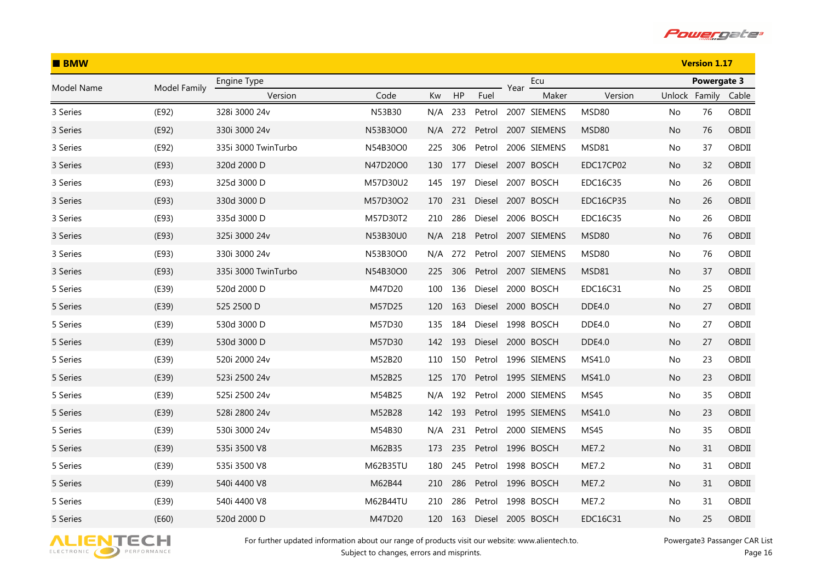

| <b>BMW</b> |              |                     |          |     |     |        |      | <b>Version 1.17</b> |               |               |             |       |
|------------|--------------|---------------------|----------|-----|-----|--------|------|---------------------|---------------|---------------|-------------|-------|
| Model Name | Model Family | Engine Type         |          |     |     |        | Year | Ecu                 |               |               | Powergate 3 |       |
|            |              | Version             | Code     | Kw  | HP  | Fuel   |      | Maker               | Version       | Unlock Family |             | Cable |
| 3 Series   | (E92)        | 328i 3000 24v       | N53B30   | N/A | 233 | Petrol |      | 2007 SIEMENS        | MSD80         | No            | 76          | OBDII |
| 3 Series   | (E92)        | 330i 3000 24v       | N53B30O0 | N/A | 272 | Petrol |      | 2007 SIEMENS        | MSD80         | No.           | 76          | OBDII |
| 3 Series   | (E92)        | 335i 3000 TwinTurbo | N54B30O0 | 225 | 306 | Petrol |      | 2006 SIEMENS        | MSD81         | No            | 37          | OBDII |
| 3 Series   | (E93)        | 320d 2000 D         | N47D20O0 | 130 | 177 | Diesel |      | 2007 BOSCH          | EDC17CP02     | No.           | 32          | OBDII |
| 3 Series   | (E93)        | 325d 3000 D         | M57D30U2 | 145 | 197 | Diesel |      | 2007 BOSCH          | EDC16C35      | No            | 26          | OBDII |
| 3 Series   | (E93)        | 330d 3000 D         | M57D30O2 | 170 | 231 | Diesel |      | 2007 BOSCH          | EDC16CP35     | No.           | 26          | OBDII |
| 3 Series   | (E93)        | 335d 3000 D         | M57D30T2 | 210 | 286 | Diesel |      | 2006 BOSCH          | EDC16C35      | No            | 26          | OBDII |
| 3 Series   | (E93)        | 325i 3000 24v       | N53B30U0 | N/A | 218 | Petrol |      | 2007 SIEMENS        | MSD80         | No.           | 76          | OBDII |
| 3 Series   | (E93)        | 330i 3000 24v       | N53B30O0 | N/A | 272 | Petrol |      | 2007 SIEMENS        | MSD80         | No.           | 76          | OBDII |
| 3 Series   | (E93)        | 335i 3000 TwinTurbo | N54B30O0 | 225 | 306 | Petrol |      | 2007 SIEMENS        | MSD81         | No.           | 37          | OBDII |
| 5 Series   | (E39)        | 520d 2000 D         | M47D20   | 100 | 136 | Diesel |      | 2000 BOSCH          | EDC16C31      | No.           | 25          | OBDII |
| 5 Series   | (E39)        | 525 2500 D          | M57D25   | 120 | 163 | Diesel |      | 2000 BOSCH          | <b>DDE4.0</b> | No.           | 27          | OBDII |
| 5 Series   | (E39)        | 530d 3000 D         | M57D30   | 135 | 184 | Diesel |      | 1998 BOSCH          | DDE4.0        | No.           | 27          | OBDII |
| 5 Series   | (E39)        | 530d 3000 D         | M57D30   | 142 | 193 | Diesel |      | 2000 BOSCH          | <b>DDE4.0</b> | No.           | 27          | OBDII |
| 5 Series   | (E39)        | 520i 2000 24v       | M52B20   | 110 | 150 | Petrol |      | 1996 SIEMENS        | MS41.0        | No.           | 23          | OBDII |
| 5 Series   | (E39)        | 523i 2500 24v       | M52B25   | 125 | 170 |        |      | Petrol 1995 SIEMENS | MS41.0        | No.           | 23          | OBDII |
| 5 Series   | (E39)        | 525i 2500 24v       | M54B25   | N/A | 192 | Petrol |      | 2000 SIEMENS        | MS45          | No.           | 35          | OBDII |
| 5 Series   | (E39)        | 528i 2800 24v       | M52B28   | 142 | 193 |        |      | Petrol 1995 SIEMENS | MS41.0        | No            | 23          | OBDII |
| 5 Series   | (E39)        | 530i 3000 24v       | M54B30   | N/A | 231 | Petrol |      | 2000 SIEMENS        | MS45          | No            | 35          | OBDII |
| 5 Series   | (E39)        | 535i 3500 V8        | M62B35   | 173 | 235 | Petrol |      | 1996 BOSCH          | ME7.2         | No            | 31          | OBDII |
| 5 Series   | (E39)        | 535i 3500 V8        | M62B35TU | 180 | 245 | Petrol |      | 1998 BOSCH          | ME7.2         | No.           | 31          | OBDII |
| 5 Series   | (E39)        | 540i 4400 V8        | M62B44   | 210 | 286 | Petrol |      | 1996 BOSCH          | ME7.2         | No.           | 31          | OBDII |
| 5 Series   | (E39)        | 540i 4400 V8        | M62B44TU | 210 | 286 | Petrol |      | 1998 BOSCH          | ME7.2         | No.           | 31          | OBDII |
| 5 Series   | (E60)        | 520d 2000 D         | M47D20   | 120 | 163 | Diesel |      | 2005 BOSCH          | EDC16C31      | No            | 25          | OBDII |

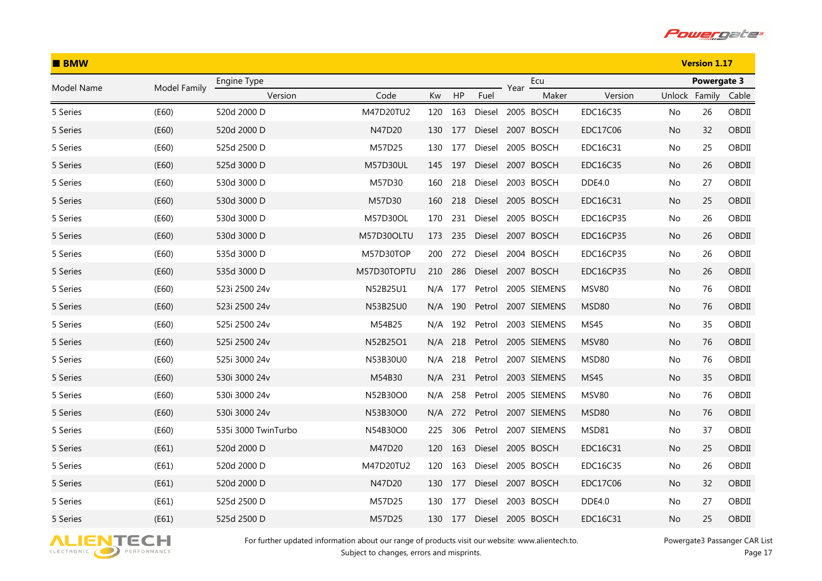

| <b>BMW</b> |              |                     |                 |     |     |        |      | <b>Version 1.17</b> |                  |               |             |       |
|------------|--------------|---------------------|-----------------|-----|-----|--------|------|---------------------|------------------|---------------|-------------|-------|
| Model Name | Model Family | Engine Type         |                 |     |     |        | Year | Ecu                 |                  |               | Powergate 3 |       |
|            |              | Version             | Code            | Kw  | HP  | Fuel   |      | Maker               | Version          | Unlock Family |             | Cable |
| 5 Series   | (E60)        | 520d 2000 D         | M47D20TU2       | 120 | 163 | Diesel |      | 2005 BOSCH          | EDC16C35         | No.           | 26          | OBDII |
| 5 Series   | (E60)        | 520d 2000 D         | N47D20          | 130 | 177 | Diesel |      | 2007 BOSCH          | EDC17C06         | No.           | 32          | OBDII |
| 5 Series   | (E60)        | 525d 2500 D         | M57D25          | 130 | 177 | Diesel |      | 2005 BOSCH          | EDC16C31         | No            | 25          | OBDII |
| 5 Series   | (E60)        | 525d 3000 D         | <b>M57D30UL</b> | 145 | 197 | Diesel |      | 2007 BOSCH          | EDC16C35         | No.           | 26          | OBDII |
| 5 Series   | (E60)        | 530d 3000 D         | M57D30          | 160 | 218 | Diesel |      | 2003 BOSCH          | <b>DDE4.0</b>    | No            | 27          | OBDII |
| 5 Series   | (E60)        | 530d 3000 D         | M57D30          | 160 | 218 | Diesel |      | 2005 BOSCH          | EDC16C31         | No.           | 25          | OBDII |
| 5 Series   | (E60)        | 530d 3000 D         | M57D30OL        | 170 | 231 | Diesel |      | 2005 BOSCH          | <b>EDC16CP35</b> | No            | 26          | OBDII |
| 5 Series   | (E60)        | 530d 3000 D         | M57D30OLTU      | 173 | 235 | Diesel |      | 2007 BOSCH          | <b>EDC16CP35</b> | No.           | 26          | OBDII |
| 5 Series   | (E60)        | 535d 3000 D         | M57D30TOP       | 200 | 272 | Diesel |      | 2004 BOSCH          | <b>EDC16CP35</b> | No.           | 26          | OBDII |
| 5 Series   | (E60)        | 535d 3000 D         | M57D30TOPTU     | 210 | 286 | Diesel |      | 2007 BOSCH          | <b>EDC16CP35</b> | No.           | 26          | OBDII |
| 5 Series   | (E60)        | 523i 2500 24v       | N52B25U1        | N/A | 177 | Petrol |      | 2005 SIEMENS        | MSV80            | No.           | 76          | OBDII |
| 5 Series   | (E60)        | 523i 2500 24v       | N53B25U0        | N/A | 190 | Petrol |      | 2007 SIEMENS        | MSD80            | No.           | 76          | OBDII |
| 5 Series   | (E60)        | 525i 2500 24v       | M54B25          | N/A | 192 | Petrol |      | 2003 SIEMENS        | MS45             | No.           | 35          | OBDII |
| 5 Series   | (E60)        | 525i 2500 24v       | N52B25O1        | N/A | 218 | Petrol |      | 2005 SIEMENS        | <b>MSV80</b>     | No.           | 76          | OBDII |
| 5 Series   | (E60)        | 525i 3000 24v       | N53B30U0        | N/A | 218 | Petrol |      | 2007 SIEMENS        | MSD80            | No.           | 76          | OBDII |
| 5 Series   | (E60)        | 530i 3000 24v       | M54B30          | N/A | 231 |        |      | Petrol 2003 SIEMENS | MS45             | No.           | 35          | OBDII |
| 5 Series   | (E60)        | 530i 3000 24v       | N52B30O0        | N/A | 258 | Petrol |      | 2005 SIEMENS        | MSV80            | No.           | 76          | OBDII |
| 5 Series   | (E60)        | 530i 3000 24v       | N53B30O0        | N/A | 272 | Petrol |      | 2007 SIEMENS        | MSD80            | No            | 76          | OBDII |
| 5 Series   | (E60)        | 535i 3000 TwinTurbo | N54B30O0        | 225 | 306 | Petrol |      | 2007 SIEMENS        | MSD81            | No.           | 37          | OBDII |
| 5 Series   | (E61)        | 520d 2000 D         | M47D20          | 120 | 163 | Diesel |      | 2005 BOSCH          | EDC16C31         | No            | 25          | OBDII |
| 5 Series   | (E61)        | 520d 2000 D         | M47D20TU2       | 120 | 163 | Diesel |      | 2005 BOSCH          | EDC16C35         | No.           | 26          | OBDII |
| 5 Series   | (E61)        | 520d 2000 D         | N47D20          | 130 | 177 | Diesel |      | 2007 BOSCH          | <b>EDC17C06</b>  | No            | 32          | OBDII |
| 5 Series   | (E61)        | 525d 2500 D         | M57D25          | 130 | 177 | Diesel |      | 2003 BOSCH          | DDE4.0           | No.           | 27          | OBDII |
| 5 Series   | (E61)        | 525d 2500 D         | M57D25          | 130 | 177 | Diesel |      | 2005 BOSCH          | EDC16C31         | No            | 25          | OBDII |

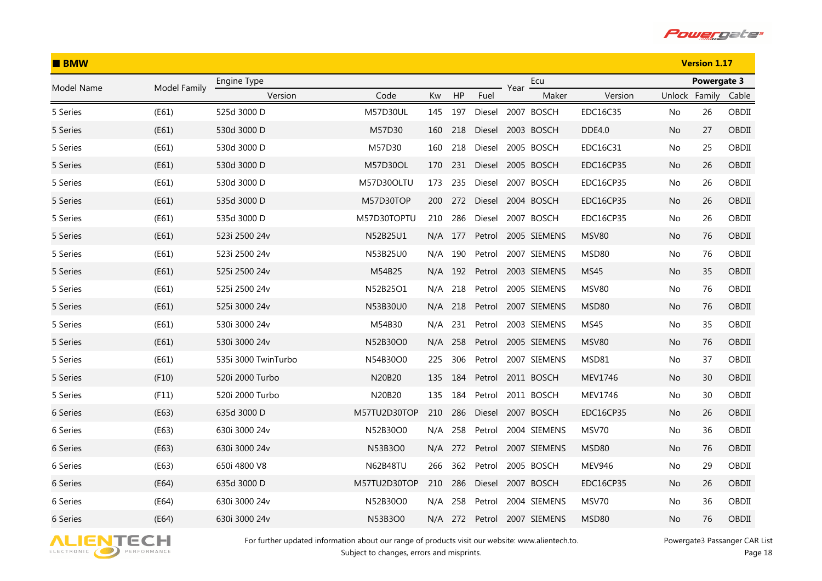

| $B$ BMW    |              |                     |                 |     |         |        |      | <b>Version 1.17</b> |                  |               |             |       |
|------------|--------------|---------------------|-----------------|-----|---------|--------|------|---------------------|------------------|---------------|-------------|-------|
| Model Name | Model Family | Engine Type         |                 |     |         |        | Year | Ecu                 |                  |               | Powergate 3 |       |
|            |              | Version             | Code            | Kw  | HP      | Fuel   |      | Maker               | Version          | Unlock Family |             | Cable |
| 5 Series   | (E61)        | 525d 3000 D         | M57D30UL        | 145 | 197     | Diesel |      | 2007 BOSCH          | EDC16C35         | No            | 26          | OBDII |
| 5 Series   | (E61)        | 530d 3000 D         | M57D30          | 160 | 218     | Diesel |      | 2003 BOSCH          | <b>DDE4.0</b>    | No.           | 27          | OBDII |
| 5 Series   | (E61)        | 530d 3000 D         | M57D30          | 160 | 218     | Diesel |      | 2005 BOSCH          | EDC16C31         | No            | 25          | OBDII |
| 5 Series   | (E61)        | 530d 3000 D         | M57D30OL        | 170 | 231     | Diesel |      | 2005 BOSCH          | <b>EDC16CP35</b> | No.           | 26          | OBDII |
| 5 Series   | (E61)        | 530d 3000 D         | M57D30OLTU      | 173 | 235     | Diesel |      | 2007 BOSCH          | EDC16CP35        | No            | 26          | OBDII |
| 5 Series   | (E61)        | 535d 3000 D         | M57D30TOP       | 200 | 272     | Diesel |      | 2004 BOSCH          | EDC16CP35        | No            | 26          | OBDII |
| 5 Series   | (E61)        | 535d 3000 D         | M57D30TOPTU     | 210 | 286     | Diesel |      | 2007 BOSCH          | EDC16CP35        | No            | 26          | OBDII |
| 5 Series   | (E61)        | 523i 2500 24v       | N52B25U1        |     | N/A 177 |        |      | Petrol 2005 SIEMENS | <b>MSV80</b>     | No.           | 76          | OBDII |
| 5 Series   | (E61)        | 523i 2500 24v       | N53B25U0        | N/A | 190     | Petrol |      | 2007 SIEMENS        | MSD80            | No            | 76          | OBDII |
| 5 Series   | (E61)        | 525i 2500 24v       | M54B25          |     | N/A 192 | Petrol |      | 2003 SIEMENS        | <b>MS45</b>      | No            | 35          | OBDII |
| 5 Series   | (E61)        | 525i 2500 24v       | N52B25O1        | N/A | 218     | Petrol |      | 2005 SIEMENS        | <b>MSV80</b>     | No            | 76          | OBDII |
| 5 Series   | (E61)        | 525i 3000 24v       | N53B30U0        | N/A | 218     | Petrol |      | 2007 SIEMENS        | MSD80            | No.           | 76          | OBDII |
| 5 Series   | (E61)        | 530i 3000 24v       | M54B30          | N/A | 231     | Petrol |      | 2003 SIEMENS        | <b>MS45</b>      | No            | 35          | OBDII |
| 5 Series   | (E61)        | 530i 3000 24v       | N52B30O0        | N/A | 258     | Petrol |      | 2005 SIEMENS        | <b>MSV80</b>     | No            | 76          | OBDII |
| 5 Series   | (E61)        | 535i 3000 TwinTurbo | N54B30O0        | 225 | 306     | Petrol |      | 2007 SIEMENS        | MSD81            | No            | 37          | OBDII |
| 5 Series   | (F10)        | 520i 2000 Turbo     | N20B20          | 135 | 184     | Petrol |      | 2011 BOSCH          | MEV1746          | No            | 30          | OBDII |
| 5 Series   | (F11)        | 520i 2000 Turbo     | N20B20          | 135 | 184     | Petrol |      | 2011 BOSCH          | MEV1746          | No            | 30          | OBDII |
| 6 Series   | (E63)        | 635d 3000 D         | M57TU2D30TOP    | 210 | 286     | Diesel |      | 2007 BOSCH          | <b>EDC16CP35</b> | No            | 26          | OBDII |
| 6 Series   | (E63)        | 630i 3000 24v       | N52B30O0        | N/A | 258     | Petrol |      | 2004 SIEMENS        | MSV70            | No            | 36          | OBDII |
| 6 Series   | (E63)        | 630i 3000 24v       | N53B3O0         |     | N/A 272 | Petrol |      | 2007 SIEMENS        | MSD80            | No            | 76          | OBDII |
| 6 Series   | (E63)        | 650i 4800 V8        | <b>N62B48TU</b> | 266 | 362     | Petrol |      | 2005 BOSCH          | <b>MEV946</b>    | No            | 29          | OBDII |
| 6 Series   | (E64)        | 635d 3000 D         | M57TU2D30TOP    | 210 | 286     | Diesel |      | 2007 BOSCH          | <b>EDC16CP35</b> | No            | 26          | OBDII |
| 6 Series   | (E64)        | 630i 3000 24v       | N52B30O0        | N/A | 258     | Petrol |      | 2004 SIEMENS        | MSV70            | No            | 36          | OBDII |
| 6 Series   | (E64)        | 630i 3000 24v       | N53B3O0         |     | N/A 272 | Petrol |      | 2007 SIEMENS        | MSD80            | No            | 76          | OBDII |

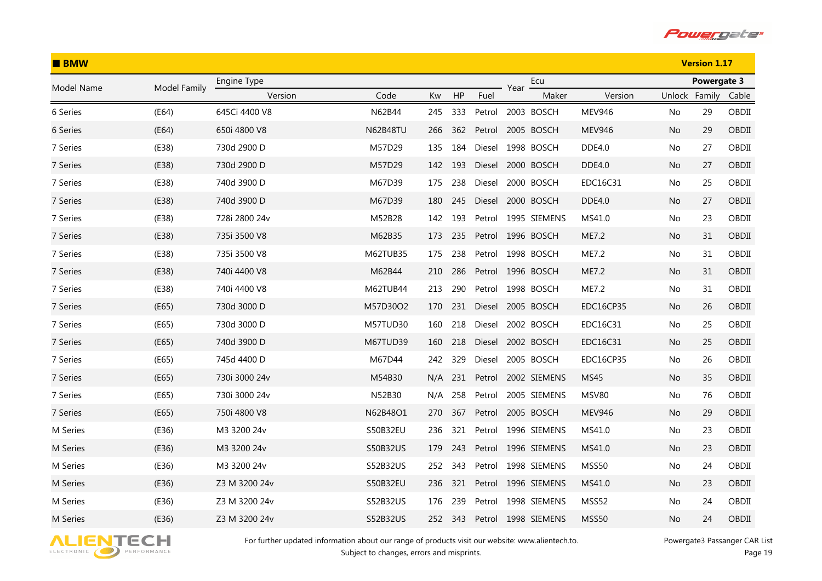

| <b>BMW</b> |              |               |                 |     |     |        |      | <b>Version 1.17</b> |                  |               |             |       |
|------------|--------------|---------------|-----------------|-----|-----|--------|------|---------------------|------------------|---------------|-------------|-------|
| Model Name | Model Family | Engine Type   |                 |     |     |        | Year | Ecu                 |                  |               | Powergate 3 |       |
|            |              | Version       | Code            | Kw  | HP  | Fuel   |      | Maker               | Version          | Unlock Family |             | Cable |
| 6 Series   | (E64)        | 645Ci 4400 V8 | N62B44          | 245 | 333 | Petrol |      | 2003 BOSCH          | <b>MEV946</b>    | No.           | 29          | OBDII |
| 6 Series   | (E64)        | 650i 4800 V8  | <b>N62B48TU</b> | 266 | 362 | Petrol |      | 2005 BOSCH          | <b>MEV946</b>    | No.           | 29          | OBDII |
| 7 Series   | (E38)        | 730d 2900 D   | M57D29          | 135 | 184 | Diesel |      | 1998 BOSCH          | DDE4.0           | No.           | 27          | OBDII |
| 7 Series   | (E38)        | 730d 2900 D   | M57D29          | 142 | 193 | Diesel |      | 2000 BOSCH          | <b>DDE4.0</b>    | No.           | 27          | OBDII |
| 7 Series   | (E38)        | 740d 3900 D   | M67D39          | 175 | 238 | Diesel |      | 2000 BOSCH          | EDC16C31         | No.           | 25          | OBDII |
| 7 Series   | (E38)        | 740d 3900 D   | M67D39          | 180 | 245 | Diesel |      | 2000 BOSCH          | <b>DDE4.0</b>    | No.           | 27          | OBDII |
| 7 Series   | (E38)        | 728i 2800 24v | M52B28          | 142 | 193 | Petrol |      | 1995 SIEMENS        | MS41.0           | No.           | 23          | OBDII |
| 7 Series   | (E38)        | 735i 3500 V8  | M62B35          | 173 | 235 |        |      | Petrol 1996 BOSCH   | ME7.2            | No.           | 31          | OBDII |
| 7 Series   | (E38)        | 735i 3500 V8  | M62TUB35        | 175 | 238 | Petrol |      | 1998 BOSCH          | ME7.2            | No.           | 31          | OBDII |
| 7 Series   | (E38)        | 740i 4400 V8  | M62B44          | 210 | 286 | Petrol |      | 1996 BOSCH          | ME7.2            | No.           | 31          | OBDII |
| 7 Series   | (E38)        | 740i 4400 V8  | M62TUB44        | 213 | 290 | Petrol |      | 1998 BOSCH          | ME7.2            | No.           | 31          | OBDII |
| 7 Series   | (E65)        | 730d 3000 D   | M57D30O2        | 170 | 231 | Diesel |      | 2005 BOSCH          | <b>EDC16CP35</b> | No.           | 26          | OBDII |
| 7 Series   | (E65)        | 730d 3000 D   | M57TUD30        | 160 | 218 | Diesel |      | 2002 BOSCH          | EDC16C31         | No.           | 25          | OBDII |
| 7 Series   | (E65)        | 740d 3900 D   | M67TUD39        | 160 | 218 | Diesel |      | 2002 BOSCH          | EDC16C31         | No            | 25          | OBDII |
| 7 Series   | (E65)        | 745d 4400 D   | M67D44          | 242 | 329 | Diesel |      | 2005 BOSCH          | EDC16CP35        | No.           | 26          | OBDII |
| 7 Series   | (E65)        | 730i 3000 24v | M54B30          | N/A | 231 |        |      | Petrol 2002 SIEMENS | MS45             | No.           | 35          | OBDII |
| 7 Series   | (E65)        | 730i 3000 24v | N52B30          | N/A | 258 | Petrol |      | 2005 SIEMENS        | MSV80            | No.           | 76          | OBDII |
| 7 Series   | (E65)        | 750i 4800 V8  | N62B48O1        | 270 | 367 |        |      | Petrol 2005 BOSCH   | <b>MEV946</b>    | No            | 29          | OBDII |
| M Series   | (E36)        | M3 3200 24v   | S50B32EU        | 236 | 321 | Petrol |      | 1996 SIEMENS        | MS41.0           | No            | 23          | OBDII |
| M Series   | (E36)        | M3 3200 24v   | S50B32US        | 179 | 243 | Petrol |      | 1996 SIEMENS        | MS41.0           | No            | 23          | OBDII |
| M Series   | (E36)        | M3 3200 24v   | S52B32US        | 252 | 343 | Petrol |      | 1998 SIEMENS        | MSS50            | No.           | 24          | OBDII |
| M Series   | (E36)        | Z3 M 3200 24v | S50B32EU        | 236 | 321 | Petrol |      | 1996 SIEMENS        | MS41.0           | No.           | 23          | OBDII |
| M Series   | (E36)        | Z3 M 3200 24v | S52B32US        | 176 | 239 | Petrol |      | 1998 SIEMENS        | MSS52            | No.           | 24          | OBDII |
| M Series   | (E36)        | Z3 M 3200 24v | S52B32US        | 252 | 343 | Petrol |      | 1998 SIEMENS        | <b>MSS50</b>     | No            | 24          | OBDII |

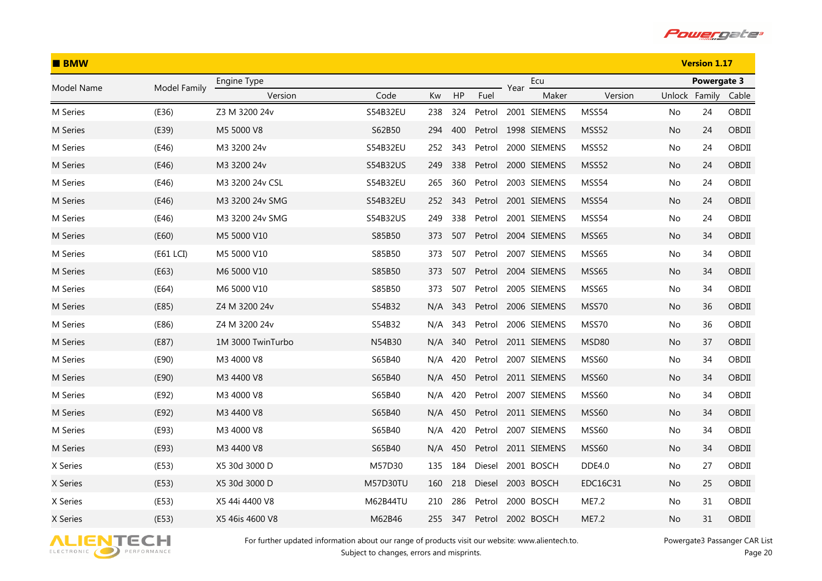

| <b>BMW</b> |              |                   |          |     |     |        |      | <b>Version 1.17</b> |               |               |             |       |
|------------|--------------|-------------------|----------|-----|-----|--------|------|---------------------|---------------|---------------|-------------|-------|
| Model Name | Model Family | Engine Type       |          |     |     |        | Year | Ecu                 |               |               | Powergate 3 |       |
|            |              | Version           | Code     | Kw  | HP  | Fuel   |      | Maker               | Version       | Unlock Family |             | Cable |
| M Series   | (E36)        | Z3 M 3200 24v     | S54B32EU | 238 | 324 | Petrol |      | 2001 SIEMENS        | MSS54         | No            | 24          | OBDII |
| M Series   | (E39)        | M5 5000 V8        | S62B50   | 294 | 400 | Petrol |      | 1998 SIEMENS        | MSS52         | No            | 24          | OBDII |
| M Series   | (E46)        | M3 3200 24v       | S54B32EU | 252 | 343 | Petrol |      | 2000 SIEMENS        | MSS52         | No            | 24          | OBDII |
| M Series   | (E46)        | M3 3200 24v       | S54B32US | 249 | 338 | Petrol |      | 2000 SIEMENS        | MSS52         | No            | 24          | OBDII |
| M Series   | (E46)        | M3 3200 24v CSL   | S54B32EU | 265 | 360 | Petrol |      | 2003 SIEMENS        | MSS54         | No            | 24          | OBDII |
| M Series   | (E46)        | M3 3200 24v SMG   | S54B32EU | 252 | 343 | Petrol |      | 2001 SIEMENS        | MSS54         | No            | 24          | OBDII |
| M Series   | (E46)        | M3 3200 24v SMG   | S54B32US | 249 | 338 | Petrol |      | 2001 SIEMENS        | MSS54         | No            | 24          | OBDII |
| M Series   | (E60)        | M5 5000 V10       | S85B50   | 373 | 507 | Petrol |      | 2004 SIEMENS        | MSS65         | No            | 34          | OBDII |
| M Series   | (E61 LCI)    | M5 5000 V10       | S85B50   | 373 | 507 | Petrol |      | 2007 SIEMENS        | MSS65         | No            | 34          | OBDII |
| M Series   | (E63)        | M6 5000 V10       | S85B50   | 373 | 507 | Petrol |      | 2004 SIEMENS        | MSS65         | No            | 34          | OBDII |
| M Series   | (E64)        | M6 5000 V10       | S85B50   | 373 | 507 | Petrol |      | 2005 SIEMENS        | MSS65         | No            | 34          | OBDII |
| M Series   | (E85)        | Z4 M 3200 24v     | S54B32   | N/A | 343 | Petrol |      | 2006 SIEMENS        | MSS70         | No            | 36          | OBDII |
| M Series   | (E86)        | Z4 M 3200 24v     | S54B32   | N/A | 343 | Petrol |      | 2006 SIEMENS        | MSS70         | No            | 36          | OBDII |
| M Series   | (E87)        | 1M 3000 TwinTurbo | N54B30   | N/A | 340 | Petrol |      | 2011 SIEMENS        | MSD80         | No            | 37          | OBDII |
| M Series   | (E90)        | M3 4000 V8        | S65B40   | N/A | 420 | Petrol |      | 2007 SIEMENS        | MSS60         | No            | 34          | OBDII |
| M Series   | (E90)        | M3 4400 V8        | S65B40   | N/A | 450 |        |      | Petrol 2011 SIEMENS | <b>MSS60</b>  | No            | 34          | OBDII |
| M Series   | (E92)        | M3 4000 V8        | S65B40   | N/A | 420 | Petrol |      | 2007 SIEMENS        | MSS60         | No            | 34          | OBDII |
| M Series   | (E92)        | M3 4400 V8        | S65B40   | N/A | 450 | Petrol |      | 2011 SIEMENS        | <b>MSS60</b>  | No            | 34          | OBDII |
| M Series   | (E93)        | M3 4000 V8        | S65B40   | N/A | 420 | Petrol |      | 2007 SIEMENS        | MSS60         | No            | 34          | OBDII |
| M Series   | (E93)        | M3 4400 V8        | S65B40   | N/A | 450 | Petrol |      | 2011 SIEMENS        | <b>MSS60</b>  | No            | 34          | OBDII |
| X Series   | (E53)        | X5 30d 3000 D     | M57D30   | 135 | 184 | Diesel |      | 2001 BOSCH          | <b>DDE4.0</b> | No            | 27          | OBDII |
| X Series   | (E53)        | X5 30d 3000 D     | M57D30TU | 160 | 218 | Diesel |      | 2003 BOSCH          | EDC16C31      | No            | 25          | OBDII |
| X Series   | (E53)        | X5 44i 4400 V8    | M62B44TU | 210 | 286 | Petrol |      | 2000 BOSCH          | ME7.2         | No            | 31          | OBDII |
| X Series   | (E53)        | X5 46is 4600 V8   | M62B46   | 255 | 347 | Petrol |      | 2002 BOSCH          | ME7.2         | No            | 31          | OBDII |

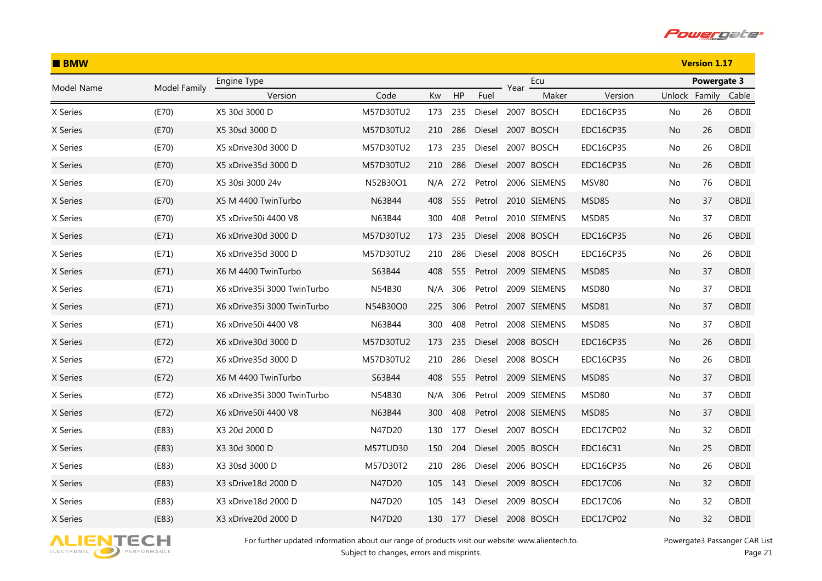

| $B$ BMW    |              |                             |           |     |     |               |      | <b>Version 1.17</b> |                  |        |             |       |
|------------|--------------|-----------------------------|-----------|-----|-----|---------------|------|---------------------|------------------|--------|-------------|-------|
| Model Name | Model Family | Engine Type                 |           |     |     |               | Year | Ecu                 |                  |        | Powergate 3 |       |
|            |              | Version                     | Code      | Kw  | HP  | Fuel          |      | Maker               | Version          | Unlock | Family      | Cable |
| X Series   | (E70)        | X5 30d 3000 D               | M57D30TU2 | 173 | 235 | Diesel        |      | 2007 BOSCH          | EDC16CP35        | No     | 26          | OBDII |
| X Series   | (E70)        | X5 30sd 3000 D              | M57D30TU2 | 210 | 286 | Diesel        |      | 2007 BOSCH          | <b>EDC16CP35</b> | No.    | 26          | OBDII |
| X Series   | (E70)        | X5 xDrive30d 3000 D         | M57D30TU2 | 173 | 235 | Diesel        |      | 2007 BOSCH          | <b>EDC16CP35</b> | No     | 26          | OBDII |
| X Series   | (E70)        | X5 xDrive35d 3000 D         | M57D30TU2 | 210 | 286 | Diesel        |      | 2007 BOSCH          | <b>EDC16CP35</b> | No     | 26          | OBDII |
| X Series   | (E70)        | X5 30si 3000 24v            | N52B30O1  | N/A | 272 | Petrol        |      | 2006 SIEMENS        | <b>MSV80</b>     | No     | 76          | OBDII |
| X Series   | (E70)        | X5 M 4400 TwinTurbo         | N63B44    | 408 | 555 | Petrol        |      | 2010 SIEMENS        | MSD85            | No     | 37          | OBDII |
| X Series   | (E70)        | X5 xDrive50i 4400 V8        | N63B44    | 300 | 408 | Petrol        |      | 2010 SIEMENS        | MSD85            | No     | 37          | OBDII |
| X Series   | (E71)        | X6 xDrive30d 3000 D         | M57D30TU2 | 173 | 235 | Diesel        |      | 2008 BOSCH          | <b>EDC16CP35</b> | No     | 26          | OBDII |
| X Series   | (E71)        | X6 xDrive 35d 3000 D        | M57D30TU2 | 210 | 286 | Diesel        |      | 2008 BOSCH          | EDC16CP35        | No     | 26          | OBDII |
| X Series   | (E71)        | X6 M 4400 TwinTurbo         | S63B44    | 408 | 555 | Petrol        |      | 2009 SIEMENS        | MSD85            | No     | 37          | OBDII |
| X Series   | (E71)        | X6 xDrive35i 3000 TwinTurbo | N54B30    | N/A | 306 | Petrol        |      | 2009 SIEMENS        | MSD80            | No     | 37          | OBDII |
| X Series   | (E71)        | X6 xDrive35i 3000 TwinTurbo | N54B30O0  | 225 | 306 | Petrol        |      | 2007 SIEMENS        | MSD81            | No.    | 37          | OBDII |
| X Series   | (E71)        | X6 xDrive50i 4400 V8        | N63B44    | 300 | 408 | Petrol        |      | 2008 SIEMENS        | MSD85            | No     | 37          | OBDII |
| X Series   | (E72)        | X6 xDrive30d 3000 D         | M57D30TU2 | 173 | 235 | <b>Diesel</b> |      | 2008 BOSCH          | <b>EDC16CP35</b> | No     | 26          | OBDII |
| X Series   | (E72)        | X6 xDrive35d 3000 D         | M57D30TU2 | 210 | 286 | Diesel        |      | 2008 BOSCH          | <b>EDC16CP35</b> | No     | 26          | OBDII |
| X Series   | (E72)        | X6 M 4400 TwinTurbo         | S63B44    | 408 | 555 | Petrol        |      | 2009 SIEMENS        | MSD85            | No     | 37          | OBDII |
| X Series   | (E72)        | X6 xDrive35i 3000 TwinTurbo | N54B30    | N/A | 306 | Petrol        |      | 2009 SIEMENS        | MSD80            | No     | 37          | OBDII |
| X Series   | (E72)        | X6 xDrive50i 4400 V8        | N63B44    | 300 | 408 | Petrol        |      | 2008 SIEMENS        | MSD85            | No     | 37          | OBDII |
| X Series   | (E83)        | X3 20d 2000 D               | N47D20    | 130 | 177 | Diesel        |      | 2007 BOSCH          | EDC17CP02        | No     | 32          | OBDII |
| X Series   | (E83)        | X3 30d 3000 D               | M57TUD30  | 150 | 204 | Diesel        |      | 2005 BOSCH          | EDC16C31         | No     | 25          | OBDII |
| X Series   | (E83)        | X3 30sd 3000 D              | M57D30T2  | 210 | 286 | Diesel        |      | 2006 BOSCH          | <b>EDC16CP35</b> | No     | 26          | OBDII |
| X Series   | (E83)        | X3 sDrive18d 2000 D         | N47D20    | 105 | 143 | Diesel        |      | 2009 BOSCH          | EDC17C06         | No     | 32          | OBDII |
| X Series   | (E83)        | X3 xDrive 18d 2000 D        | N47D20    | 105 | 143 | Diesel        |      | 2009 BOSCH          | EDC17C06         | No     | 32          | OBDII |
| X Series   | (E83)        | X3 xDrive20d 2000 D         | N47D20    | 130 | 177 | <b>Diesel</b> |      | 2008 BOSCH          | EDC17CP02        | No     | 32          | OBDII |

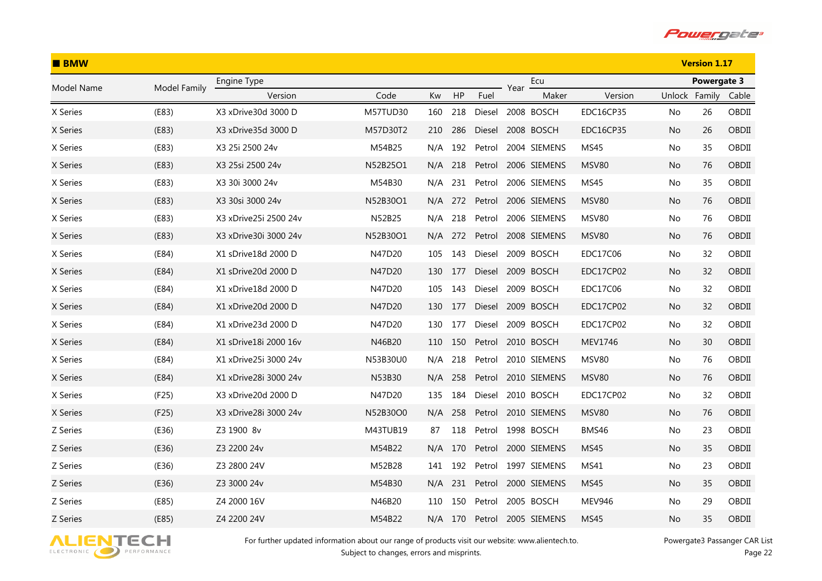

| <b>BMW</b> |              |                        |                 |     |         |        |      | <b>Version 1.17</b> |                  |        |                    |       |
|------------|--------------|------------------------|-----------------|-----|---------|--------|------|---------------------|------------------|--------|--------------------|-------|
| Model Name | Model Family | Engine Type            |                 |     |         |        | Year | Ecu                 |                  |        | <b>Powergate 3</b> |       |
|            |              | Version                | Code            | Kw  | HP      | Fuel   |      | Maker               | Version          | Unlock | Family             | Cable |
| X Series   | (E83)        | X3 xDrive30d 3000 D    | <b>M57TUD30</b> | 160 | 218     | Diesel |      | 2008 BOSCH          | EDC16CP35        | No     | 26                 | OBDII |
| X Series   | (E83)        | X3 xDrive35d 3000 D    | M57D30T2        | 210 | 286     | Diesel |      | 2008 BOSCH          | <b>EDC16CP35</b> | No.    | 26                 | OBDII |
| X Series   | (E83)        | X3 25i 2500 24v        | M54B25          | N/A | 192     | Petrol |      | 2004 SIEMENS        | <b>MS45</b>      | No.    | 35                 | OBDII |
| X Series   | (E83)        | X3 25si 2500 24v       | N52B25O1        | N/A | 218     | Petrol |      | 2006 SIEMENS        | <b>MSV80</b>     | No.    | 76                 | OBDII |
| X Series   | (E83)        | X3 30i 3000 24v        | M54B30          | N/A | 231     | Petrol |      | 2006 SIEMENS        | MS45             | No.    | 35                 | OBDII |
| X Series   | (E83)        | X3 30si 3000 24v       | N52B30O1        | N/A | 272     | Petrol |      | 2006 SIEMENS        | MSV80            | No.    | 76                 | OBDII |
| X Series   | (E83)        | X3 xDrive25i 2500 24v  | N52B25          | N/A | 218     | Petrol |      | 2006 SIEMENS        | MSV80            | No.    | 76                 | OBDII |
| X Series   | (E83)        | X3 xDrive30i 3000 24v  | N52B30O1        | N/A | 272     | Petrol |      | 2008 SIEMENS        | <b>MSV80</b>     | No     | 76                 | OBDII |
| X Series   | (E84)        | X1 sDrive18d 2000 D    | N47D20          | 105 | 143     | Diesel |      | 2009 BOSCH          | <b>EDC17C06</b>  | No.    | 32                 | OBDII |
| X Series   | (E84)        | X1 sDrive20d 2000 D    | N47D20          | 130 | 177     | Diesel |      | 2009 BOSCH          | EDC17CP02        | No     | 32                 | OBDII |
| X Series   | (E84)        | X1 xDrive18d 2000 D    | N47D20          | 105 | 143     | Diesel |      | 2009 BOSCH          | EDC17C06         | No.    | 32                 | OBDII |
| X Series   | (E84)        | X1 xDrive20d 2000 D    | N47D20          | 130 | 177     | Diesel |      | 2009 BOSCH          | EDC17CP02        | No.    | 32                 | OBDII |
| X Series   | (E84)        | X1 xDrive23d 2000 D    | N47D20          | 130 | 177     | Diesel |      | 2009 BOSCH          | EDC17CP02        | No.    | 32                 | OBDII |
| X Series   | (E84)        | X1 sDrive 18i 2000 16y | N46B20          | 110 | 150     | Petrol |      | 2010 BOSCH          | MEV1746          | No.    | 30                 | OBDII |
| X Series   | (E84)        | X1 xDrive25i 3000 24v  | N53B30U0        | N/A | 218     | Petrol |      | 2010 SIEMENS        | <b>MSV80</b>     | No     | 76                 | OBDII |
| X Series   | (E84)        | X1 xDrive28i 3000 24v  | N53B30          | N/A | 258     | Petrol |      | 2010 SIEMENS        | <b>MSV80</b>     | No.    | 76                 | OBDII |
| X Series   | (F25)        | X3 xDrive20d 2000 D    | N47D20          | 135 | 184     | Diesel |      | 2010 BOSCH          | EDC17CP02        | No     | 32                 | OBDII |
| X Series   | (F25)        | X3 xDrive28i 3000 24v  | N52B30O0        | N/A | 258     | Petrol |      | 2010 SIEMENS        | <b>MSV80</b>     | No.    | 76                 | OBDII |
| Z Series   | (E36)        | Z3 1900 8v             | M43TUB19        | 87  | 118     | Petrol |      | 1998 BOSCH          | BMS46            | No.    | 23                 | OBDII |
| Z Series   | (E36)        | Z3 2200 24v            | M54B22          | N/A | 170     | Petrol |      | 2000 SIEMENS        | <b>MS45</b>      | No.    | 35                 | OBDII |
| Z Series   | (E36)        | Z3 2800 24V            | M52B28          | 141 | 192     | Petrol |      | 1997 SIEMENS        | MS41             | No.    | 23                 | OBDII |
| Z Series   | (E36)        | Z3 3000 24v            | M54B30          | N/A | 231     | Petrol |      | 2000 SIEMENS        | <b>MS45</b>      | No.    | 35                 | OBDII |
| Z Series   | (E85)        | Z4 2000 16V            | N46B20          | 110 | 150     | Petrol |      | 2005 BOSCH          | <b>MEV946</b>    | No.    | 29                 | OBDII |
| Z Series   | (E85)        | Z4 2200 24V            | M54B22          |     | N/A 170 | Petrol |      | 2005 SIEMENS        | <b>MS45</b>      | No     | 35                 | OBDII |

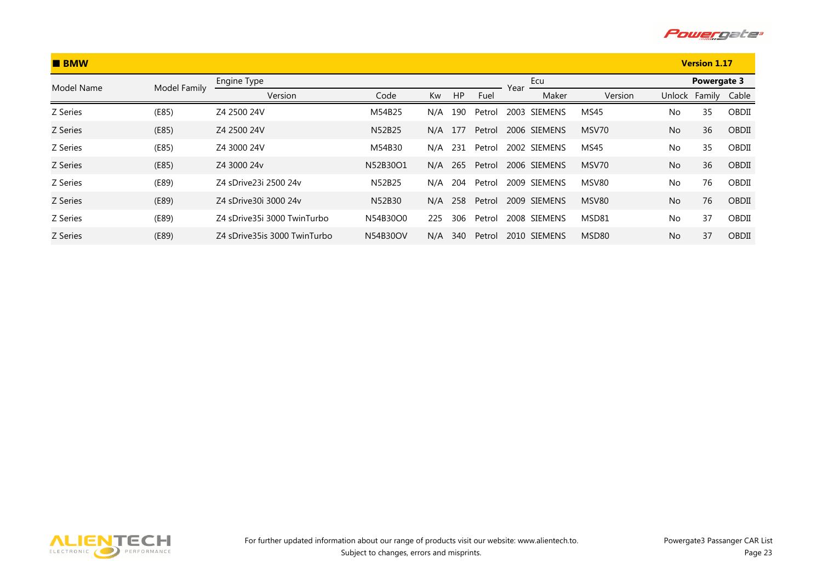

| <b>BMW</b>      |              |                              |          |     |     |        |      |              |             |           | <b>Version 1.17</b> |       |
|-----------------|--------------|------------------------------|----------|-----|-----|--------|------|--------------|-------------|-----------|---------------------|-------|
| Model Name      | Model Family | Engine Type                  |          |     |     |        | Year | Ecu          |             |           | Powergate 3         |       |
|                 |              | Version                      | Code     | Kw  | HP  | Fuel   |      | Maker        | Version     | Unlock    | Family              | Cable |
| Z Series        | (E85)        | Z4 2500 24V                  | M54B25   | N/A | 190 | Petrol | 2003 | SIEMENS      | <b>MS45</b> | No.       | 35                  | OBDII |
| <b>Z</b> Series | (E85)        | Z4 2500 24V                  | N52B25   | N/A | 177 | Petrol |      | 2006 SIEMENS | MSV70       | <b>No</b> | 36                  | OBDII |
| Z Series        | (E85)        | Z4 3000 24V                  | M54B30   | N/A | 231 | Petrol |      | 2002 SIEMENS | <b>MS45</b> | <b>No</b> | 35                  | OBDII |
| Z Series        | (E85)        | Z4 3000 24v                  | N52B30O1 | N/A | 265 | Petrol |      | 2006 SIEMENS | MSV70       | <b>No</b> | 36                  | OBDII |
| Z Series        | (E89)        | Z4 sDrive23i 2500 24v        | N52B25   | N/A | 204 | Petrol |      | 2009 SIEMENS | MSV80       | No        | 76                  | OBDII |
| Z Series        | (E89)        | Z4 sDrive30i 3000 24v        | N52B30   | N/A | 258 | Petrol |      | 2009 SIEMENS | MSV80       | <b>No</b> | 76                  | OBDII |
| Z Series        | (E89)        | Z4 sDrive35i 3000 TwinTurbo  | N54B30O0 | 225 | 306 | Petrol |      | 2008 SIEMENS | MSD81       | <b>No</b> | 37                  | OBDII |
| Z Series        | (E89)        | Z4 sDrive35is 3000 TwinTurbo | N54B30OV | N/A | 340 | Petrol |      | 2010 SIEMENS | MSD80       | <b>No</b> | 37                  | OBDII |

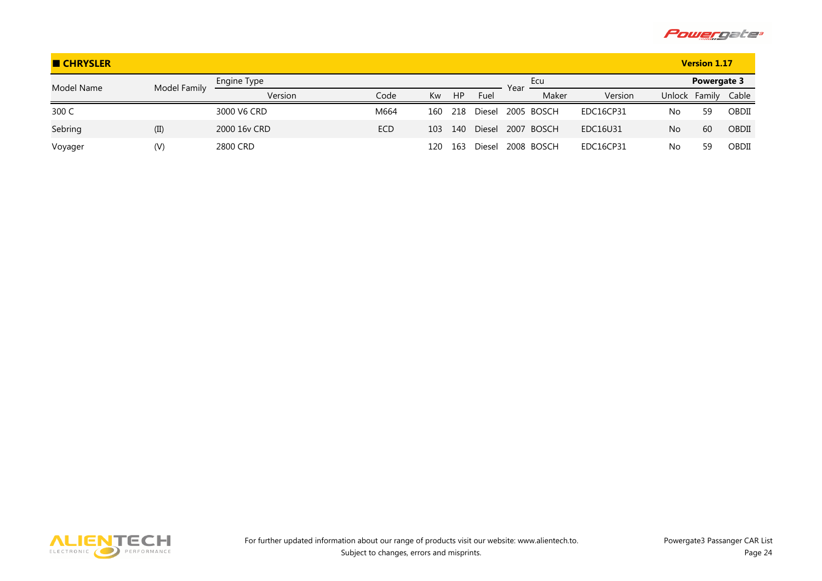

| <b>E CHRYSLER</b> |              |              |            |     |     |               |      |            |           |        | <b>Version 1.17</b> |       |
|-------------------|--------------|--------------|------------|-----|-----|---------------|------|------------|-----------|--------|---------------------|-------|
| Model Name        | Model Family | Engine Type  |            |     |     |               | Year | Ecu        |           |        | Powergate 3         |       |
|                   |              | Version      | Code       | Kw  | HP  | Fuel          |      | Maker      | Version   | Unlock | Family              | Cable |
| 300 C             |              | 3000 V6 CRD  | M664       | 160 | 218 | Diesel        |      | 2005 BOSCH | EDC16CP31 | No     | 59                  | OBDII |
| Sebring           | (II)         | 2000 16y CRD | <b>ECD</b> | 103 | 140 | <b>Diesel</b> |      | 2007 BOSCH | EDC16U31  | No     | 60                  | OBDII |
| Voyager           | (V)          | 2800 CRD     |            | 120 | 163 | Diesel        |      | 2008 BOSCH | EDC16CP31 | No     | 59                  | OBDII |

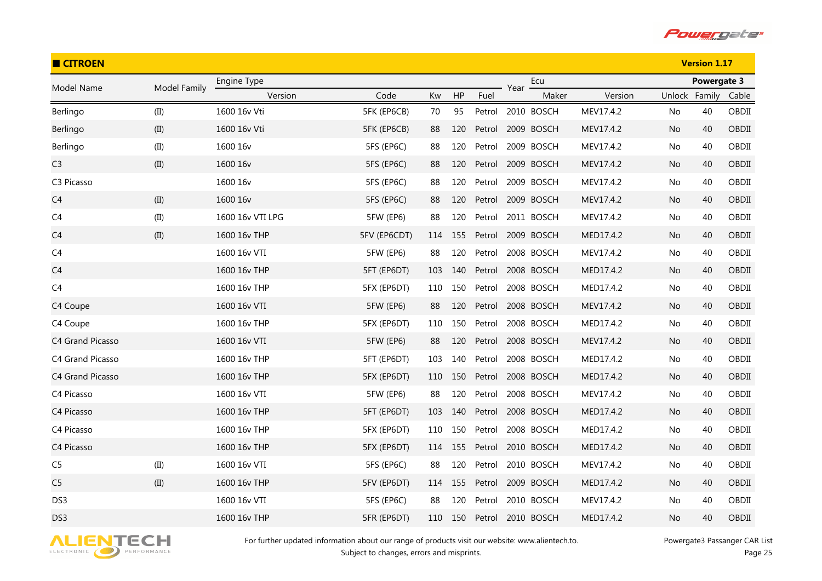

| <b>CITROEN</b>   |              |                  |                  |     |     |        |      |                   |           |               | <b>Version 1.17</b> |       |
|------------------|--------------|------------------|------------------|-----|-----|--------|------|-------------------|-----------|---------------|---------------------|-------|
| Model Name       | Model Family | Engine Type      |                  |     |     |        | Year | Ecu               |           |               | Powergate 3         |       |
|                  |              | Version          | Code             | Kw  | HP  | Fuel   |      | Maker             | Version   | Unlock Family |                     | Cable |
| Berlingo         | (II)         | 1600 16v Vti     | 5FK (EP6CB)      | 70  | 95  | Petrol |      | 2010 BOSCH        | MEV17.4.2 | No            | 40                  | OBDII |
| Berlingo         | (II)         | 1600 16v Vti     | 5FK (EP6CB)      | 88  | 120 | Petrol |      | 2009 BOSCH        | MEV17.4.2 | No            | 40                  | OBDII |
| Berlingo         | (II)         | 1600 16v         | 5FS (EP6C)       | 88  | 120 | Petrol |      | 2009 BOSCH        | MEV17.4.2 | No            | 40                  | OBDII |
| C <sub>3</sub>   | (II)         | 1600 16v         | 5FS (EP6C)       | 88  | 120 | Petrol |      | 2009 BOSCH        | MEV17.4.2 | No            | 40                  | OBDII |
| C3 Picasso       |              | 1600 16v         | 5FS (EP6C)       | 88  | 120 | Petrol |      | 2009 BOSCH        | MEV17.4.2 | No            | 40                  | OBDII |
| C <sub>4</sub>   | (II)         | 1600 16v         | 5FS (EP6C)       | 88  | 120 | Petrol |      | 2009 BOSCH        | MEV17.4.2 | No            | 40                  | OBDII |
| C <sub>4</sub>   | (II)         | 1600 16v VTI LPG | <b>5FW (EP6)</b> | 88  | 120 | Petrol |      | 2011 BOSCH        | MEV17.4.2 | No            | 40                  | OBDII |
| C <sub>4</sub>   | (II)         | 1600 16v THP     | 5FV (EP6CDT)     | 114 | 155 | Petrol |      | 2009 BOSCH        | MED17.4.2 | No            | 40                  | OBDII |
| C <sub>4</sub>   |              | 1600 16v VTI     | 5FW (EP6)        | 88  | 120 | Petrol |      | 2008 BOSCH        | MEV17.4.2 | No            | 40                  | OBDII |
| C <sub>4</sub>   |              | 1600 16v THP     | 5FT (EP6DT)      | 103 | 140 |        |      | Petrol 2008 BOSCH | MED17.4.2 | No            | 40                  | OBDII |
| C <sub>4</sub>   |              | 1600 16v THP     | 5FX (EP6DT)      | 110 | 150 | Petrol |      | 2008 BOSCH        | MED17.4.2 | No            | 40                  | OBDII |
| C4 Coupe         |              | 1600 16v VTI     | <b>5FW (EP6)</b> | 88  | 120 | Petrol |      | 2008 BOSCH        | MEV17.4.2 | No            | 40                  | OBDII |
| C4 Coupe         |              | 1600 16v THP     | 5FX (EP6DT)      | 110 | 150 | Petrol |      | 2008 BOSCH        | MED17.4.2 | No            | 40                  | OBDII |
| C4 Grand Picasso |              | 1600 16v VTI     | <b>5FW (EP6)</b> | 88  | 120 | Petrol |      | 2008 BOSCH        | MEV17.4.2 | No            | 40                  | OBDII |
| C4 Grand Picasso |              | 1600 16v THP     | 5FT (EP6DT)      | 103 | 140 | Petrol |      | 2008 BOSCH        | MED17.4.2 | No            | 40                  | OBDII |
| C4 Grand Picasso |              | 1600 16v THP     | 5FX (EP6DT)      | 110 | 150 | Petrol |      | 2008 BOSCH        | MED17.4.2 | No            | 40                  | OBDII |
| C4 Picasso       |              | 1600 16v VTI     | 5FW (EP6)        | 88  | 120 | Petrol |      | 2008 BOSCH        | MEV17.4.2 | No            | 40                  | OBDII |
| C4 Picasso       |              | 1600 16v THP     | 5FT (EP6DT)      | 103 | 140 | Petrol |      | 2008 BOSCH        | MED17.4.2 | No            | 40                  | OBDII |
| C4 Picasso       |              | 1600 16v THP     | 5FX (EP6DT)      | 110 | 150 | Petrol |      | 2008 BOSCH        | MED17.4.2 | No            | 40                  | OBDII |
| C4 Picasso       |              | 1600 16v THP     | 5FX (EP6DT)      | 114 | 155 | Petrol |      | 2010 BOSCH        | MED17.4.2 | No            | 40                  | OBDII |
| C <sub>5</sub>   | (II)         | 1600 16v VTI     | 5FS (EP6C)       | 88  | 120 | Petrol |      | 2010 BOSCH        | MEV17.4.2 | No            | 40                  | OBDII |
| C <sub>5</sub>   | (II)         | 1600 16v THP     | 5FV (EP6DT)      | 114 | 155 | Petrol |      | 2009 BOSCH        | MED17.4.2 | No            | 40                  | OBDII |
| DS3              |              | 1600 16y VTI     | 5FS (EP6C)       | 88  | 120 | Petrol |      | 2010 BOSCH        | MEV17.4.2 | No            | 40                  | OBDII |
| DS3              |              | 1600 16v THP     | 5FR (EP6DT)      | 110 | 150 | Petrol |      | 2010 BOSCH        | MED17.4.2 | No            | 40                  | OBDII |

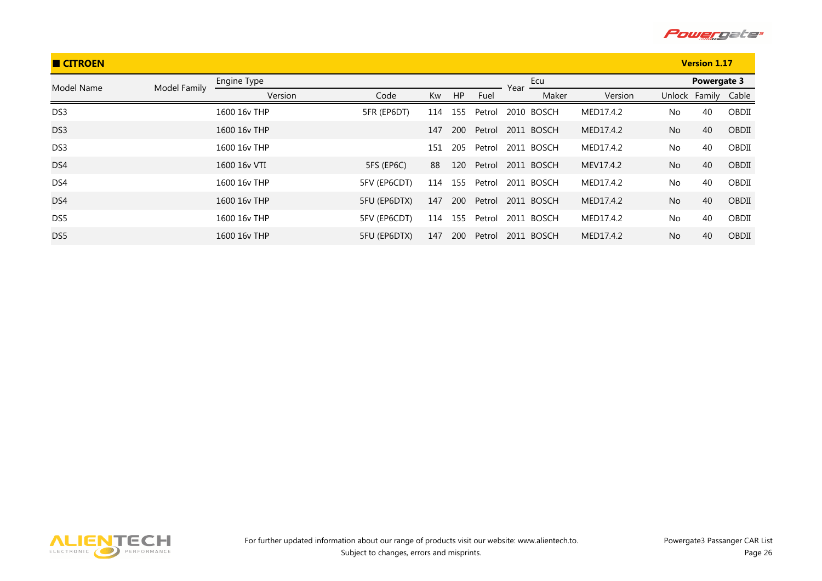

| <b>CITROEN</b>  |              |              |                     |     |     |        |      |            |           |                | <b>Version 1.17</b> |       |
|-----------------|--------------|--------------|---------------------|-----|-----|--------|------|------------|-----------|----------------|---------------------|-------|
| Model Name      | Model Family | Engine Type  |                     |     |     |        | Year | Ecu        |           |                | Powergate 3         |       |
|                 |              | Version      | Code                | Kw  | HP  | Fuel   |      | Maker      | Version   |                | Unlock Family       | Cable |
| DS3             |              | 1600 16v THP | 5FR (EP6DT)         | 114 | 155 | Petrol |      | 2010 BOSCH | MED17.4.2 | No             | 40                  | OBDII |
| DS3             |              | 1600 16y THP |                     | 147 | 200 | Petrol |      | 2011 BOSCH | MED17.4.2 | <b>No</b>      | 40                  | OBDII |
| DS <sub>3</sub> |              | 1600 16y THP |                     | 151 | 205 | Petrol |      | 2011 BOSCH | MED17.4.2 | No             | 40                  | OBDII |
| DS4             |              | 1600 16y VTI | 5FS (EP6C)          | 88  | 120 | Petrol |      | 2011 BOSCH | MEV17.4.2 | <b>No</b>      | 40                  | OBDII |
| DS4             |              | 1600 16y THP | 5FV (EP6CDT)        | 114 | 155 | Petrol |      | 2011 BOSCH | MED17.4.2 | No.            | 40                  | OBDII |
| DS4             |              | 1600 16y THP | 5FU (EP6DTX)        | 147 | 200 | Petrol |      | 2011 BOSCH | MED17.4.2 | <b>No</b>      | 40                  | OBDII |
| DS <sub>5</sub> |              | 1600 16y THP | 5FV (EP6CDT)        | 114 | 155 | Petrol |      | 2011 BOSCH | MED17.4.2 | No             | 40                  | OBDII |
| DS <sub>5</sub> |              | 1600 16y THP | <b>5FU (EP6DTX)</b> | 147 | 200 | Petrol |      | 2011 BOSCH | MED17.4.2 | N <sub>o</sub> | 40                  | OBDII |

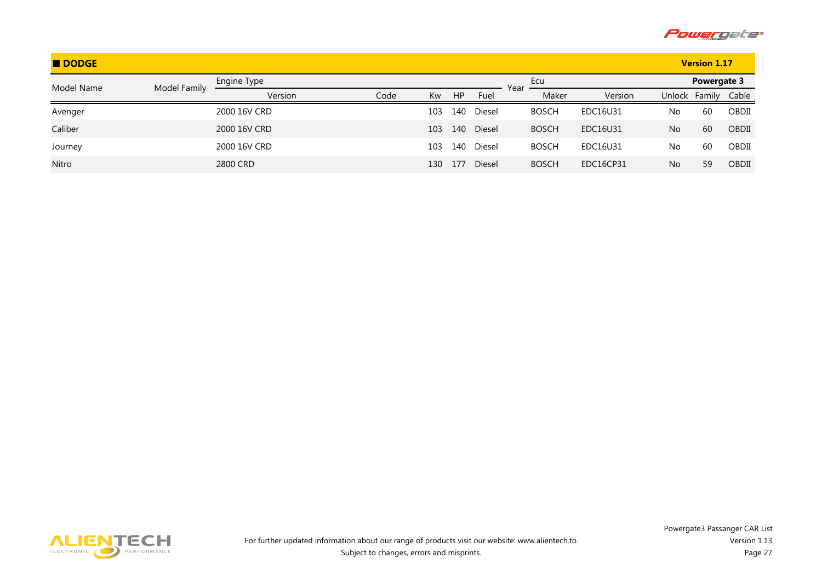

| DODGE      |              |              |      |     |           |        |      |              |           |        | <b>Version 1.17</b> |       |
|------------|--------------|--------------|------|-----|-----------|--------|------|--------------|-----------|--------|---------------------|-------|
| Model Name | Model Family | Engine Type  |      |     |           |        | Year | Ecu          |           |        | Powergate 3         |       |
|            |              | Version      | Code | Kw  | <b>HP</b> | Fuel   |      | Maker        | Version   | Unlock | Family              | Cable |
| Avenger    |              | 2000 16V CRD |      | 103 | 140       | Diesel |      | <b>BOSCH</b> | EDC16U31  | No     | 60                  | OBDII |
| Caliber    |              | 2000 16V CRD |      | 103 | 140       | Diesel |      | <b>BOSCH</b> | EDC16U31  | No     | 60                  | OBDII |
| Journey    |              | 2000 16V CRD |      | 103 | 140       | Diesel |      | <b>BOSCH</b> | EDC16U31  | No     | 60                  | OBDII |
| Nitro      |              | 2800 CRD     |      | 130 | 177       | Diesel |      | <b>BOSCH</b> | EDC16CP31 | No     | 59                  | OBDII |

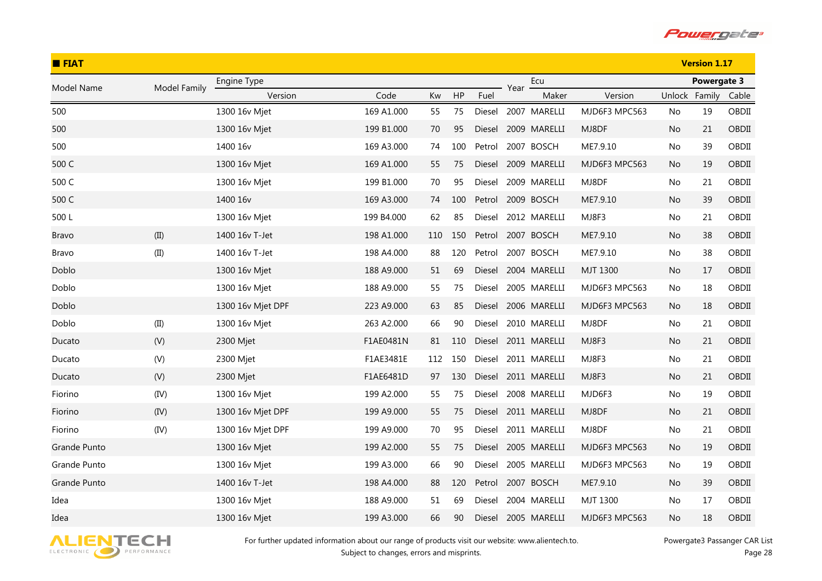

| <b>E</b> FIAT |              |                   |            |     |     |        |      |              |                 |        | <b>Version 1.17</b> |       |
|---------------|--------------|-------------------|------------|-----|-----|--------|------|--------------|-----------------|--------|---------------------|-------|
| Model Name    | Model Family | Engine Type       |            |     |     |        | Year | Ecu          |                 |        | Powergate 3         |       |
|               |              | Version           | Code       | Kw  | HP  | Fuel   |      | Maker        | Version         | Unlock | Family              | Cable |
| 500           |              | 1300 16v Mjet     | 169 A1.000 | 55  | 75  | Diesel |      | 2007 MARELLI | MJD6F3 MPC563   | No     | 19                  | OBDII |
| 500           |              | 1300 16v Mjet     | 199 B1.000 | 70  | 95  | Diesel |      | 2009 MARELLI | MJ8DF           | No     | 21                  | OBDII |
| 500           |              | 1400 16v          | 169 A3.000 | 74  | 100 | Petrol |      | 2007 BOSCH   | ME7.9.10        | No     | 39                  | OBDII |
| 500 C         |              | 1300 16v Mjet     | 169 A1.000 | 55  | 75  | Diesel |      | 2009 MARELLI | MJD6F3 MPC563   | No     | 19                  | OBDII |
| 500 C         |              | 1300 16v Mjet     | 199 B1.000 | 70  | 95  | Diesel |      | 2009 MARELLI | MJ8DF           | No     | 21                  | OBDII |
| 500 C         |              | 1400 16v          | 169 A3.000 | 74  | 100 | Petrol |      | 2009 BOSCH   | ME7.9.10        | No.    | 39                  | OBDII |
| 500L          |              | 1300 16v Mjet     | 199 B4.000 | 62  | 85  | Diesel |      | 2012 MARELLI | MJ8F3           | No     | 21                  | OBDII |
| <b>Bravo</b>  | (II)         | 1400 16v T-Jet    | 198 A1.000 | 110 | 150 | Petrol |      | 2007 BOSCH   | ME7.9.10        | No     | 38                  | OBDII |
| Bravo         | (II)         | 1400 16v T-Jet    | 198 A4.000 | 88  | 120 | Petrol |      | 2007 BOSCH   | ME7.9.10        | No.    | 38                  | OBDII |
| Doblo         |              | 1300 16v Mjet     | 188 A9.000 | 51  | 69  | Diesel |      | 2004 MARELLI | MJT 1300        | No     | 17                  | OBDII |
| Doblo         |              | 1300 16v Mjet     | 188 A9.000 | 55  | 75  | Diesel |      | 2005 MARELLI | MJD6F3 MPC563   | No.    | 18                  | OBDII |
| Doblo         |              | 1300 16v Mjet DPF | 223 A9.000 | 63  | 85  | Diesel |      | 2006 MARELLI | MJD6F3 MPC563   | No     | 18                  | OBDII |
| Doblo         | (II)         | 1300 16v Mjet     | 263 A2.000 | 66  | 90  | Diesel |      | 2010 MARELLI | MJ8DF           | No     | 21                  | OBDII |
| Ducato        | (V)          | 2300 Mjet         | F1AE0481N  | 81  | 110 | Diesel |      | 2011 MARELLI | MJ8F3           | No.    | 21                  | OBDII |
| Ducato        | (V)          | 2300 Mjet         | F1AE3481E  | 112 | 150 | Diesel |      | 2011 MARELLI | MJ8F3           | No     | 21                  | OBDII |
| Ducato        | (V)          | 2300 Mjet         | F1AE6481D  | 97  | 130 | Diesel |      | 2011 MARELLI | MJ8F3           | No.    | 21                  | OBDII |
| Fiorino       | (IV)         | 1300 16v Mjet     | 199 A2.000 | 55  | 75  | Diesel |      | 2008 MARELLI | MJD6F3          | No     | 19                  | OBDII |
| Fiorino       | (IV)         | 1300 16v Mjet DPF | 199 A9.000 | 55  | 75  | Diesel |      | 2011 MARELLI | MJ8DF           | No     | 21                  | OBDII |
| Fiorino       | (IV)         | 1300 16v Mjet DPF | 199 A9.000 | 70  | 95  | Diesel |      | 2011 MARELLI | MJ8DF           | No     | 21                  | OBDII |
| Grande Punto  |              | 1300 16v Mjet     | 199 A2.000 | 55  | 75  | Diesel |      | 2005 MARELLI | MJD6F3 MPC563   | No     | 19                  | OBDII |
| Grande Punto  |              | 1300 16v Mjet     | 199 A3.000 | 66  | 90  | Diesel |      | 2005 MARELLI | MJD6F3 MPC563   | No     | 19                  | OBDII |
| Grande Punto  |              | 1400 16v T-Jet    | 198 A4.000 | 88  | 120 | Petrol |      | 2007 BOSCH   | ME7.9.10        | No.    | 39                  | OBDII |
| Idea          |              | 1300 16v Miet     | 188 A9.000 | 51  | 69  | Diesel |      | 2004 MARELLI | <b>MJT 1300</b> | No     | 17                  | OBDII |
| Idea          |              | 1300 16v Mjet     | 199 A3.000 | 66  | 90  | Diesel |      | 2005 MARELLI | MJD6F3 MPC563   | No     | 18                  | OBDII |

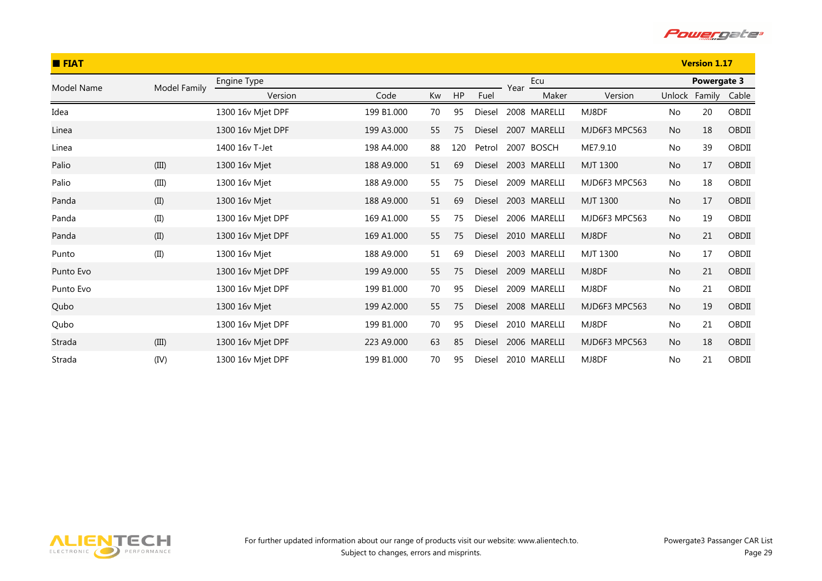

| <b>E</b> FIAT |              |                   |            |    |     |               |      | <b>Version 1.17</b> |               |           |               |       |
|---------------|--------------|-------------------|------------|----|-----|---------------|------|---------------------|---------------|-----------|---------------|-------|
| Model Name    | Model Family | Engine Type       |            |    |     |               | Year | Ecu                 |               |           | Powergate 3   |       |
|               |              | Version           | Code       | Kw | HP  | Fuel          |      | Maker               | Version       |           | Unlock Family | Cable |
| Idea          |              | 1300 16v Mjet DPF | 199 B1.000 | 70 | 95  | Diesel        |      | 2008 MARELLI        | MJ8DF         | No        | 20            | OBDII |
| Linea         |              | 1300 16v Mjet DPF | 199 A3.000 | 55 | 75  | Diesel        |      | 2007 MARELLI        | MJD6F3 MPC563 | <b>No</b> | 18            | OBDII |
| Linea         |              | 1400 16y T-Jet    | 198 A4.000 | 88 | 120 | Petrol        |      | 2007 BOSCH          | ME7.9.10      | No        | 39            | OBDII |
| Palio         | (III)        | 1300 16v Mjet     | 188 A9.000 | 51 | 69  | <b>Diesel</b> |      | 2003 MARELLI        | MJT 1300      | No        | 17            | OBDII |
| Palio         | (III)        | 1300 16v Mjet     | 188 A9.000 | 55 | 75  | Diesel        |      | 2009 MARELLI        | MJD6F3 MPC563 | No        | 18            | OBDII |
| Panda         | (II)         | 1300 16v Mjet     | 188 A9.000 | 51 | 69  | <b>Diesel</b> |      | 2003 MARELLI        | MJT 1300      | No        | 17            | OBDII |
| Panda         | (II)         | 1300 16v Mjet DPF | 169 A1.000 | 55 | 75  | Diesel        |      | 2006 MARELLI        | MJD6F3 MPC563 | No        | 19            | OBDII |
| Panda         | (II)         | 1300 16v Mjet DPF | 169 A1.000 | 55 | 75  | Diesel        |      | 2010 MARELLI        | MJ8DF         | No        | 21            | OBDII |
| Punto         | (II)         | 1300 16v Mjet     | 188 A9.000 | 51 | 69  | <b>Diesel</b> |      | 2003 MARELLI        | MJT 1300      | No        | 17            | OBDII |
| Punto Evo     |              | 1300 16v Mjet DPF | 199 A9.000 | 55 | 75  | <b>Diesel</b> |      | 2009 MARELLI        | MJ8DF         | No        | 21            | OBDII |
| Punto Evo     |              | 1300 16v Mjet DPF | 199 B1.000 | 70 | 95  | Diesel        |      | 2009 MARELLI        | MJ8DF         | No        | 21            | OBDII |
| Qubo          |              | 1300 16v Mjet     | 199 A2.000 | 55 | 75  | <b>Diesel</b> |      | 2008 MARELLI        | MJD6F3 MPC563 | <b>No</b> | 19            | OBDII |
| Qubo          |              | 1300 16v Mjet DPF | 199 B1.000 | 70 | 95  | Diesel        |      | 2010 MARELLI        | MJ8DF         | No        | 21            | OBDII |
| Strada        | (III)        | 1300 16v Mjet DPF | 223 A9.000 | 63 | 85  | Diesel        |      | 2006 MARELLI        | MJD6F3 MPC563 | <b>No</b> | 18            | OBDII |
| Strada        | (IV)         | 1300 16v Mjet DPF | 199 B1.000 | 70 | 95  | Diesel        |      | 2010 MARELLI        | MJ8DF         | No        | 21            | OBDII |

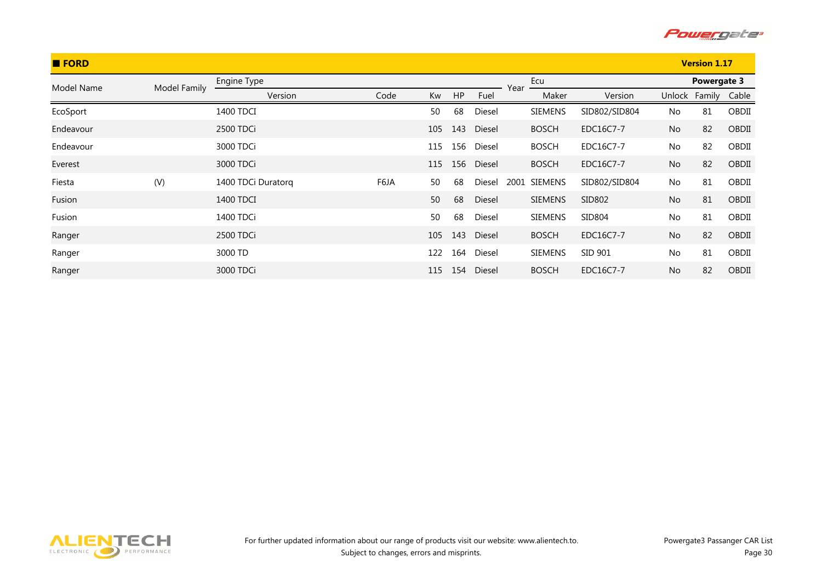

| <b>E</b> FORD |              |                    |      |     |     |        | <b>Version 1.17</b> |                |               |        |             |       |
|---------------|--------------|--------------------|------|-----|-----|--------|---------------------|----------------|---------------|--------|-------------|-------|
| Model Name    | Model Family | Engine Type        |      |     |     |        | Year                | Ecu            |               |        | Powergate 3 |       |
|               |              | Version            | Code | Kw  | HP  | Fuel   |                     | Maker          | Version       | Unlock | Family      | Cable |
| EcoSport      |              | 1400 TDCI          |      | 50  | 68  | Diesel |                     | <b>SIEMENS</b> | SID802/SID804 | No     | 81          | OBDII |
| Endeavour     |              | 2500 TDCi          |      | 105 | 143 | Diesel |                     | <b>BOSCH</b>   | EDC16C7-7     | No     | 82          | OBDII |
| Endeavour     |              | 3000 TDCi          |      | 115 | 156 | Diesel |                     | <b>BOSCH</b>   | EDC16C7-7     | No     | 82          | OBDII |
| Everest       |              | 3000 TDCi          |      | 115 | 156 | Diesel |                     | <b>BOSCH</b>   | EDC16C7-7     | No     | 82          | OBDII |
| Fiesta        | (V)          | 1400 TDCi Duratorq | F6JA | 50  | 68  | Diesel | 2001                | SIEMENS        | SID802/SID804 | No     | 81          | OBDII |
| Fusion        |              | 1400 TDCI          |      | 50  | 68  | Diesel |                     | <b>SIEMENS</b> | SID802        | No     | 81          | OBDII |
| Fusion        |              | 1400 TDCi          |      | 50  | 68  | Diesel |                     | <b>SIEMENS</b> | SID804        | No     | 81          | OBDII |
| Ranger        |              | 2500 TDCi          |      | 105 | 143 | Diesel |                     | <b>BOSCH</b>   | EDC16C7-7     | No     | 82          | OBDII |
| Ranger        |              | 3000 TD            |      | 122 | 164 | Diesel |                     | <b>SIEMENS</b> | SID 901       | No     | 81          | OBDII |
| Ranger        |              | 3000 TDCi          |      | 115 | 154 | Diesel |                     | <b>BOSCH</b>   | EDC16C7-7     | No     | 82          | OBDII |

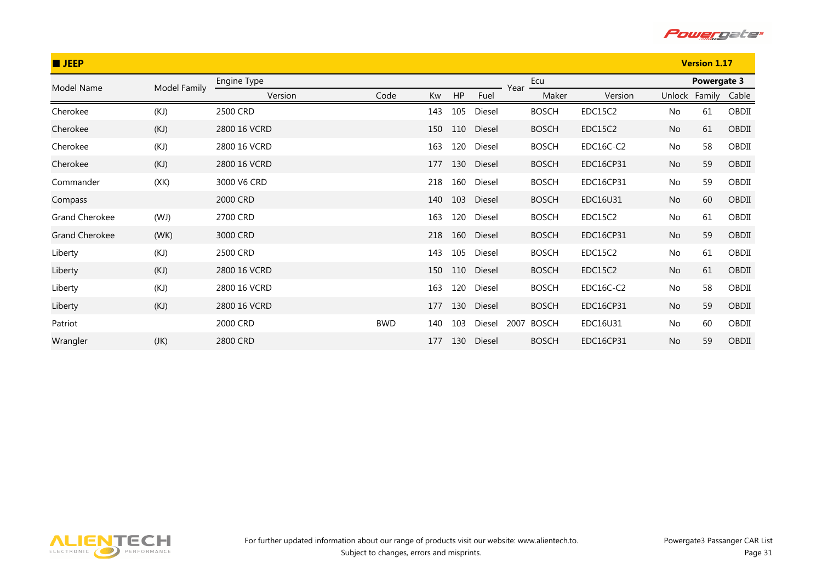

| <b>U</b> JEEP         |              |              |            |     |     |            |      | <b>Version 1.17</b> |           |           |             |       |
|-----------------------|--------------|--------------|------------|-----|-----|------------|------|---------------------|-----------|-----------|-------------|-------|
| Model Name            | Model Family | Engine Type  |            |     |     |            | Year | Ecu                 |           |           | Powergate 3 |       |
|                       |              | Version      | Code       | Kw  | HP  | Fuel       |      | Maker               | Version   | Unlock    | Family      | Cable |
| Cherokee              | (KJ)         | 2500 CRD     |            | 143 | 105 | Diesel     |      | <b>BOSCH</b>        | EDC15C2   | No        | 61          | OBDII |
| Cherokee              | (KJ)         | 2800 16 VCRD |            | 150 | 110 | Diesel     |      | <b>BOSCH</b>        | EDC15C2   | No        | 61          | OBDII |
| Cherokee              | (KJ)         | 2800 16 VCRD |            | 163 | 120 | Diesel     |      | <b>BOSCH</b>        | EDC16C-C2 | No        | 58          | OBDII |
| Cherokee              | (KJ)         | 2800 16 VCRD |            | 177 |     | 130 Diesel |      | <b>BOSCH</b>        | EDC16CP31 | <b>No</b> | 59          | OBDII |
| Commander             | (XK)         | 3000 V6 CRD  |            | 218 | 160 | Diesel     |      | <b>BOSCH</b>        | EDC16CP31 | No        | 59          | OBDII |
| Compass               |              | 2000 CRD     |            | 140 | 103 | Diesel     |      | <b>BOSCH</b>        | EDC16U31  | No        | 60          | OBDII |
| <b>Grand Cherokee</b> | (WJ)         | 2700 CRD     |            | 163 | 120 | Diesel     |      | <b>BOSCH</b>        | EDC15C2   | No        | 61          | OBDII |
| <b>Grand Cherokee</b> | (WK)         | 3000 CRD     |            | 218 | 160 | Diesel     |      | <b>BOSCH</b>        | EDC16CP31 | No        | 59          | OBDII |
| Liberty               | (KJ)         | 2500 CRD     |            | 143 | 105 | Diesel     |      | <b>BOSCH</b>        | EDC15C2   | No        | 61          | OBDII |
| Liberty               | (KJ)         | 2800 16 VCRD |            | 150 | 110 | Diesel     |      | <b>BOSCH</b>        | EDC15C2   | No        | 61          | OBDII |
| Liberty               | (KJ)         | 2800 16 VCRD |            | 163 | 120 | Diesel     |      | <b>BOSCH</b>        | EDC16C-C2 | No        | 58          | OBDII |
| Liberty               | (KJ)         | 2800 16 VCRD |            | 177 | 130 | Diesel     |      | <b>BOSCH</b>        | EDC16CP31 | No        | 59          | OBDII |
| Patriot               |              | 2000 CRD     | <b>BWD</b> | 140 | 103 | Diesel     | 2007 | <b>BOSCH</b>        | EDC16U31  | No        | 60          | OBDII |
| Wrangler              | (JK)         | 2800 CRD     |            | 177 | 130 | Diesel     |      | <b>BOSCH</b>        | EDC16CP31 | <b>No</b> | 59          | OBDII |

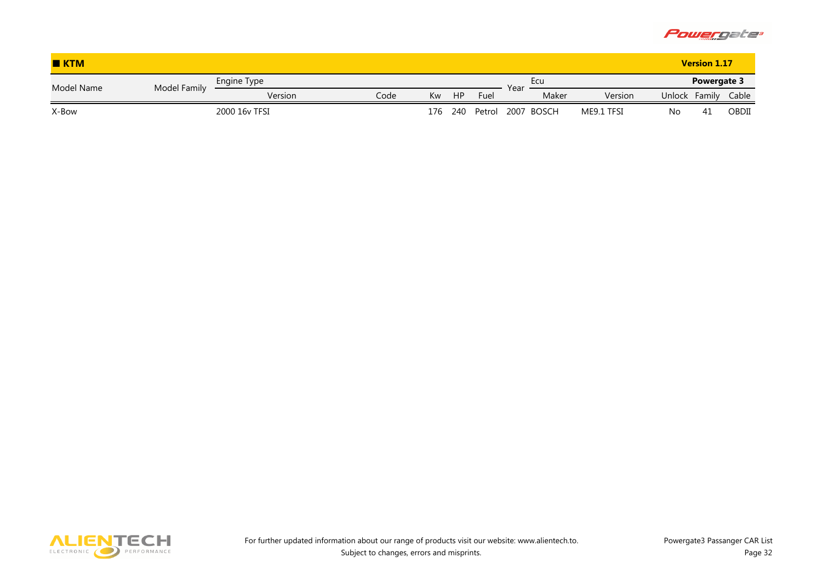

| KTM        |              |               |      |     |           |                   |      |            |            |               | <b>Version 1.17</b> |       |
|------------|--------------|---------------|------|-----|-----------|-------------------|------|------------|------------|---------------|---------------------|-------|
| Model Name | Model Family | Engine Type   |      |     |           |                   | Year | <b>Ecu</b> |            |               | Powergate 3         |       |
|            |              | Version       | Code | Kw  | <b>HP</b> | Fuel              |      | Maker      | Version    | <b>Unlock</b> | Family              | Cable |
| X-Bow      |              | 2000 16y TFSI |      | 176 | 240       | Petrol 2007 BOSCH |      |            | ME9.1 TFSI | No            | 41                  | OBDII |

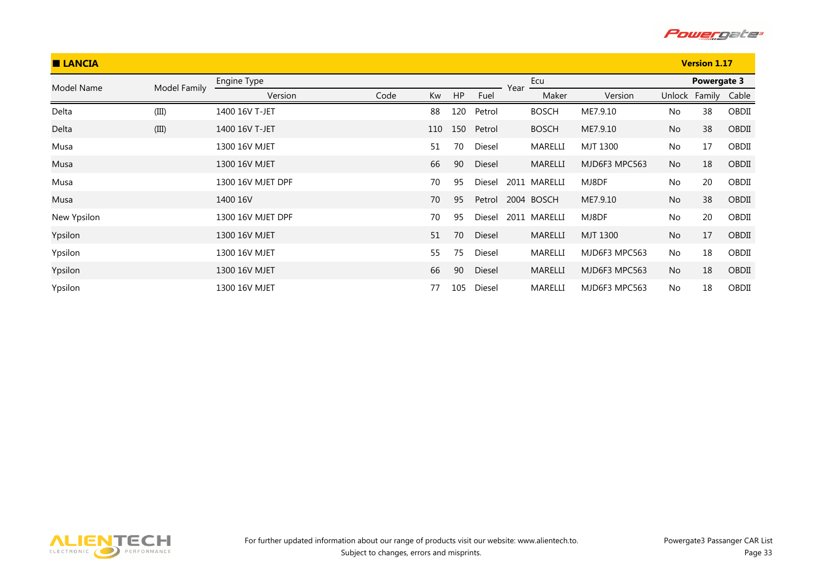

| <b>LANCIA</b> |              |                   |      |     |     |        |      | <b>Version 1.17</b> |               |           |                     |       |
|---------------|--------------|-------------------|------|-----|-----|--------|------|---------------------|---------------|-----------|---------------------|-------|
| Model Name    | Model Family | Engine Type       |      |     |     |        | Year | Ecu                 |               |           | Powergate 3         |       |
|               |              | Version           | Code | Kw  | HP  | Fuel   |      | Maker               | Version       |           | Unlock Family Cable |       |
| Delta         | (III)        | 1400 16V T-JET    |      | 88  | 120 | Petrol |      | <b>BOSCH</b>        | ME7.9.10      | No        | 38                  | OBDII |
| Delta         | (III)        | 1400 16V T-JET    |      | 110 | 150 | Petrol |      | <b>BOSCH</b>        | ME7.9.10      | No        | 38                  | OBDII |
| Musa          |              | 1300 16V MJET     |      | 51  | 70  | Diesel |      | MARELLI             | MJT 1300      | No        | 17                  | OBDII |
| Musa          |              | 1300 16V MJET     |      | 66  | 90  | Diesel |      | MARELLI             | MJD6F3 MPC563 | No        | 18                  | OBDII |
| Musa          |              | 1300 16V MJET DPF |      | 70  | 95  | Diesel |      | 2011 MARELLI        | MJ8DF         | No        | 20                  | OBDII |
| Musa          |              | 1400 16V          |      | 70  | 95  | Petrol |      | 2004 BOSCH          | ME7.9.10      | No        | 38                  | OBDII |
| New Ypsilon   |              | 1300 16V MJET DPF |      | 70  | 95  | Diesel |      | 2011 MARELLI        | MJ8DF         | No        | 20                  | OBDII |
| Ypsilon       |              | 1300 16V MJET     |      | 51  | 70  | Diesel |      | MARELLI             | MJT 1300      | No        | 17                  | OBDII |
| Ypsilon       |              | 1300 16V MJET     |      | 55  | 75  | Diesel |      | MARELLI             | MJD6F3 MPC563 | No        | 18                  | OBDII |
| Ypsilon       |              | 1300 16V MJET     |      | 66  | 90  | Diesel |      | MARELLI             | MJD6F3 MPC563 | <b>No</b> | 18                  | OBDII |
| Ypsilon       |              | 1300 16V MJET     |      | 77  | 105 | Diesel |      | MARELLI             | MJD6F3 MPC563 | No        | 18                  | OBDII |

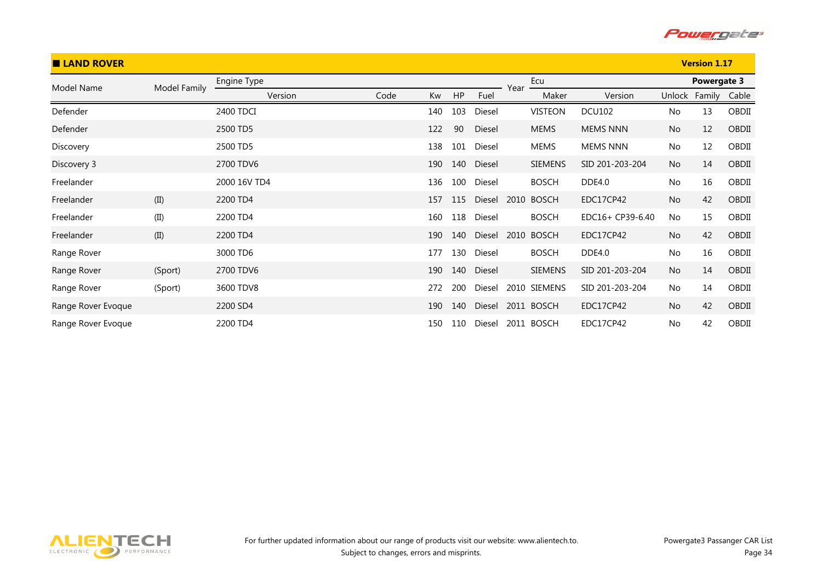

| <b>LAND ROVER</b>  |              |              |      |     |     |        |      |                |                  |           | <b>Version 1.17</b> |       |
|--------------------|--------------|--------------|------|-----|-----|--------|------|----------------|------------------|-----------|---------------------|-------|
| Model Name         | Model Family | Engine Type  |      |     |     |        | Year | Ecu            |                  |           | Powergate 3         |       |
|                    |              | Version      | Code | Kw  | HP  | Fuel   |      | Maker          | Version          | Unlock    | Family              | Cable |
| Defender           |              | 2400 TDCI    |      | 140 | 103 | Diesel |      | <b>VISTEON</b> | <b>DCU102</b>    | No        | 13                  | OBDII |
| Defender           |              | 2500 TD5     |      | 122 | 90  | Diesel |      | <b>MEMS</b>    | <b>MEMS NNN</b>  | No        | 12                  | OBDII |
| Discovery          |              | 2500 TD5     |      | 138 | 101 | Diesel |      | <b>MEMS</b>    | <b>MEMS NNN</b>  | No        | 12                  | OBDII |
| Discovery 3        |              | 2700 TDV6    |      | 190 | 140 | Diesel |      | <b>SIEMENS</b> | SID 201-203-204  | <b>No</b> | 14                  | OBDII |
| Freelander         |              | 2000 16V TD4 |      | 136 | 100 | Diesel |      | <b>BOSCH</b>   | DDE4.0           | No        | 16                  | OBDII |
| Freelander         | (II)         | 2200 TD4     |      | 157 | 115 | Diesel | 2010 | <b>BOSCH</b>   | EDC17CP42        | No        | 42                  | OBDII |
| Freelander         | (II)         | 2200 TD4     |      | 160 | 118 | Diesel |      | <b>BOSCH</b>   | EDC16+ CP39-6.40 | No        | 15                  | OBDII |
| Freelander         | (II)         | 2200 TD4     |      | 190 | 140 | Diesel | 2010 | <b>BOSCH</b>   | EDC17CP42        | No        | 42                  | OBDII |
| Range Rover        |              | 3000 TD6     |      | 177 | 130 | Diesel |      | <b>BOSCH</b>   | <b>DDE4.0</b>    | No        | 16                  | OBDII |
| Range Rover        | (Sport)      | 2700 TDV6    |      | 190 | 140 | Diesel |      | <b>SIEMENS</b> | SID 201-203-204  | <b>No</b> | 14                  | OBDII |
| Range Rover        | (Sport)      | 3600 TDV8    |      | 272 | 200 | Diesel | 2010 | SIEMENS        | SID 201-203-204  | No        | 14                  | OBDII |
| Range Rover Evoque |              | 2200 SD4     |      | 190 | 140 | Diesel |      | 2011 BOSCH     | EDC17CP42        | <b>No</b> | 42                  | OBDII |
| Range Rover Evoque |              | 2200 TD4     |      | 150 | 110 | Diesel |      | 2011 BOSCH     | EDC17CP42        | <b>No</b> | 42                  | OBDII |

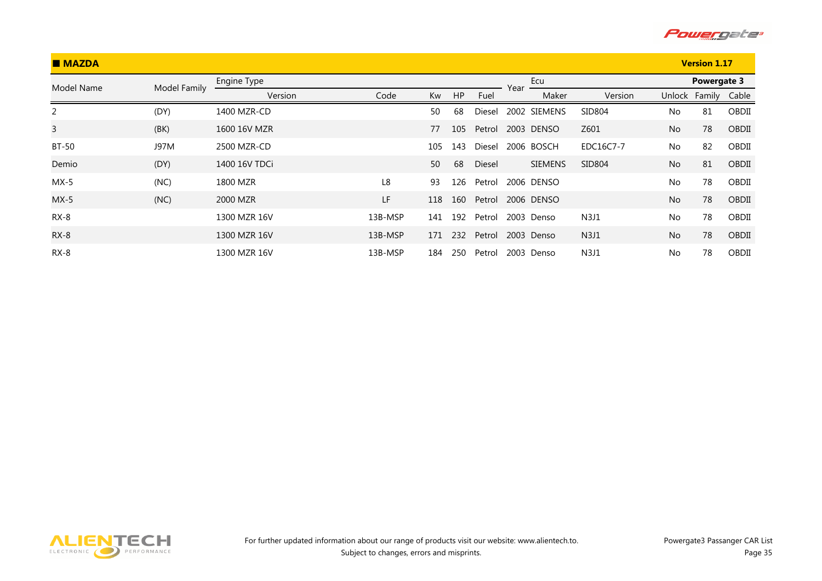

| <b>MAZDA</b> |              |               |         |     |     |        |      | <b>Version 1.17</b> |                |           |             |       |
|--------------|--------------|---------------|---------|-----|-----|--------|------|---------------------|----------------|-----------|-------------|-------|
| Model Name   | Model Family | Engine Type   |         |     |     |        | Year | Ecu                 |                |           | Powergate 3 |       |
|              |              | Version       | Code    | Kw  | HP  | Fuel   |      | Maker               | Version        | Unlock    | Family      | Cable |
| 2            | (DY)         | 1400 MZR-CD   |         | 50  | 68  | Diesel |      | 2002 SIEMENS        | SID804         | No        | 81          | OBDII |
| $\mathsf{3}$ | (BK)         | 1600 16V MZR  |         | 77  | 105 | Petrol |      | 2003 DENSO          | Z601           | No        | 78          | OBDII |
| <b>BT-50</b> | J97M         | 2500 MZR-CD   |         | 105 | 143 | Diesel |      | 2006 BOSCH          | EDC16C7-7      | No        | 82          | OBDII |
| Demio        | (DY)         | 1400 16V TDCi |         | 50  | 68  | Diesel |      | <b>SIEMENS</b>      | SID804         | <b>No</b> | 81          | OBDII |
| $MX-5$       | (NC)         | 1800 MZR      | L8      | 93  | 126 | Petrol |      | 2006 DENSO          |                | No        | 78          | OBDII |
| $MX-5$       | (NC)         | 2000 MZR      | LF      | 118 | 160 | Petrol |      | 2006 DENSO          |                | No        | 78          | OBDII |
| $RX-8$       |              | 1300 MZR 16V  | 13B-MSP | 141 | 192 | Petrol |      | 2003 Denso          | N3J1           | <b>No</b> | 78          | OBDII |
| $RX-8$       |              | 1300 MZR 16V  | 13B-MSP | 171 | 232 | Petrol |      | 2003 Denso          | N <sub>3</sub> | No        | 78          | OBDII |
| $RX-8$       |              | 1300 MZR 16V  | 13B-MSP | 184 | 250 | Petrol |      | 2003 Denso          | N <sub>3</sub> | No        | 78          | OBDII |

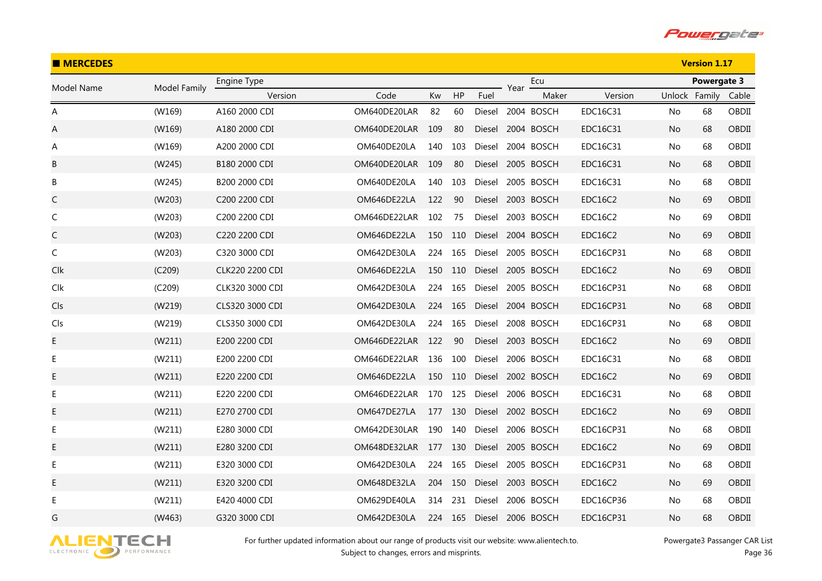

| <b>MERCEDES</b> |              |                 |                  |     |         |        |      |            |                |               | <b>Version 1.17</b> |       |
|-----------------|--------------|-----------------|------------------|-----|---------|--------|------|------------|----------------|---------------|---------------------|-------|
| Model Name      | Model Family | Engine Type     |                  |     |         |        | Year | Ecu        |                |               | Powergate 3         |       |
|                 |              | Version         | Code             | Kw  | HP      | Fuel   |      | Maker      | Version        | Unlock Family |                     | Cable |
| Α               | (W169)       | A160 2000 CDI   | OM640DE20LAR     | 82  | 60      | Diesel |      | 2004 BOSCH | EDC16C31       | No            | 68                  | OBDII |
| Α               | (W169)       | A180 2000 CDI   | OM640DE20LAR     | 109 | 80      | Diesel |      | 2004 BOSCH | EDC16C31       | No            | 68                  | OBDII |
| A               | (W169)       | A200 2000 CDI   | OM640DE20LA      | 140 | 103     | Diesel |      | 2004 BOSCH | EDC16C31       | No            | 68                  | OBDII |
| B               | (W245)       | B180 2000 CDI   | OM640DE20LAR 109 |     | 80      | Diesel |      | 2005 BOSCH | EDC16C31       | No            | 68                  | OBDII |
| В               | (W245)       | B200 2000 CDI   | OM640DE20LA      | 140 | 103     | Diesel |      | 2005 BOSCH | EDC16C31       | No            | 68                  | OBDII |
| C               | (W203)       | C200 2200 CDI   | OM646DE22LA      | 122 | 90      | Diesel |      | 2003 BOSCH | <b>EDC16C2</b> | No            | 69                  | OBDII |
| $\mathsf C$     | (W203)       | C200 2200 CDI   | OM646DE22LAR     | 102 | 75      | Diesel |      | 2003 BOSCH | <b>EDC16C2</b> | No            | 69                  | OBDII |
| C               | (W203)       | C220 2200 CDI   | OM646DE22LA      | 150 | 110     | Diesel |      | 2004 BOSCH | <b>EDC16C2</b> | No            | 69                  | OBDII |
| C               | (W203)       | C320 3000 CDI   | OM642DE30LA      | 224 | 165     | Diesel |      | 2005 BOSCH | EDC16CP31      | No            | 68                  | OBDII |
| Clk             | (C209)       | CLK220 2200 CDI | OM646DE22LA      | 150 | 110     | Diesel |      | 2005 BOSCH | <b>EDC16C2</b> | No            | 69                  | OBDII |
| Clk             | (C209)       | CLK320 3000 CDI | OM642DE30LA      | 224 | 165     | Diesel |      | 2005 BOSCH | EDC16CP31      | No            | 68                  | OBDII |
| Cls             | (W219)       | CLS320 3000 CDI | OM642DE30LA      | 224 | 165     | Diesel |      | 2004 BOSCH | EDC16CP31      | No            | 68                  | OBDII |
| Cls             | (W219)       | CLS350 3000 CDI | OM642DE30LA      | 224 | 165     | Diesel |      | 2008 BOSCH | EDC16CP31      | No            | 68                  | OBDII |
| E               | (W211)       | E200 2200 CDI   | OM646DE22LAR 122 |     | 90      | Diesel |      | 2003 BOSCH | <b>EDC16C2</b> | No            | 69                  | OBDII |
| E               | (W211)       | E200 2200 CDI   | OM646DE22LAR     | 136 | 100     | Diesel |      | 2006 BOSCH | EDC16C31       | No            | 68                  | OBDII |
| Е               | (W211)       | E220 2200 CDI   | OM646DE22LA      | 150 | 110     | Diesel |      | 2002 BOSCH | <b>EDC16C2</b> | No            | 69                  | OBDII |
| Е               | (W211)       | E220 2200 CDI   | OM646DE22LAR     | 170 | 125     | Diesel |      | 2006 BOSCH | EDC16C31       | No            | 68                  | OBDII |
| E               | (W211)       | E270 2700 CDI   | OM647DE27LA      | 177 | 130     | Diesel |      | 2002 BOSCH | <b>EDC16C2</b> | No            | 69                  | OBDII |
| E               | (W211)       | E280 3000 CDI   | OM642DE30LAR     | 190 | 140     | Diesel |      | 2006 BOSCH | EDC16CP31      | No            | 68                  | OBDII |
| E               | (W211)       | E280 3200 CDI   | OM648DE32LAR     | 177 | 130     | Diesel |      | 2005 BOSCH | <b>EDC16C2</b> | No            | 69                  | OBDII |
| Е               | (W211)       | E320 3000 CDI   | OM642DE30LA      | 224 | 165     | Diesel |      | 2005 BOSCH | EDC16CP31      | No            | 68                  | OBDII |
| Е               | (W211)       | E320 3200 CDI   | OM648DE32LA      | 204 | 150     | Diesel |      | 2003 BOSCH | <b>EDC16C2</b> | No            | 69                  | OBDII |
| Е               | (W211)       | E420 4000 CDI   | OM629DE40LA      | 314 | 231     | Diesel |      | 2006 BOSCH | EDC16CP36      | No            | 68                  | OBDII |
| G               | (W463)       | G320 3000 CDI   | OM642DE30LA      |     | 224 165 | Diesel |      | 2006 BOSCH | EDC16CP31      | No            | 68                  | OBDII |

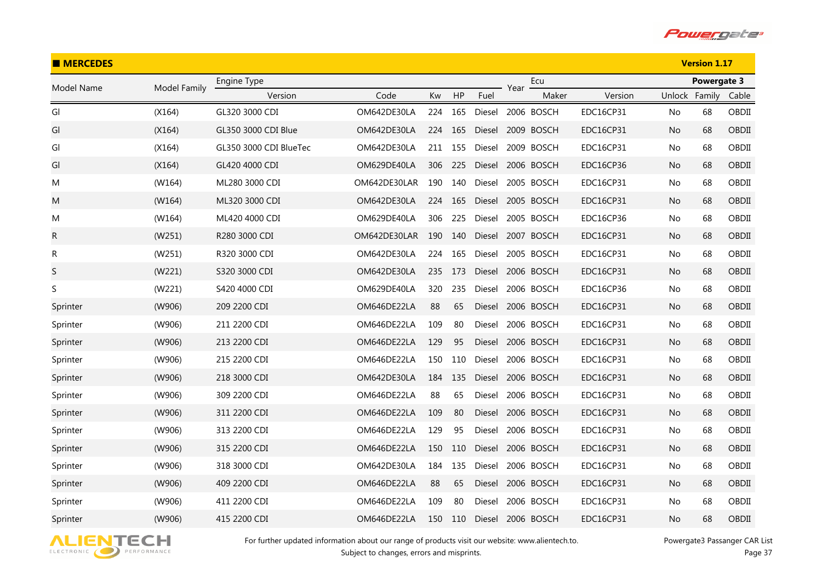

| <b>MERCEDES</b> |              |                        |              |     |         |               |      |            |                  |               | <b>Version 1.17</b> |       |
|-----------------|--------------|------------------------|--------------|-----|---------|---------------|------|------------|------------------|---------------|---------------------|-------|
| Model Name      | Model Family | Engine Type            |              |     |         |               | Year | Ecu        |                  |               | <b>Powergate 3</b>  |       |
|                 |              | Version                | Code         | Kw  | HP      | Fuel          |      | Maker      | Version          | Unlock Family |                     | Cable |
| Gl              | (X164)       | GL320 3000 CDI         | OM642DE30LA  | 224 | 165     | Diesel        |      | 2006 BOSCH | <b>EDC16CP31</b> | No            | 68                  | OBDII |
| GI              | (X164)       | GL350 3000 CDI Blue    | OM642DE30LA  | 224 | 165     | Diesel        |      | 2009 BOSCH | EDC16CP31        | No            | 68                  | OBDII |
| Gl              | (X164)       | GL350 3000 CDI BlueTec | OM642DE30LA  | 211 | 155     | Diesel        |      | 2009 BOSCH | <b>EDC16CP31</b> | No            | 68                  | OBDII |
| GI              | (X164)       | GL420 4000 CDI         | OM629DE40LA  |     | 306 225 | <b>Diesel</b> |      | 2006 BOSCH | EDC16CP36        | No            | 68                  | OBDII |
| M               | (W164)       | ML280 3000 CDI         | OM642DE30LAR | 190 | 140     | Diesel        |      | 2005 BOSCH | EDC16CP31        | No            | 68                  | OBDII |
| M               | (W164)       | ML320 3000 CDI         | OM642DE30LA  | 224 | 165     | Diesel        |      | 2005 BOSCH | EDC16CP31        | No.           | 68                  | OBDII |
| M               | (W164)       | ML420 4000 CDI         | OM629DE40LA  | 306 | 225     | Diesel        |      | 2005 BOSCH | EDC16CP36        | No.           | 68                  | OBDII |
| R               | (W251)       | R280 3000 CDI          | OM642DE30LAR | 190 | 140     | Diesel        |      | 2007 BOSCH | EDC16CP31        | No            | 68                  | OBDII |
| R               | (W251)       | R320 3000 CDI          | OM642DE30LA  | 224 | 165     | Diesel        |      | 2005 BOSCH | EDC16CP31        | No            | 68                  | OBDII |
| $\sf S$         | (W221)       | S320 3000 CDI          | OM642DE30LA  | 235 | 173     | Diesel        |      | 2006 BOSCH | EDC16CP31        | No            | 68                  | OBDII |
| S               | (W221)       | S420 4000 CDI          | OM629DE40LA  | 320 | 235     | Diesel        |      | 2006 BOSCH | EDC16CP36        | No            | 68                  | OBDII |
| Sprinter        | (W906)       | 209 2200 CDI           | OM646DE22LA  | 88  | 65      | Diesel        |      | 2006 BOSCH | EDC16CP31        | No.           | 68                  | OBDII |
| Sprinter        | (W906)       | 211 2200 CDI           | OM646DE22LA  | 109 | 80      | Diesel        |      | 2006 BOSCH | <b>EDC16CP31</b> | No.           | 68                  | OBDII |
| Sprinter        | (W906)       | 213 2200 CDI           | OM646DE22LA  | 129 | 95      | Diesel        |      | 2006 BOSCH | EDC16CP31        | No            | 68                  | OBDII |
| Sprinter        | (W906)       | 215 2200 CDI           | OM646DE22LA  | 150 | 110     | Diesel        |      | 2006 BOSCH | <b>EDC16CP31</b> | No            | 68                  | OBDII |
| Sprinter        | (W906)       | 218 3000 CDI           | OM642DE30LA  | 184 | 135     | Diesel        |      | 2006 BOSCH | EDC16CP31        | No.           | 68                  | OBDII |
| Sprinter        | (W906)       | 309 2200 CDI           | OM646DE22LA  | 88  | 65      | Diesel        |      | 2006 BOSCH | EDC16CP31        | No.           | 68                  | OBDII |
| Sprinter        | (W906)       | 311 2200 CDI           | OM646DE22LA  | 109 | 80      | Diesel        |      | 2006 BOSCH | EDC16CP31        | No            | 68                  | OBDII |
| Sprinter        | (W906)       | 313 2200 CDI           | OM646DE22LA  | 129 | 95      | Diesel        |      | 2006 BOSCH | EDC16CP31        | No            | 68                  | OBDII |
| Sprinter        | (W906)       | 315 2200 CDI           | OM646DE22LA  | 150 | 110     | Diesel        |      | 2006 BOSCH | EDC16CP31        | No            | 68                  | OBDII |
| Sprinter        | (W906)       | 318 3000 CDI           | OM642DE30LA  | 184 | 135     | Diesel        |      | 2006 BOSCH | <b>EDC16CP31</b> | No            | 68                  | OBDII |
| Sprinter        | (W906)       | 409 2200 CDI           | OM646DE22LA  | 88  | 65      | Diesel        |      | 2006 BOSCH | EDC16CP31        | No.           | 68                  | OBDII |
| Sprinter        | (W906)       | 411 2200 CDI           | OM646DE22LA  | 109 | 80      | Diesel        |      | 2006 BOSCH | <b>EDC16CP31</b> | No            | 68                  | OBDII |
| Sprinter        | (W906)       | 415 2200 CDI           | OM646DE22LA  | 150 | 110     | Diesel        |      | 2006 BOSCH | EDC16CP31        | No            | 68                  | OBDII |

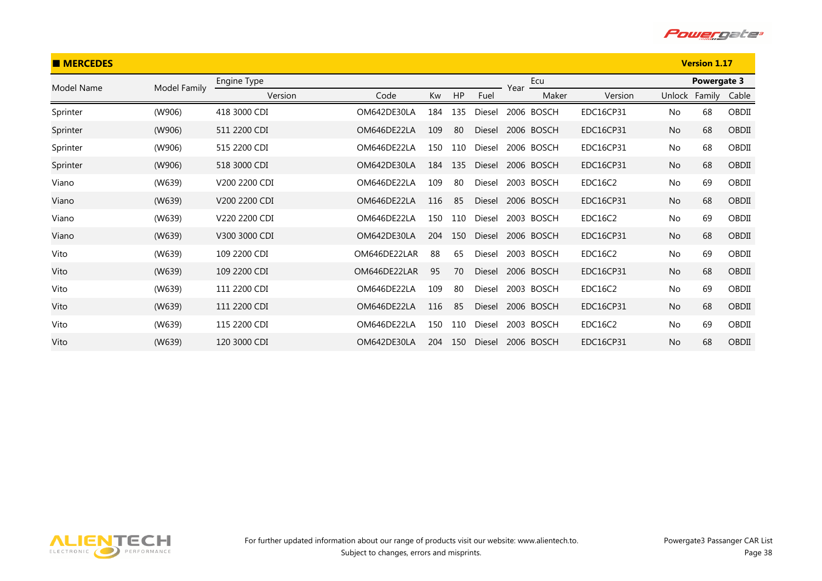

| <b>MERCEDES</b> |              |               |              |     |     |               |      |            |                  |           | <b>Version 1.17</b> |       |
|-----------------|--------------|---------------|--------------|-----|-----|---------------|------|------------|------------------|-----------|---------------------|-------|
| Model Name      | Model Family | Engine Type   |              |     |     |               | Year | Ecu        |                  |           | Powergate 3         |       |
|                 |              | Version       | Code         | Kw  | HP  | Fuel          |      | Maker      | Version          | Unlock    | Family              | Cable |
| Sprinter        | (W906)       | 418 3000 CDI  | OM642DE30LA  | 184 | 135 | Diesel        |      | 2006 BOSCH | <b>EDC16CP31</b> | No        | 68                  | OBDII |
| Sprinter        | (W906)       | 511 2200 CDI  | OM646DE22LA  | 109 | 80  | Diesel        |      | 2006 BOSCH | EDC16CP31        | <b>No</b> | 68                  | OBDII |
| Sprinter        | (W906)       | 515 2200 CDI  | OM646DE22LA  | 150 | 110 | Diesel        |      | 2006 BOSCH | <b>EDC16CP31</b> | No        | 68                  | OBDII |
| Sprinter        | (W906)       | 518 3000 CDI  | OM642DE30LA  | 184 | 135 | Diesel        |      | 2006 BOSCH | EDC16CP31        | <b>No</b> | 68                  | OBDII |
| Viano           | (W639)       | V200 2200 CDI | OM646DE22LA  | 109 | 80  | Diesel        |      | 2003 BOSCH | EDC16C2          | No        | 69                  | OBDII |
| Viano           | (W639)       | V200 2200 CDI | OM646DE22LA  | 116 | 85  | Diesel        |      | 2006 BOSCH | EDC16CP31        | <b>No</b> | 68                  | OBDII |
| Viano           | (W639)       | V220 2200 CDI | OM646DE22LA  | 150 | 110 | Diesel        |      | 2003 BOSCH | EDC16C2          | No        | 69                  | OBDII |
| Viano           | (W639)       | V300 3000 CDI | OM642DE30LA  | 204 | 150 | Diesel        |      | 2006 BOSCH | EDC16CP31        | <b>No</b> | 68                  | OBDII |
| Vito            | (W639)       | 109 2200 CDI  | OM646DE22LAR | 88  | 65  | Diesel        |      | 2003 BOSCH | EDC16C2          | No        | 69                  | OBDII |
| Vito            | (W639)       | 109 2200 CDI  | OM646DE22LAR | 95  | 70  | <b>Diesel</b> |      | 2006 BOSCH | EDC16CP31        | <b>No</b> | 68                  | OBDII |
| Vito            | (W639)       | 111 2200 CDI  | OM646DE22LA  | 109 | 80  | Diesel        |      | 2003 BOSCH | EDC16C2          | No        | 69                  | OBDII |
| Vito            | (W639)       | 111 2200 CDI  | OM646DE22LA  | 116 | 85  | Diesel        |      | 2006 BOSCH | EDC16CP31        | No        | 68                  | OBDII |
| Vito            | (W639)       | 115 2200 CDI  | OM646DE22LA  | 150 | 110 | Diesel        |      | 2003 BOSCH | EDC16C2          | No        | 69                  | OBDII |
| Vito            | (W639)       | 120 3000 CDI  | OM642DE30LA  | 204 | 150 | <b>Diesel</b> |      | 2006 BOSCH | EDC16CP31        | No        | 68                  | OBDII |

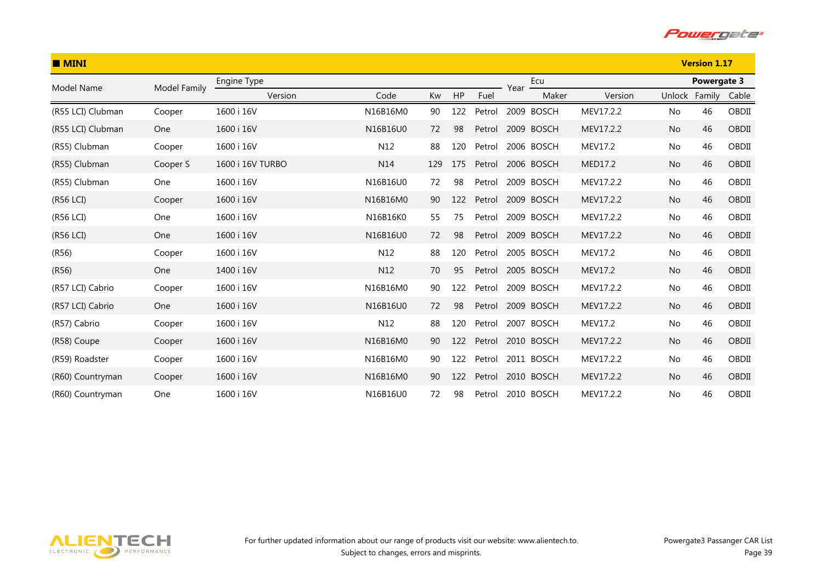

| $\blacksquare$ MINI |              |                  |          |     |     |        |      | <b>Version 1.17</b> |           |           |               |       |
|---------------------|--------------|------------------|----------|-----|-----|--------|------|---------------------|-----------|-----------|---------------|-------|
| Model Name          | Model Family | Engine Type      |          |     |     |        | Year | Ecu                 |           |           | Powergate 3   |       |
|                     |              | Version          | Code     | Kw  | HP  | Fuel   |      | Maker               | Version   |           | Unlock Family | Cable |
| (R55 LCI) Clubman   | Cooper       | 1600 i 16V       | N16B16M0 | 90  | 122 | Petrol |      | 2009 BOSCH          | MEV17.2.2 | No        | 46            | OBDII |
| (R55 LCI) Clubman   | One          | 1600 i 16V       | N16B16U0 | 72  | 98  | Petrol |      | 2009 BOSCH          | MEV17.2.2 | No.       | 46            | OBDII |
| (R55) Clubman       | Cooper       | 1600 i 16V       | N12      | 88  | 120 | Petrol |      | 2006 BOSCH          | MEV17.2   | No        | 46            | OBDII |
| (R55) Clubman       | Cooper S     | 1600 i 16V TURBO | N14      | 129 | 175 | Petrol |      | 2006 BOSCH          | MED17.2   | <b>No</b> | 46            | OBDII |
| (R55) Clubman       | One          | 1600 i 16V       | N16B16U0 | 72  | 98  | Petrol |      | 2009 BOSCH          | MEV17.2.2 | No        | 46            | OBDII |
| (R56 LCI)           | Cooper       | 1600 i 16V       | N16B16M0 | 90  | 122 | Petrol |      | 2009 BOSCH          | MEV17.2.2 | No        | 46            | OBDII |
| (R56 LCI)           | One          | 1600 i 16V       | N16B16K0 | 55  | 75  | Petrol |      | 2009 BOSCH          | MEV17.2.2 | No        | 46            | OBDII |
| (R56 LCI)           | One          | 1600 i 16V       | N16B16U0 | 72  | 98  | Petrol |      | 2009 BOSCH          | MEV17.2.2 | No        | 46            | OBDII |
| (R56)               | Cooper       | 1600 i 16V       | N12      | 88  | 120 | Petrol |      | 2005 BOSCH          | MEV17.2   | No        | 46            | OBDII |
| (R56)               | One          | 1400 i 16V       | N12      | 70  | 95  | Petrol |      | 2005 BOSCH          | MEV17.2   | No        | 46            | OBDII |
| (R57 LCI) Cabrio    | Cooper       | 1600 i 16V       | N16B16M0 | 90  | 122 | Petrol |      | 2009 BOSCH          | MEV17.2.2 | No        | 46            | OBDII |
| (R57 LCI) Cabrio    | One          | 1600 i 16V       | N16B16U0 | 72  | 98  | Petrol |      | 2009 BOSCH          | MEV17.2.2 | <b>No</b> | 46            | OBDII |
| (R57) Cabrio        | Cooper       | 1600 i 16V       | N12      | 88  | 120 | Petrol |      | 2007 BOSCH          | MEV17.2   | No        | 46            | OBDII |
| (R58) Coupe         | Cooper       | 1600 i 16V       | N16B16M0 | 90  | 122 | Petrol |      | 2010 BOSCH          | MEV17.2.2 | No        | 46            | OBDII |
| (R59) Roadster      | Cooper       | 1600 i 16V       | N16B16M0 | 90  | 122 | Petrol |      | 2011 BOSCH          | MEV17.2.2 | No        | 46            | OBDII |
| (R60) Countryman    | Cooper       | 1600 i 16V       | N16B16M0 | 90  | 122 | Petrol |      | 2010 BOSCH          | MEV17.2.2 | No        | 46            | OBDII |
| (R60) Countryman    | One          | 1600 i 16V       | N16B16U0 | 72  | 98  | Petrol |      | 2010 BOSCH          | MEV17.2.2 | No        | 46            | OBDII |

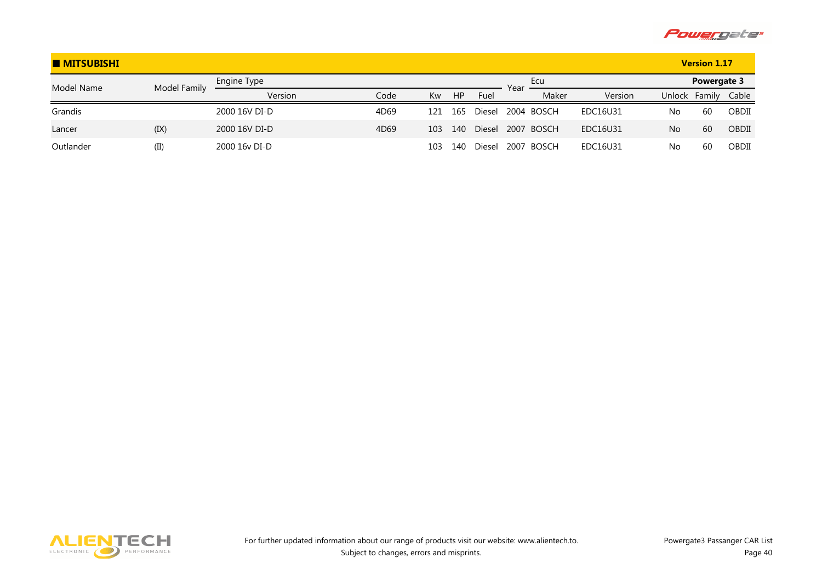

| <b>MITSUBISHI</b> |              |               |      |     |           |        | <b>Version 1.17</b> |            |          |        |             |       |
|-------------------|--------------|---------------|------|-----|-----------|--------|---------------------|------------|----------|--------|-------------|-------|
| Model Name        | Model Family | Engine Type   |      |     |           |        | Year                | Ecu        |          |        | Powergate 3 |       |
|                   |              | Version       | Code | Kw  | <b>HP</b> | Fuel   |                     | Maker      | Version  | Unlock | Family      | Cable |
| Grandis           |              | 2000 16V DI-D | 4D69 | 121 | 165       | Diesel |                     | 2004 BOSCH | EDC16U31 | No     | 60          | OBDII |
| Lancer            | (IX)         | 2000 16V DI-D | 4D69 | 103 | 140       | Diesel |                     | 2007 BOSCH | EDC16U31 | No     | 60          | OBDII |
| Outlander         | (II)         | 2000 16y DI-D |      | 103 | 140       | Diesel |                     | 2007 BOSCH | EDC16U31 | No     | 60          | OBDII |

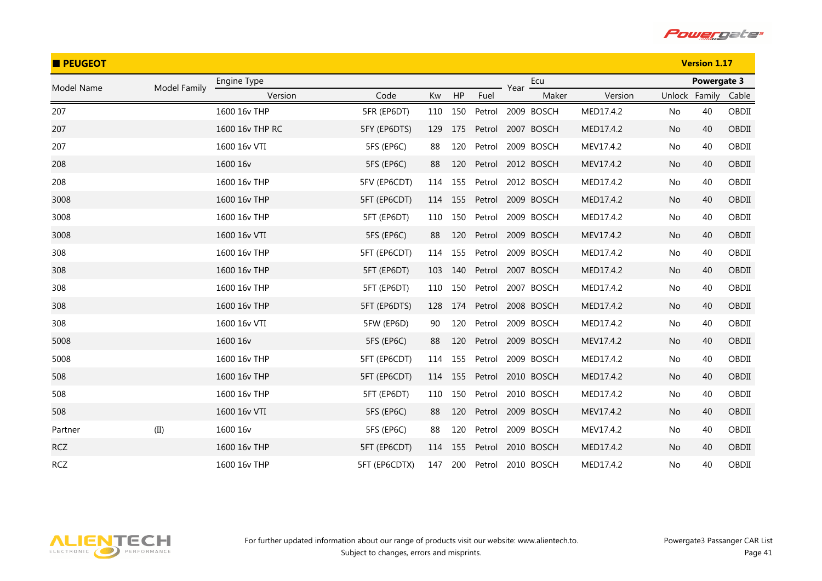

| <b>PEUGEOT</b> |              |                 |               |     |     |        |      |                   |           |    | <b>Version 1.17</b> |       |
|----------------|--------------|-----------------|---------------|-----|-----|--------|------|-------------------|-----------|----|---------------------|-------|
| Model Name     | Model Family | Engine Type     |               |     |     |        | Year | Ecu               |           |    | Powergate 3         |       |
|                |              | Version         | Code          | Kw  | HP  | Fuel   |      | Maker             | Version   |    | Unlock Family       | Cable |
| 207            |              | 1600 16v THP    | 5FR (EP6DT)   | 110 | 150 | Petrol |      | 2009 BOSCH        | MED17.4.2 | No | 40                  | OBDII |
| 207            |              | 1600 16y THP RC | 5FY (EP6DTS)  | 129 | 175 | Petrol |      | 2007 BOSCH        | MED17.4.2 | No | 40                  | OBDII |
| 207            |              | 1600 16v VTI    | 5FS (EP6C)    | 88  | 120 | Petrol |      | 2009 BOSCH        | MEV17.4.2 | No | 40                  | OBDII |
| 208            |              | 1600 16v        | 5FS (EP6C)    | 88  | 120 | Petrol |      | 2012 BOSCH        | MEV17.4.2 | No | 40                  | OBDII |
| 208            |              | 1600 16v THP    | 5FV (EP6CDT)  | 114 | 155 | Petrol |      | 2012 BOSCH        | MED17.4.2 | No | 40                  | OBDII |
| 3008           |              | 1600 16v THP    | 5FT (EP6CDT)  | 114 | 155 | Petrol |      | 2009 BOSCH        | MED17.4.2 | No | 40                  | OBDII |
| 3008           |              | 1600 16v THP    | 5FT (EP6DT)   | 110 | 150 | Petrol |      | 2009 BOSCH        | MED17.4.2 | No | 40                  | OBDII |
| 3008           |              | 1600 16v VTI    | 5FS (EP6C)    | 88  | 120 | Petrol |      | 2009 BOSCH        | MEV17.4.2 | No | 40                  | OBDII |
| 308            |              | 1600 16v THP    | 5FT (EP6CDT)  | 114 | 155 | Petrol |      | 2009 BOSCH        | MED17.4.2 | No | 40                  | OBDII |
| 308            |              | 1600 16v THP    | 5FT (EP6DT)   | 103 | 140 | Petrol |      | 2007 BOSCH        | MED17.4.2 | No | 40                  | OBDII |
| 308            |              | 1600 16v THP    | 5FT (EP6DT)   | 110 | 150 | Petrol |      | 2007 BOSCH        | MED17.4.2 | No | 40                  | OBDII |
| 308            |              | 1600 16v THP    | 5FT (EP6DTS)  | 128 | 174 | Petrol |      | 2008 BOSCH        | MED17.4.2 | No | 40                  | OBDII |
| 308            |              | 1600 16v VTI    | 5FW (EP6D)    | 90  | 120 | Petrol |      | 2009 BOSCH        | MED17.4.2 | No | 40                  | OBDII |
| 5008           |              | 1600 16v        | 5FS (EP6C)    | 88  | 120 |        |      | Petrol 2009 BOSCH | MEV17.4.2 | No | 40                  | OBDII |
| 5008           |              | 1600 16v THP    | 5FT (EP6CDT)  | 114 | 155 | Petrol |      | 2009 BOSCH        | MED17.4.2 | No | 40                  | OBDII |
| 508            |              | 1600 16v THP    | 5FT (EP6CDT)  | 114 | 155 | Petrol |      | 2010 BOSCH        | MED17.4.2 | No | 40                  | OBDII |
| 508            |              | 1600 16v THP    | 5FT (EP6DT)   | 110 | 150 | Petrol |      | 2010 BOSCH        | MED17.4.2 | No | 40                  | OBDII |
| 508            |              | 1600 16v VTI    | 5FS (EP6C)    | 88  | 120 | Petrol |      | 2009 BOSCH        | MEV17.4.2 | No | 40                  | OBDII |
| Partner        | (II)         | 1600 16v        | 5FS (EP6C)    | 88  | 120 | Petrol |      | 2009 BOSCH        | MEV17.4.2 | No | 40                  | OBDII |
| <b>RCZ</b>     |              | 1600 16v THP    | 5FT (EP6CDT)  | 114 | 155 | Petrol |      | 2010 BOSCH        | MED17.4.2 | No | 40                  | OBDII |
| <b>RCZ</b>     |              | 1600 16v THP    | 5FT (EP6CDTX) | 147 | 200 | Petrol |      | 2010 BOSCH        | MED17.4.2 | No | 40                  | OBDII |

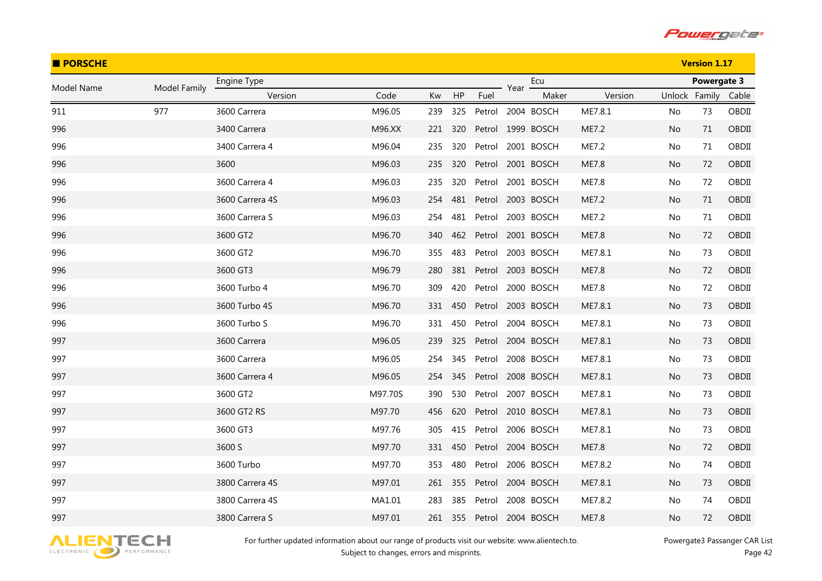

| <b>PORSCHE</b> |              |                 |         |     |     |        |      | <b>Version 1.17</b> |         |               |             |       |
|----------------|--------------|-----------------|---------|-----|-----|--------|------|---------------------|---------|---------------|-------------|-------|
| Model Name     | Model Family | Engine Type     |         |     |     |        | Year | Ecu                 |         |               | Powergate 3 |       |
|                |              | Version         | Code    | Kw  | HP  | Fuel   |      | Maker               | Version | Unlock Family |             | Cable |
| 911            | 977          | 3600 Carrera    | M96.05  | 239 | 325 |        |      | Petrol 2004 BOSCH   | ME7.8.1 | No            | 73          | OBDII |
| 996            |              | 3400 Carrera    | M96.XX  | 221 | 320 |        |      | Petrol 1999 BOSCH   | ME7.2   | No            | 71          | OBDII |
| 996            |              | 3400 Carrera 4  | M96.04  | 235 | 320 |        |      | Petrol 2001 BOSCH   | ME7.2   | No            | 71          | OBDII |
| 996            |              | 3600            | M96.03  | 235 | 320 |        |      | Petrol 2001 BOSCH   | ME7.8   | No            | 72          | OBDII |
| 996            |              | 3600 Carrera 4  | M96.03  | 235 | 320 |        |      | Petrol 2001 BOSCH   | ME7.8   | No            | 72          | OBDII |
| 996            |              | 3600 Carrera 4S | M96.03  | 254 | 481 |        |      | Petrol 2003 BOSCH   | ME7.2   | No.           | 71          | OBDII |
| 996            |              | 3600 Carrera S  | M96.03  | 254 | 481 | Petrol |      | 2003 BOSCH          | ME7.2   | No            | 71          | OBDII |
| 996            |              | 3600 GT2        | M96.70  | 340 | 462 |        |      | Petrol 2001 BOSCH   | ME7.8   | No            | 72          | OBDII |
| 996            |              | 3600 GT2        | M96.70  | 355 | 483 |        |      | Petrol 2003 BOSCH   | ME7.8.1 | No            | 73          | OBDII |
| 996            |              | 3600 GT3        | M96.79  | 280 | 381 |        |      | Petrol 2003 BOSCH   | ME7.8   | No            | 72          | OBDII |
| 996            |              | 3600 Turbo 4    | M96.70  | 309 | 420 |        |      | Petrol 2000 BOSCH   | ME7.8   | No            | 72          | OBDII |
| 996            |              | 3600 Turbo 4S   | M96.70  | 331 | 450 |        |      | Petrol 2003 BOSCH   | ME7.8.1 | No.           | 73          | OBDII |
| 996            |              | 3600 Turbo S    | M96.70  | 331 | 450 |        |      | Petrol 2004 BOSCH   | ME7.8.1 | No            | 73          | OBDII |
| 997            |              | 3600 Carrera    | M96.05  | 239 | 325 |        |      | Petrol 2004 BOSCH   | ME7.8.1 | No            | 73          | OBDII |
| 997            |              | 3600 Carrera    | M96.05  | 254 | 345 |        |      | Petrol 2008 BOSCH   | ME7.8.1 | No            | 73          | OBDII |
| 997            |              | 3600 Carrera 4  | M96.05  | 254 | 345 |        |      | Petrol 2008 BOSCH   | ME7.8.1 | No.           | 73          | OBDII |
| 997            |              | 3600 GT2        | M97.70S | 390 | 530 |        |      | Petrol 2007 BOSCH   | ME7.8.1 | No            | 73          | OBDII |
| 997            |              | 3600 GT2 RS     | M97.70  | 456 | 620 |        |      | Petrol 2010 BOSCH   | ME7.8.1 | No            | 73          | OBDII |
| 997            |              | 3600 GT3        | M97.76  | 305 | 415 |        |      | Petrol 2006 BOSCH   | ME7.8.1 | No            | 73          | OBDII |
| 997            |              | 3600 S          | M97.70  | 331 | 450 |        |      | Petrol 2004 BOSCH   | ME7.8   | No            | 72          | OBDII |
| 997            |              | 3600 Turbo      | M97.70  | 353 | 480 |        |      | Petrol 2006 BOSCH   | ME7.8.2 | No.           | 74          | OBDII |
| 997            |              | 3800 Carrera 4S | M97.01  | 261 | 355 |        |      | Petrol 2004 BOSCH   | ME7.8.1 | No.           | 73          | OBDII |
| 997            |              | 3800 Carrera 4S | MA1.01  | 283 | 385 | Petrol |      | 2008 BOSCH          | ME7.8.2 | No.           | 74          | OBDII |
| 997            |              | 3800 Carrera S  | M97.01  | 261 | 355 |        |      | Petrol 2004 BOSCH   | ME7.8   | No            | 72          | OBDII |

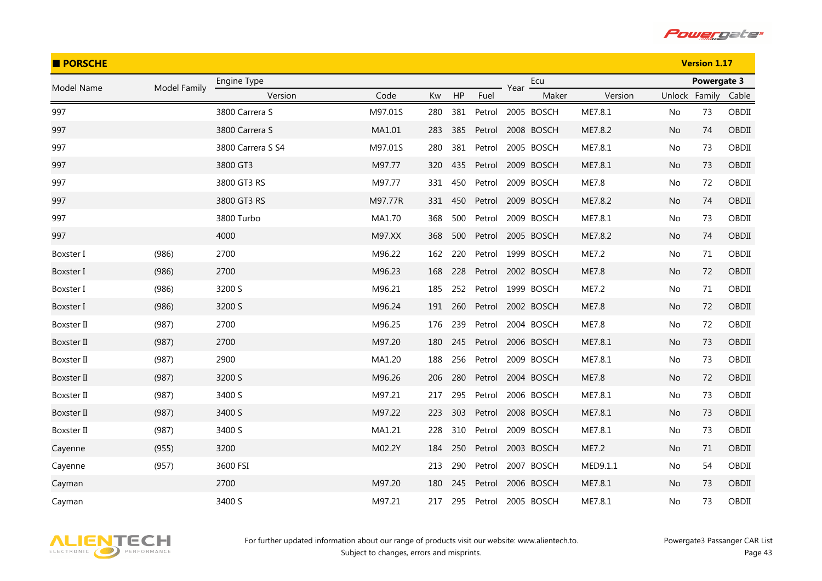

| <b>PORSCHE</b> |              |                   |         |     |     |        |      |            |          |               | <b>Version 1.17</b> |       |
|----------------|--------------|-------------------|---------|-----|-----|--------|------|------------|----------|---------------|---------------------|-------|
| Model Name     | Model Family | Engine Type       |         |     |     |        | Year | Ecu        |          |               | Powergate 3         |       |
|                |              | Version           | Code    | Kw  | HP  | Fuel   |      | Maker      | Version  | Unlock Family |                     | Cable |
| 997            |              | 3800 Carrera S    | M97.01S | 280 | 381 | Petrol |      | 2005 BOSCH | ME7.8.1  | No            | 73                  | OBDII |
| 997            |              | 3800 Carrera S    | MA1.01  | 283 | 385 | Petrol |      | 2008 BOSCH | ME7.8.2  | <b>No</b>     | 74                  | OBDII |
| 997            |              | 3800 Carrera S S4 | M97.01S | 280 | 381 | Petrol |      | 2005 BOSCH | ME7.8.1  | No            | 73                  | OBDII |
| 997            |              | 3800 GT3          | M97.77  | 320 | 435 | Petrol |      | 2009 BOSCH | ME7.8.1  | No            | 73                  | OBDII |
| 997            |              | 3800 GT3 RS       | M97.77  | 331 | 450 | Petrol |      | 2009 BOSCH | ME7.8    | No            | 72                  | OBDII |
| 997            |              | 3800 GT3 RS       | M97.77R | 331 | 450 | Petrol |      | 2009 BOSCH | ME7.8.2  | No.           | 74                  | OBDII |
| 997            |              | 3800 Turbo        | MA1.70  | 368 | 500 | Petrol |      | 2009 BOSCH | ME7.8.1  | No            | 73                  | OBDII |
| 997            |              | 4000              | M97.XX  | 368 | 500 | Petrol |      | 2005 BOSCH | ME7.8.2  | No            | 74                  | OBDII |
| Boxster I      | (986)        | 2700              | M96.22  | 162 | 220 | Petrol |      | 1999 BOSCH | ME7.2    | No            | 71                  | OBDII |
| Boxster I      | (986)        | 2700              | M96.23  | 168 | 228 | Petrol |      | 2002 BOSCH | ME7.8    | No            | 72                  | OBDII |
| Boxster I      | (986)        | 3200 S            | M96.21  | 185 | 252 | Petrol |      | 1999 BOSCH | ME7.2    | No            | 71                  | OBDII |
| Boxster I      | (986)        | 3200 S            | M96.24  | 191 | 260 | Petrol |      | 2002 BOSCH | ME7.8    | No.           | 72                  | OBDII |
| Boxster II     | (987)        | 2700              | M96.25  | 176 | 239 | Petrol |      | 2004 BOSCH | ME7.8    | No            | 72                  | OBDII |
| Boxster II     | (987)        | 2700              | M97.20  | 180 | 245 | Petrol |      | 2006 BOSCH | ME7.8.1  | No.           | 73                  | OBDII |
| Boxster II     | (987)        | 2900              | MA1.20  | 188 | 256 | Petrol |      | 2009 BOSCH | ME7.8.1  | No            | 73                  | OBDII |
| Boxster II     | (987)        | 3200 S            | M96.26  | 206 | 280 | Petrol |      | 2004 BOSCH | ME7.8    | No.           | 72                  | OBDII |
| Boxster II     | (987)        | 3400 S            | M97.21  | 217 | 295 | Petrol |      | 2006 BOSCH | ME7.8.1  | No            | 73                  | OBDII |
| Boxster II     | (987)        | 3400 S            | M97.22  | 223 | 303 | Petrol |      | 2008 BOSCH | ME7.8.1  | No.           | 73                  | OBDII |
| Boxster II     | (987)        | 3400 S            | MA1.21  | 228 | 310 | Petrol |      | 2009 BOSCH | ME7.8.1  | No            | 73                  | OBDII |
| Cayenne        | (955)        | 3200              | M02.2Y  | 184 | 250 | Petrol |      | 2003 BOSCH | ME7.2    | No.           | 71                  | OBDII |
| Cayenne        | (957)        | 3600 FSI          |         | 213 | 290 | Petrol |      | 2007 BOSCH | MED9.1.1 | No            | 54                  | OBDII |
| Cayman         |              | 2700              | M97.20  | 180 | 245 | Petrol |      | 2006 BOSCH | ME7.8.1  | No.           | 73                  | OBDII |
| Cayman         |              | 3400 S            | M97.21  | 217 | 295 | Petrol |      | 2005 BOSCH | ME7.8.1  | No            | 73                  | OBDII |

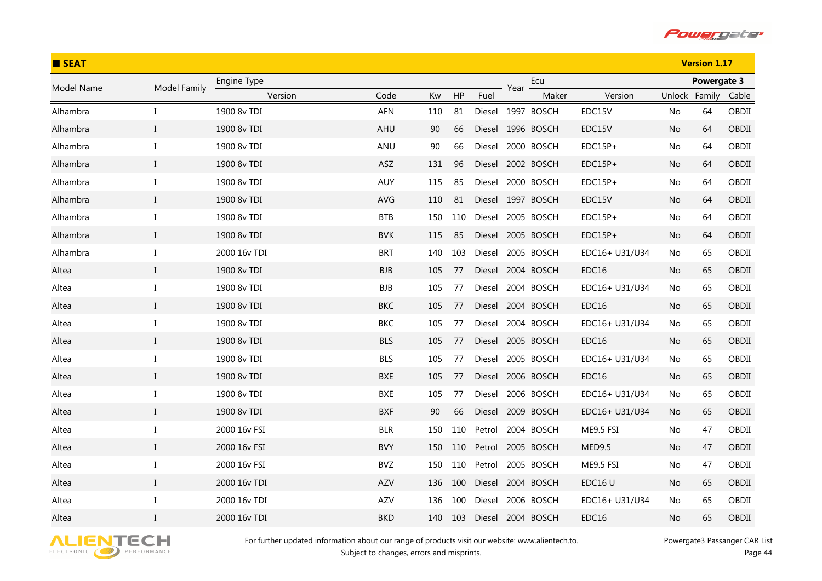

| <b>SEAT</b> |              |              |            |     |     |        |      | <b>Version 1.17</b> |                |               |             |       |
|-------------|--------------|--------------|------------|-----|-----|--------|------|---------------------|----------------|---------------|-------------|-------|
| Model Name  | Model Family | Engine Type  |            |     |     |        | Year | Ecu                 |                |               | Powergate 3 |       |
|             |              | Version      | Code       | Kw  | HP  | Fuel   |      | Maker               | Version        | Unlock Family |             | Cable |
| Alhambra    | Ι            | 1900 8v TDI  | AFN        | 110 | 81  |        |      | Diesel 1997 BOSCH   | EDC15V         | No            | 64          | OBDII |
| Alhambra    | $\bf{I}$     | 1900 8v TDI  | AHU        | 90  | 66  |        |      | Diesel 1996 BOSCH   | EDC15V         | No            | 64          | OBDII |
| Alhambra    | I            | 1900 8v TDI  | ANU        | 90  | 66  | Diesel |      | 2000 BOSCH          | $EDC15P+$      | No            | 64          | OBDII |
| Alhambra    | $\mathbf{I}$ | 1900 8v TDI  | <b>ASZ</b> | 131 | 96  | Diesel |      | 2002 BOSCH          | $EDC15P+$      | No            | 64          | OBDII |
| Alhambra    | $\bf{I}$     | 1900 8v TDI  | AUY        | 115 | 85  | Diesel |      | 2000 BOSCH          | $EDC15P+$      | No            | 64          | OBDII |
| Alhambra    | $\bf{I}$     | 1900 8v TDI  | AVG        | 110 | 81  |        |      | Diesel 1997 BOSCH   | EDC15V         | No.           | 64          | OBDII |
| Alhambra    | $\rm I$      | 1900 8v TDI  | <b>BTB</b> | 150 | 110 | Diesel |      | 2005 BOSCH          | $EDC15P+$      | No            | 64          | OBDII |
| Alhambra    | $\bf{I}$     | 1900 8v TDI  | <b>BVK</b> | 115 | 85  | Diesel |      | 2005 BOSCH          | EDC15P+        | No            | 64          | OBDII |
| Alhambra    | Ι            | 2000 16v TDI | <b>BRT</b> | 140 | 103 | Diesel |      | 2005 BOSCH          | EDC16+ U31/U34 | No            | 65          | OBDII |
| Altea       | $\bf{I}$     | 1900 8v TDI  | <b>BJB</b> | 105 | 77  |        |      | Diesel 2004 BOSCH   | EDC16          | No            | 65          | OBDII |
| Altea       | $\bf{I}$     | 1900 8v TDI  | <b>BJB</b> | 105 | 77  | Diesel |      | 2004 BOSCH          | EDC16+ U31/U34 | No            | 65          | OBDII |
| Altea       | $\rm I$      | 1900 8v TDI  | <b>BKC</b> | 105 | 77  | Diesel |      | 2004 BOSCH          | EDC16          | No            | 65          | OBDII |
| Altea       | $\bf{I}$     | 1900 8v TDI  | BKC        | 105 | 77  | Diesel |      | 2004 BOSCH          | EDC16+ U31/U34 | No.           | 65          | OBDII |
| Altea       | $\mathbf{I}$ | 1900 8v TDI  | <b>BLS</b> | 105 | 77  | Diesel |      | 2005 BOSCH          | EDC16          | No            | 65          | OBDII |
| Altea       | Ι            | 1900 8v TDI  | <b>BLS</b> | 105 | 77  | Diesel |      | 2005 BOSCH          | EDC16+ U31/U34 | No            | 65          | OBDII |
| Altea       | $\bf{I}$     | 1900 8v TDI  | BXE        | 105 | 77  |        |      | Diesel 2006 BOSCH   | EDC16          | No.           | 65          | OBDII |
| Altea       | $\rm I$      | 1900 8v TDI  | BXE        | 105 | 77  | Diesel |      | 2006 BOSCH          | EDC16+ U31/U34 | No.           | 65          | OBDII |
| Altea       | $\bf{I}$     | 1900 8v TDI  | <b>BXF</b> | 90  | 66  |        |      | Diesel 2009 BOSCH   | EDC16+ U31/U34 | No.           | 65          | OBDII |
| Altea       | I            | 2000 16v FSI | <b>BLR</b> | 150 | 110 | Petrol |      | 2004 BOSCH          | ME9.5 FSI      | No            | 47          | OBDII |
| Altea       | $\bf{I}$     | 2000 16v FSI | <b>BVY</b> | 150 | 110 | Petrol |      | 2005 BOSCH          | MED9.5         | No            | 47          | OBDII |
| Altea       | Ι            | 2000 16v FSI | <b>BVZ</b> | 150 | 110 | Petrol |      | 2005 BOSCH          | ME9.5 FSI      | No.           | 47          | OBDII |
| Altea       | $\mathbf I$  | 2000 16v TDI | AZV        | 136 | 100 | Diesel |      | 2004 BOSCH          | EDC16 U        | No.           | 65          | OBDII |
| Altea       | $\bf{I}$     | 2000 16v TDI | AZV        | 136 | 100 | Diesel |      | 2006 BOSCH          | EDC16+ U31/U34 | No.           | 65          | OBDII |
| Altea       | $\mathbf{I}$ | 2000 16v TDI | <b>BKD</b> | 140 | 103 | Diesel |      | 2004 BOSCH          | EDC16          | No            | 65          | OBDII |

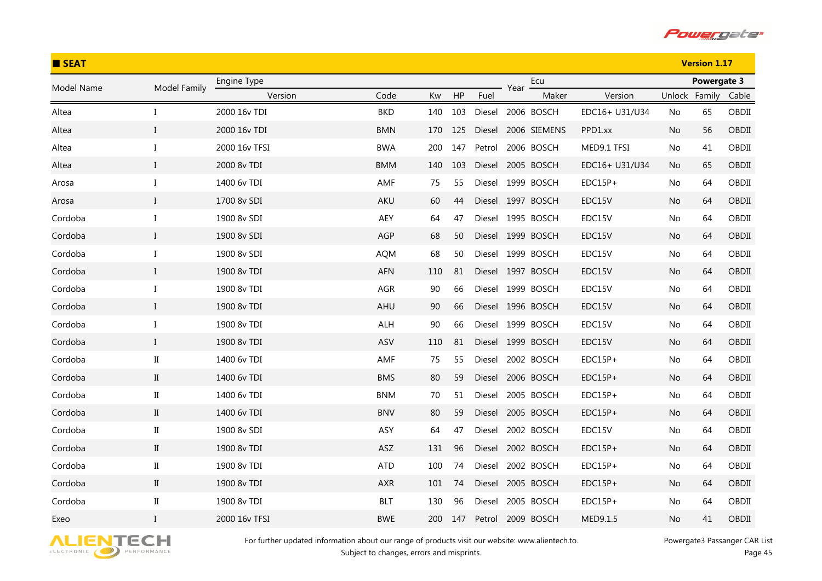

| <b>B</b> SEAT |                      |               |            |     |     |        |      |                   |                |               | <b>Version 1.17</b> |       |
|---------------|----------------------|---------------|------------|-----|-----|--------|------|-------------------|----------------|---------------|---------------------|-------|
| Model Name    | Model Family         | Engine Type   |            |     |     |        | Year | Ecu               |                |               | Powergate 3         |       |
|               |                      | Version       | Code       | Kw  | HP  | Fuel   |      | Maker             | Version        | Unlock Family |                     | Cable |
| Altea         | I                    | 2000 16v TDI  | <b>BKD</b> | 140 | 103 | Diesel |      | 2006 BOSCH        | EDC16+ U31/U34 | No            | 65                  | OBDII |
| Altea         | $\mathbf{I}$         | 2000 16v TDI  | <b>BMN</b> | 170 | 125 | Diesel |      | 2006 SIEMENS      | PPD1.xx        | No            | 56                  | OBDII |
| Altea         | $\bf{I}$             | 2000 16v TFSI | <b>BWA</b> | 200 | 147 | Petrol |      | 2006 BOSCH        | MED9.1 TFSI    | No            | 41                  | OBDII |
| Altea         | $\mathbf{I}$         | 2000 8v TDI   | <b>BMM</b> | 140 | 103 | Diesel |      | 2005 BOSCH        | EDC16+ U31/U34 | No            | 65                  | OBDII |
| Arosa         | $\bf{I}$             | 1400 6v TDI   | AMF        | 75  | 55  | Diesel |      | 1999 BOSCH        | $EDC15P+$      | No            | 64                  | OBDII |
| Arosa         | $\bf{I}$             | 1700 8v SDI   | AKU        | 60  | 44  |        |      | Diesel 1997 BOSCH | EDC15V         | No            | 64                  | OBDII |
| Cordoba       | $\bf{I}$             | 1900 8v SDI   | AEY        | 64  | 47  | Diesel |      | 1995 BOSCH        | EDC15V         | No            | 64                  | OBDII |
| Cordoba       | $\bf{I}$             | 1900 8v SDI   | AGP        | 68  | 50  |        |      | Diesel 1999 BOSCH | EDC15V         | No            | 64                  | OBDII |
| Cordoba       | $\bf{I}$             | 1900 8v SDI   | <b>AQM</b> | 68  | 50  | Diesel |      | 1999 BOSCH        | EDC15V         | No            | 64                  | OBDII |
| Cordoba       | $\bf{I}$             | 1900 8v TDI   | <b>AFN</b> | 110 | 81  | Diesel |      | 1997 BOSCH        | EDC15V         | No            | 64                  | OBDII |
| Cordoba       | I                    | 1900 8v TDI   | AGR        | 90  | 66  | Diesel |      | 1999 BOSCH        | EDC15V         | No            | 64                  | OBDII |
| Cordoba       | $\mathbf{I}$         | 1900 8v TDI   | AHU        | 90  | 66  | Diesel |      | 1996 BOSCH        | EDC15V         | No            | 64                  | OBDII |
| Cordoba       | $\bf{I}$             | 1900 8v TDI   | ALH        | 90  | 66  | Diesel |      | 1999 BOSCH        | EDC15V         | No            | 64                  | OBDII |
| Cordoba       | $\mathbf{I}$         | 1900 8v TDI   | ASV        | 110 | 81  | Diesel |      | 1999 BOSCH        | EDC15V         | No            | 64                  | OBDII |
| Cordoba       | $\rm II$             | 1400 6v TDI   | AMF        | 75  | 55  | Diesel |      | 2002 BOSCH        | $EDC15P+$      | No            | 64                  | OBDII |
| Cordoba       | $\mathbf{I}$         | 1400 6v TDI   | <b>BMS</b> | 80  | 59  | Diesel |      | 2006 BOSCH        | $EDC15P+$      | No            | 64                  | OBDII |
| Cordoba       | $\rm II$             | 1400 6v TDI   | <b>BNM</b> | 70  | 51  | Diesel |      | 2005 BOSCH        | $EDC15P+$      | No            | 64                  | OBDII |
| Cordoba       | $\rm II$             | 1400 6v TDI   | <b>BNV</b> | 80  | 59  |        |      | Diesel 2005 BOSCH | $EDC15P+$      | No            | 64                  | OBDII |
| Cordoba       | $\scriptstyle\rm II$ | 1900 8v SDI   | ASY        | 64  | 47  | Diesel |      | 2002 BOSCH        | EDC15V         | No            | 64                  | OBDII |
| Cordoba       | $\rm II$             | 1900 8v TDI   | ASZ        | 131 | 96  | Diesel |      | 2002 BOSCH        | $EDC15P+$      | No            | 64                  | OBDII |
| Cordoba       | $\rm II$             | 1900 8v TDI   | <b>ATD</b> | 100 | 74  | Diesel |      | 2002 BOSCH        | $EDC15P+$      | No            | 64                  | OBDII |
| Cordoba       | $\rm II$             | 1900 8v TDI   | AXR        | 101 | 74  | Diesel |      | 2005 BOSCH        | $EDC15P+$      | No            | 64                  | OBDII |
| Cordoba       | $\scriptstyle\rm II$ | 1900 8v TDI   | <b>BLT</b> | 130 | 96  | Diesel |      | 2005 BOSCH        | EDC15P+        | No            | 64                  | OBDII |
| Exeo          | $\mathbf{I}$         | 2000 16v TFSI | <b>BWE</b> | 200 | 147 | Petrol |      | 2009 BOSCH        | MED9.1.5       | No            | 41                  | OBDII |

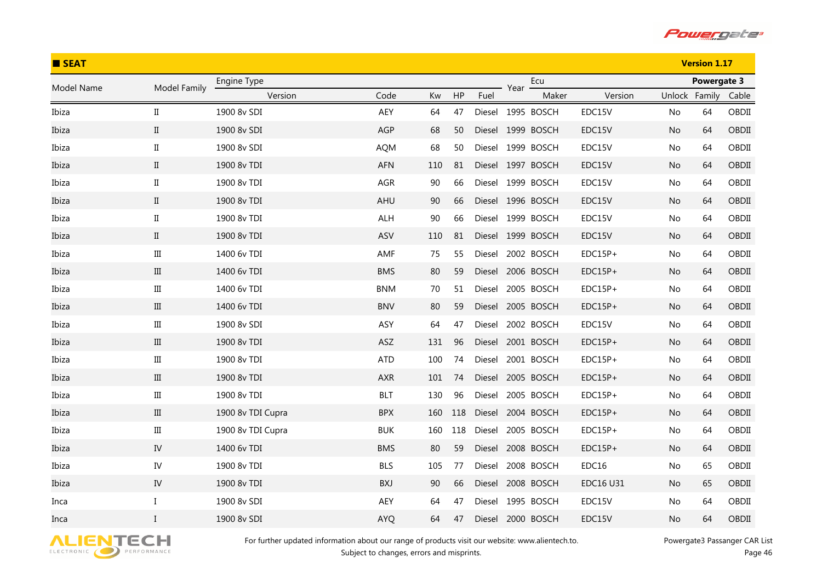

| <b>SEAT</b> |              |                   |            |     |     |        |      | <b>Version 1.17</b> |                  |               |             |       |
|-------------|--------------|-------------------|------------|-----|-----|--------|------|---------------------|------------------|---------------|-------------|-------|
| Model Name  | Model Family | Engine Type       |            |     |     |        | Year | Ecu                 |                  |               | Powergate 3 |       |
|             |              | Version           | Code       | Kw  | HP  | Fuel   |      | Maker               | Version          | Unlock Family |             | Cable |
| Ibiza       | $\rm II$     | 1900 8v SDI       | AEY        | 64  | 47  |        |      | Diesel 1995 BOSCH   | EDC15V           | No            | 64          | OBDII |
| Ibiza       | $\rm II$     | 1900 8v SDI       | AGP        | 68  | 50  |        |      | Diesel 1999 BOSCH   | EDC15V           | No.           | 64          | OBDII |
| Ibiza       | $\rm II$     | 1900 8v SDI       | AQM        | 68  | 50  |        |      | Diesel 1999 BOSCH   | EDC15V           | No            | 64          | OBDII |
| Ibiza       | $\mathbf{I}$ | 1900 8v TDI       | <b>AFN</b> | 110 | 81  |        |      | Diesel 1997 BOSCH   | EDC15V           | No            | 64          | OBDII |
| Ibiza       | $\rm II$     | 1900 8v TDI       | AGR        | 90  | 66  |        |      | Diesel 1999 BOSCH   | EDC15V           | No            | 64          | OBDII |
| Ibiza       | $\mathbf{I}$ | 1900 8v TDI       | AHU        | 90  | 66  |        |      | Diesel 1996 BOSCH   | EDC15V           | No            | 64          | OBDII |
| Ibiza       | $\rm II$     | 1900 8v TDI       | ALH        | 90  | 66  |        |      | Diesel 1999 BOSCH   | EDC15V           | No            | 64          | OBDII |
| Ibiza       | $\;$ II      | 1900 8v TDI       | ASV        | 110 | 81  |        |      | Diesel 1999 BOSCH   | EDC15V           | No            | 64          | OBDII |
| Ibiza       | $\rm III$    | 1400 6v TDI       | AMF        | 75  | 55  | Diesel |      | 2002 BOSCH          | $EDC15P+$        | No            | 64          | OBDII |
| Ibiza       | III          | 1400 6v TDI       | <b>BMS</b> | 80  | 59  |        |      | Diesel 2006 BOSCH   | EDC15P+          | No            | 64          | OBDII |
| Ibiza       | $\rm III$    | 1400 6v TDI       | <b>BNM</b> | 70  | 51  |        |      | Diesel 2005 BOSCH   | $EDC15P+$        | No.           | 64          | OBDII |
| Ibiza       | $\rm III$    | 1400 6v TDI       | <b>BNV</b> | 80  | 59  |        |      | Diesel 2005 BOSCH   | $EDC15P+$        | No            | 64          | OBDII |
| Ibiza       | $\rm III$    | 1900 8v SDI       | ASY        | 64  | 47  | Diesel |      | 2002 BOSCH          | EDC15V           | No            | 64          | OBDII |
| Ibiza       | $\rm III$    | 1900 8v TDI       | ASZ        | 131 | 96  | Diesel |      | 2001 BOSCH          | $EDC15P+$        | No            | 64          | OBDII |
| Ibiza       | $\rm III$    | 1900 8v TDI       | <b>ATD</b> | 100 | 74  |        |      | Diesel 2001 BOSCH   | $EDC15P+$        | No            | 64          | OBDII |
| Ibiza       | $\rm III$    | 1900 8v TDI       | AXR        | 101 | 74  |        |      | Diesel 2005 BOSCH   | $EDC15P+$        | No            | 64          | OBDII |
| Ibiza       | $\rm III$    | 1900 8v TDI       | <b>BLT</b> | 130 | 96  |        |      | Diesel 2005 BOSCH   | $EDC15P+$        | No            | 64          | OBDII |
| Ibiza       | $\rm III$    | 1900 8v TDI Cupra | <b>BPX</b> | 160 | 118 |        |      | Diesel 2004 BOSCH   | EDC15P+          | No            | 64          | OBDII |
| Ibiza       | $\rm III$    | 1900 8v TDI Cupra | <b>BUK</b> | 160 | 118 | Diesel |      | 2005 BOSCH          | $EDC15P+$        | No            | 64          | OBDII |
| Ibiza       | IV           | 1400 6v TDI       | <b>BMS</b> | 80  | 59  |        |      | Diesel 2008 BOSCH   | $EDC15P+$        | No            | 64          | OBDII |
| Ibiza       | IV           | 1900 8v TDI       | <b>BLS</b> | 105 | 77  | Diesel |      | 2008 BOSCH          | EDC16            | No            | 65          | OBDII |
| Ibiza       | IV           | 1900 8v TDI       | BXJ        | 90  | 66  |        |      | Diesel 2008 BOSCH   | <b>EDC16 U31</b> | No            | 65          | OBDII |
| Inca        | $\bf{I}$     | 1900 8v SDI       | AEY        | 64  | 47  | Diesel |      | 1995 BOSCH          | EDC15V           | No.           | 64          | OBDII |
| Inca        | $\mathbf I$  | 1900 8v SDI       | AYQ        | 64  | 47  | Diesel |      | 2000 BOSCH          | EDC15V           | No            | 64          | OBDII |

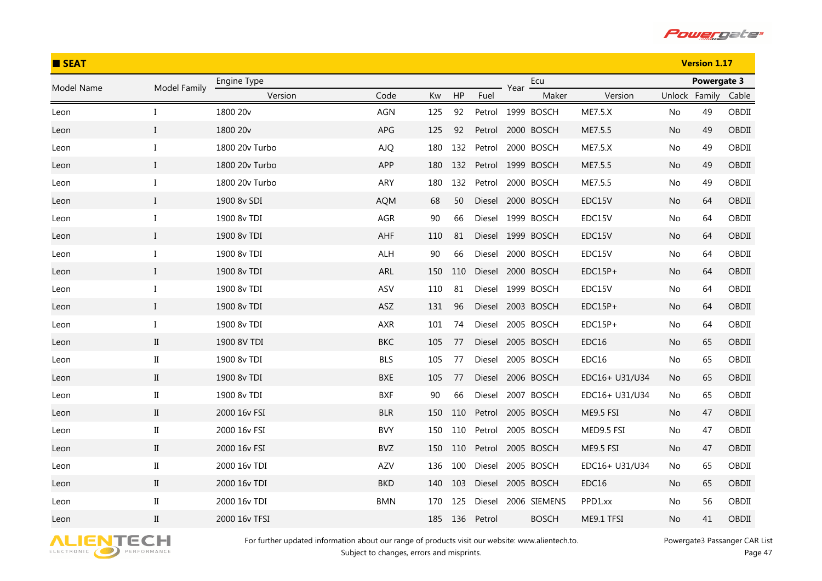

| <b>SEAT</b> |                      |                |            |     |     |        |      |                   |                |               | <b>Version 1.17</b> |       |
|-------------|----------------------|----------------|------------|-----|-----|--------|------|-------------------|----------------|---------------|---------------------|-------|
| Model Name  | Model Family         | Engine Type    |            |     |     |        | Year | Ecu               |                |               | Powergate 3         |       |
|             |                      | Version        | Code       | Kw  | HP  | Fuel   |      | Maker             | Version        | Unlock Family |                     | Cable |
| Leon        | I                    | 1800 20v       | AGN        | 125 | 92  | Petrol |      | 1999 BOSCH        | <b>ME7.5.X</b> | No            | 49                  | OBDII |
| Leon        | $\bf{I}$             | 1800 20v       | APG        | 125 | 92  | Petrol |      | 2000 BOSCH        | ME7.5.5        | No.           | 49                  | OBDII |
| Leon        | $\bf{I}$             | 1800 20v Turbo | <b>AJQ</b> | 180 | 132 | Petrol |      | 2000 BOSCH        | <b>ME7.5.X</b> | No            | 49                  | OBDII |
| Leon        | $\bf{I}$             | 1800 20v Turbo | APP        | 180 | 132 | Petrol |      | 1999 BOSCH        | ME7.5.5        | No.           | 49                  | OBDII |
| Leon        | $\bf{I}$             | 1800 20v Turbo | ARY        | 180 | 132 | Petrol |      | 2000 BOSCH        | ME7.5.5        | No            | 49                  | OBDII |
| Leon        | $\bf{I}$             | 1900 8v SDI    | <b>AQM</b> | 68  | 50  |        |      | Diesel 2000 BOSCH | EDC15V         | No            | 64                  | OBDII |
| Leon        | $\bf{I}$             | 1900 8v TDI    | AGR        | 90  | 66  |        |      | Diesel 1999 BOSCH | EDC15V         | No            | 64                  | OBDII |
| Leon        | $\bf{I}$             | 1900 8v TDI    | AHF        | 110 | 81  |        |      | Diesel 1999 BOSCH | EDC15V         | No            | 64                  | OBDII |
| Leon        | I                    | 1900 8v TDI    | ALH        | 90  | 66  | Diesel |      | 2000 BOSCH        | EDC15V         | No            | 64                  | OBDII |
| Leon        | $\bf{I}$             | 1900 8v TDI    | ARL        | 150 | 110 |        |      | Diesel 2000 BOSCH | $EDC15P+$      | No            | 64                  | OBDII |
| Leon        | I                    | 1900 8v TDI    | ASV        | 110 | 81  |        |      | Diesel 1999 BOSCH | EDC15V         | No.           | 64                  | OBDII |
| Leon        | $\mathbf I$          | 1900 8v TDI    | ASZ        | 131 | 96  |        |      | Diesel 2003 BOSCH | $EDC15P+$      | No            | 64                  | OBDII |
| Leon        | $\bf{I}$             | 1900 8v TDI    | AXR        | 101 | 74  | Diesel |      | 2005 BOSCH        | $EDC15P+$      | No            | 64                  | OBDII |
| Leon        | $\rm II$             | 1900 8V TDI    | <b>BKC</b> | 105 | 77  | Diesel |      | 2005 BOSCH        | EDC16          | No.           | 65                  | OBDII |
| Leon        | $\scriptstyle\rm II$ | 1900 8v TDI    | <b>BLS</b> | 105 | 77  |        |      | Diesel 2005 BOSCH | EDC16          | No            | 65                  | OBDII |
| Leon        | $\mathbf{I}$         | 1900 8v TDI    | <b>BXE</b> | 105 | 77  |        |      | Diesel 2006 BOSCH | EDC16+ U31/U34 | No            | 65                  | OBDII |
| Leon        | $\rm II$             | 1900 8v TDI    | <b>BXF</b> | 90  | 66  |        |      | Diesel 2007 BOSCH | EDC16+ U31/U34 | No.           | 65                  | OBDII |
| Leon        | $\mathbf{I}$         | 2000 16v FSI   | <b>BLR</b> | 150 | 110 |        |      | Petrol 2005 BOSCH | ME9.5 FSI      | No            | 47                  | OBDII |
| Leon        | $_{\rm II}$          | 2000 16v FSI   | <b>BVY</b> | 150 | 110 | Petrol |      | 2005 BOSCH        | MED9.5 FSI     | No            | 47                  | OBDII |
| Leon        | $\mathbf{I}$         | 2000 16v FSI   | BVZ        | 150 | 110 | Petrol |      | 2005 BOSCH        | ME9.5 FSI      | No            | 47                  | OBDII |
| Leon        | $_{\rm II}$          | 2000 16v TDI   | AZV        | 136 | 100 | Diesel |      | 2005 BOSCH        | EDC16+ U31/U34 | No            | 65                  | OBDII |
| Leon        | $\mathbf{I}$         | 2000 16v TDI   | <b>BKD</b> | 140 | 103 |        |      | Diesel 2005 BOSCH | EDC16          | No            | 65                  | OBDII |
| Leon        | $\scriptstyle\rm II$ | 2000 16v TDI   | <b>BMN</b> | 170 | 125 | Diesel |      | 2006 SIEMENS      | PPD1.xx        | No.           | 56                  | OBDII |
| Leon        | $\rm II$             | 2000 16v TFSI  |            | 185 | 136 | Petrol |      | <b>BOSCH</b>      | ME9.1 TFSI     | No            | 41                  | OBDII |

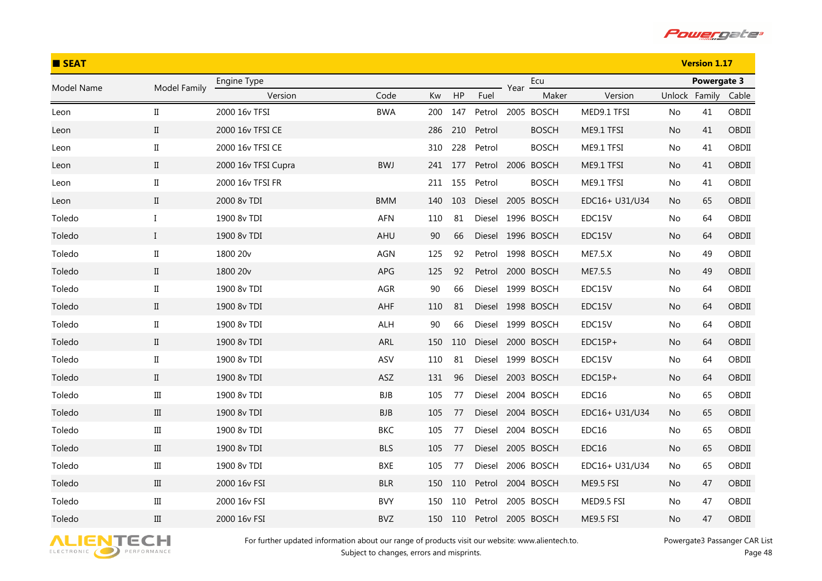

| <b>B</b> SEAT |                      |                     |            |     |     |        |      | <b>Version 1.17</b> |                |               |             |       |
|---------------|----------------------|---------------------|------------|-----|-----|--------|------|---------------------|----------------|---------------|-------------|-------|
| Model Name    | Model Family         | Engine Type         |            |     |     |        | Year | Ecu                 |                |               | Powergate 3 |       |
|               |                      | Version             | Code       | Kw  | HP  | Fuel   |      | Maker               | Version        | Unlock Family |             | Cable |
| Leon          | $\scriptstyle\rm II$ | 2000 16v TFSI       | <b>BWA</b> | 200 | 147 |        |      | Petrol 2005 BOSCH   | MED9.1 TFSI    | No            | 41          | OBDII |
| Leon          | $\mathbf{I}$         | 2000 16v TFSI CE    |            | 286 | 210 | Petrol |      | <b>BOSCH</b>        | ME9.1 TFSI     | No.           | 41          | OBDII |
| Leon          | $\rm II$             | 2000 16v TFSI CE    |            | 310 | 228 | Petrol |      | <b>BOSCH</b>        | ME9.1 TFSI     | No            | 41          | OBDII |
| Leon          | $\rm{II}$            | 2000 16v TFSI Cupra | <b>BWJ</b> | 241 | 177 |        |      | Petrol 2006 BOSCH   | ME9.1 TFSI     | No            | 41          | OBDII |
| Leon          | $\rm II$             | 2000 16v TFSI FR    |            | 211 | 155 | Petrol |      | <b>BOSCH</b>        | ME9.1 TFSI     | No            | 41          | OBDII |
| Leon          | $\rm{II}$            | 2000 8v TDI         | <b>BMM</b> | 140 | 103 |        |      | Diesel 2005 BOSCH   | EDC16+ U31/U34 | No.           | 65          | OBDII |
| Toledo        | $\bf{I}$             | 1900 8v TDI         | AFN        | 110 | 81  |        |      | Diesel 1996 BOSCH   | EDC15V         | No            | 64          | OBDII |
| Toledo        | $\mathbf{I}$         | 1900 8v TDI         | AHU        | 90  | 66  |        |      | Diesel 1996 BOSCH   | EDC15V         | No            | 64          | OBDII |
| Toledo        | $\scriptstyle\rm II$ | 1800 20v            | AGN        | 125 | 92  | Petrol |      | 1998 BOSCH          | ME7.5.X        | No            | 49          | OBDII |
| Toledo        | $\rm II$             | 1800 20v            | APG        | 125 | 92  | Petrol |      | 2000 BOSCH          | ME7.5.5        | No            | 49          | OBDII |
| Toledo        | $\mathbf{I}$         | 1900 8v TDI         | AGR        | 90  | 66  |        |      | Diesel 1999 BOSCH   | EDC15V         | No            | 64          | OBDII |
| Toledo        | $\rm II$             | 1900 8v TDI         | AHF        | 110 | 81  |        |      | Diesel 1998 BOSCH   | EDC15V         | No.           | 64          | OBDII |
| Toledo        | $\rm II$             | 1900 8v TDI         | ALH        | 90  | 66  |        |      | Diesel 1999 BOSCH   | EDC15V         | No            | 64          | OBDII |
| Toledo        | $\rm II$             | 1900 8v TDI         | ARL        | 150 | 110 | Diesel |      | 2000 BOSCH          | $EDC15P+$      | No            | 64          | OBDII |
| Toledo        | $\rm II$             | 1900 8v TDI         | ASV        | 110 | 81  |        |      | Diesel 1999 BOSCH   | EDC15V         | No            | 64          | OBDII |
| Toledo        | $\rm II$             | 1900 8v TDI         | ASZ        | 131 | 96  |        |      | Diesel 2003 BOSCH   | $EDC15P+$      | No.           | 64          | OBDII |
| Toledo        | $\rm III$            | 1900 8v TDI         | <b>BJB</b> | 105 | 77  | Diesel |      | 2004 BOSCH          | EDC16          | No            | 65          | OBDII |
| Toledo        | $\rm III$            | 1900 8v TDI         | <b>BJB</b> | 105 | 77  |        |      | Diesel 2004 BOSCH   | EDC16+ U31/U34 | No            | 65          | OBDII |
| Toledo        | $\rm III$            | 1900 8v TDI         | <b>BKC</b> | 105 | 77  | Diesel |      | 2004 BOSCH          | EDC16          | No.           | 65          | OBDII |
| Toledo        | $\rm III$            | 1900 8v TDI         | <b>BLS</b> | 105 | 77  | Diesel |      | 2005 BOSCH          | EDC16          | No            | 65          | OBDII |
| Toledo        | $\rm III$            | 1900 8v TDI         | BXE        | 105 | 77  | Diesel |      | 2006 BOSCH          | EDC16+ U31/U34 | No            | 65          | OBDII |
| Toledo        | $\rm III$            | 2000 16v FSI        | <b>BLR</b> | 150 | 110 | Petrol |      | 2004 BOSCH          | ME9.5 FSI      | No            | 47          | OBDII |
| Toledo        | Ш                    | 2000 16v FSI        | <b>BVY</b> | 150 | 110 | Petrol |      | 2005 BOSCH          | MED9.5 FSI     | No.           | 47          | OBDII |
| Toledo        | Ш                    | 2000 16v FSI        | <b>BVZ</b> | 150 | 110 | Petrol |      | 2005 BOSCH          | ME9.5 FSI      | No            | 47          | OBDII |

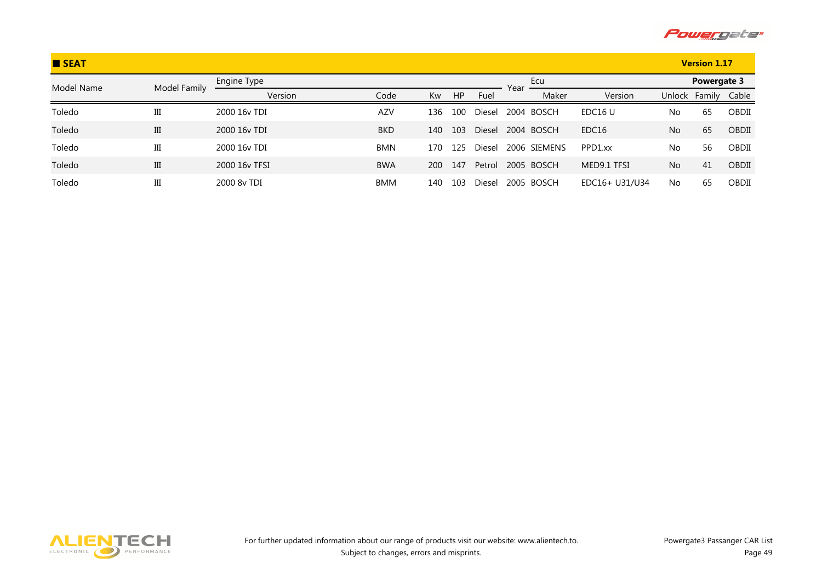

| <b>B</b> SEAT |              |               |            |            |     |        |      |              |                     |                | <b>Version 1.17</b> |       |
|---------------|--------------|---------------|------------|------------|-----|--------|------|--------------|---------------------|----------------|---------------------|-------|
| Model Name    | Model Family | Engine Type   |            |            |     |        | Year | Ecu          |                     |                | Powergate 3         |       |
|               |              | Version       | Code       | Kw         | HP  | Fuel   |      | Maker        | Version             |                | Unlock Family       | Cable |
| Toledo        | Ш            | 2000 16y TDI  | <b>AZV</b> | 136        | 100 | Diesel |      | 2004 BOSCH   | EDC <sub>16</sub> U | No             | 65                  | OBDII |
| Toledo        | III          | 2000 16y TDI  | <b>BKD</b> | 140        | 103 | Diesel |      | 2004 BOSCH   | EDC <sub>16</sub>   | N <sub>o</sub> | 65                  | OBDII |
| Toledo        | Ш            | 2000 16y TDI  | <b>BMN</b> | 170        | 125 | Diesel |      | 2006 SIEMENS | PPD1.xx             | No             | 56                  | OBDII |
| Toledo        | III          | 2000 16y TFSI | <b>BWA</b> | <b>200</b> | 147 | Petrol |      | 2005 BOSCH   | MED9.1 TFSI         | No             | 41                  | OBDII |
| Toledo        | Ш            | 2000 8y TDI   | BMM        | 140        | 103 | Diesel |      | 2005 BOSCH   | EDC16+ U31/U34      | No             | 65                  | OBDII |

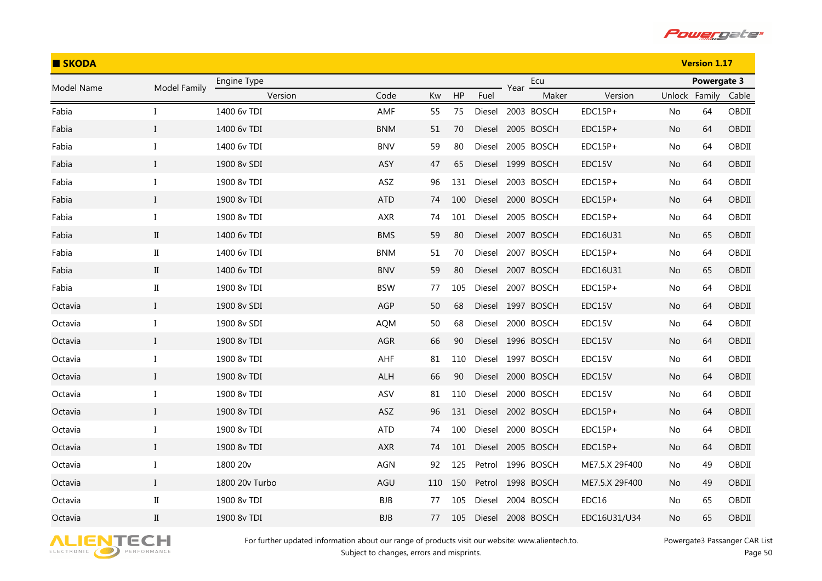

| <b>B</b> SKODA |                      |                |            |     |     |        |      | <b>Version 1.17</b> |                |               |             |       |
|----------------|----------------------|----------------|------------|-----|-----|--------|------|---------------------|----------------|---------------|-------------|-------|
| Model Name     | Model Family         | Engine Type    |            |     |     |        | Year | Ecu                 |                |               | Powergate 3 |       |
|                |                      | Version        | Code       | Kw  | HP  | Fuel   |      | Maker               | Version        | Unlock Family |             | Cable |
| Fabia          | I                    | 1400 6v TDI    | AMF        | 55  | 75  |        |      | Diesel 2003 BOSCH   | EDC15P+        | No            | 64          | OBDII |
| Fabia          | $\bf{I}$             | 1400 6v TDI    | <b>BNM</b> | 51  | 70  |        |      | Diesel 2005 BOSCH   | $EDC15P+$      | No            | 64          | OBDII |
| Fabia          | I                    | 1400 6v TDI    | <b>BNV</b> | 59  | 80  | Diesel |      | 2005 BOSCH          | $EDC15P+$      | No            | 64          | OBDII |
| Fabia          | $\mathbf{I}$         | 1900 8v SDI    | <b>ASY</b> | 47  | 65  |        |      | Diesel 1999 BOSCH   | EDC15V         | No.           | 64          | OBDII |
| Fabia          | $\bf{I}$             | 1900 8v TDI    | ASZ        | 96  | 131 |        |      | Diesel 2003 BOSCH   | $EDC15P+$      | No            | 64          | OBDII |
| Fabia          | $\bf{I}$             | 1900 8v TDI    | <b>ATD</b> | 74  | 100 |        |      | Diesel 2000 BOSCH   | $EDC15P+$      | No.           | 64          | OBDII |
| Fabia          | $\bf{I}$             | 1900 8v TDI    | AXR        | 74  | 101 | Diesel |      | 2005 BOSCH          | $EDC15P+$      | No            | 64          | OBDII |
| Fabia          | $\mathbf{I}$         | 1400 6v TDI    | <b>BMS</b> | 59  | 80  | Diesel |      | 2007 BOSCH          | EDC16U31       | No            | 65          | OBDII |
| Fabia          | $\rm II$             | 1400 6v TDI    | <b>BNM</b> | 51  | 70  |        |      | Diesel 2007 BOSCH   | $EDC15P+$      | No            | 64          | OBDII |
| Fabia          | $\mathbf{I}$         | 1400 6v TDI    | <b>BNV</b> | 59  | 80  |        |      | Diesel 2007 BOSCH   | EDC16U31       | No            | 65          | OBDII |
| Fabia          | $_{\rm II}$          | 1900 8v TDI    | <b>BSW</b> | 77  | 105 | Diesel |      | 2007 BOSCH          | $EDC15P+$      | No            | 64          | OBDII |
| Octavia        | $\mathbf I$          | 1900 8v SDI    | AGP        | 50  | 68  |        |      | Diesel 1997 BOSCH   | EDC15V         | No            | 64          | OBDII |
| Octavia        | I                    | 1900 8v SDI    | <b>AQM</b> | 50  | 68  | Diesel |      | 2000 BOSCH          | EDC15V         | No            | 64          | OBDII |
| Octavia        | $\mathbf{I}$         | 1900 8v TDI    | AGR        | 66  | 90  |        |      | Diesel 1996 BOSCH   | EDC15V         | No            | 64          | OBDII |
| Octavia        | I                    | 1900 8v TDI    | AHF        | 81  | 110 |        |      | Diesel 1997 BOSCH   | EDC15V         | No            | 64          | OBDII |
| Octavia        | $\bf{I}$             | 1900 8v TDI    | <b>ALH</b> | 66  | 90  |        |      | Diesel 2000 BOSCH   | EDC15V         | No            | 64          | OBDII |
| Octavia        | $\bf{I}$             | 1900 8v TDI    | ASV        | 81  | 110 | Diesel |      | 2000 BOSCH          | EDC15V         | No            | 64          | OBDII |
| Octavia        | $\bf{I}$             | 1900 8v TDI    | ASZ        | 96  | 131 |        |      | Diesel 2002 BOSCH   | $EDC15P+$      | No            | 64          | OBDII |
| Octavia        | I                    | 1900 8v TDI    | <b>ATD</b> | 74  | 100 | Diesel |      | 2000 BOSCH          | $EDC15P+$      | No            | 64          | OBDII |
| Octavia        | $\bf{I}$             | 1900 8v TDI    | AXR        | 74  | 101 |        |      | Diesel 2005 BOSCH   | $EDC15P+$      | No            | 64          | OBDII |
| Octavia        | Ι                    | 1800 20v       | AGN        | 92  | 125 | Petrol |      | 1996 BOSCH          | ME7.5.X 29F400 | No            | 49          | OBDII |
| Octavia        | $\mathbf I$          | 1800 20v Turbo | AGU        | 110 | 150 | Petrol |      | 1998 BOSCH          | ME7.5.X 29F400 | No.           | 49          | OBDII |
| Octavia        | $\scriptstyle\rm II$ | 1900 8v TDI    | <b>BJB</b> | 77  | 105 | Diesel |      | 2004 BOSCH          | EDC16          | No.           | 65          | OBDII |
| Octavia        | $\rm II$             | 1900 8v TDI    | <b>BJB</b> | 77  | 105 | Diesel |      | 2008 BOSCH          | EDC16U31/U34   | No            | 65          | OBDII |

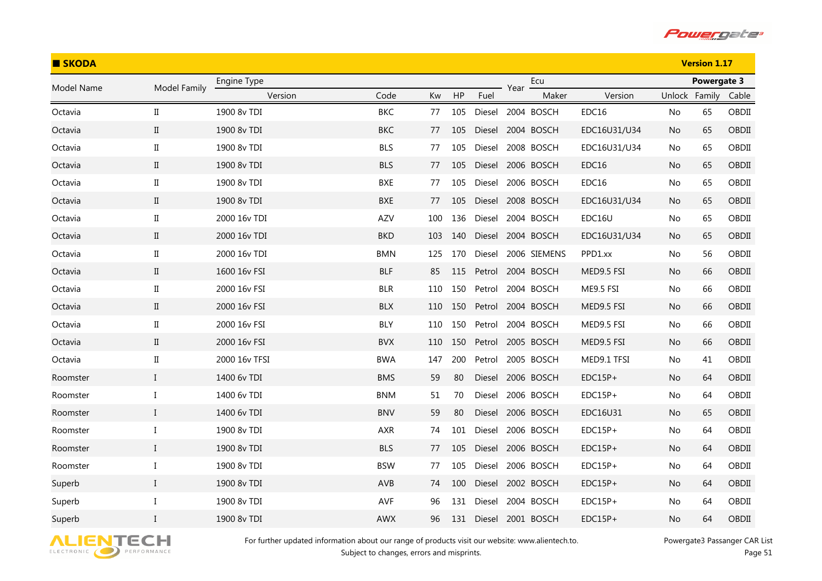

| <b>SKODA</b> |                      |               |            |     |     |        |      |                   |              |               | <b>Version 1.17</b> |       |
|--------------|----------------------|---------------|------------|-----|-----|--------|------|-------------------|--------------|---------------|---------------------|-------|
| Model Name   | Model Family         | Engine Type   |            |     |     |        | Year | Ecu               |              |               | Powergate 3         |       |
|              |                      | Version       | Code       | Kw  | HP  | Fuel   |      | Maker             | Version      | Unlock Family |                     | Cable |
| Octavia      | $\scriptstyle\rm II$ | 1900 8v TDI   | <b>BKC</b> | 77  | 105 | Diesel |      | 2004 BOSCH        | EDC16        | No            | 65                  | OBDII |
| Octavia      | $\rm II$             | 1900 8v TDI   | <b>BKC</b> | 77  | 105 | Diesel |      | 2004 BOSCH        | EDC16U31/U34 | No.           | 65                  | OBDII |
| Octavia      | $\rm II$             | 1900 8v TDI   | <b>BLS</b> | 77  | 105 | Diesel |      | 2008 BOSCH        | EDC16U31/U34 | No            | 65                  | OBDII |
| Octavia      | $\rm{II}$            | 1900 8v TDI   | <b>BLS</b> | 77  | 105 | Diesel |      | 2006 BOSCH        | EDC16        | No.           | 65                  | OBDII |
| Octavia      | $\scriptstyle\rm II$ | 1900 8v TDI   | BXE        | 77  | 105 | Diesel |      | 2006 BOSCH        | EDC16        | No            | 65                  | OBDII |
| Octavia      | $\rm{II}$            | 1900 8v TDI   | <b>BXE</b> | 77  | 105 | Diesel |      | 2008 BOSCH        | EDC16U31/U34 | No.           | 65                  | OBDII |
| Octavia      | $\rm II$             | 2000 16v TDI  | AZV        | 100 | 136 | Diesel |      | 2004 BOSCH        | EDC16U       | No            | 65                  | OBDII |
| Octavia      | $\rm{II}$            | 2000 16v TDI  | <b>BKD</b> | 103 | 140 |        |      | Diesel 2004 BOSCH | EDC16U31/U34 | No.           | 65                  | OBDII |
| Octavia      | $\scriptstyle\rm II$ | 2000 16v TDI  | <b>BMN</b> | 125 | 170 | Diesel |      | 2006 SIEMENS      | PPD1.xx      | No.           | 56                  | OBDII |
| Octavia      | $\rm II$             | 1600 16v FSI  | <b>BLF</b> | 85  | 115 | Petrol |      | 2004 BOSCH        | MED9.5 FSI   | No            | 66                  | OBDII |
| Octavia      | $_{\rm II}$          | 2000 16v FSI  | <b>BLR</b> | 110 | 150 | Petrol |      | 2004 BOSCH        | ME9.5 FSI    | No.           | 66                  | OBDII |
| Octavia      | $\rm II$             | 2000 16v FSI  | <b>BLX</b> | 110 | 150 | Petrol |      | 2004 BOSCH        | MED9.5 FSI   | No.           | 66                  | OBDII |
| Octavia      | $\rm II$             | 2000 16v FSI  | BLY        | 110 | 150 | Petrol |      | 2004 BOSCH        | MED9.5 FSI   | No.           | 66                  | OBDII |
| Octavia      | $\rm II$             | 2000 16v FSI  | <b>BVX</b> | 110 | 150 | Petrol |      | 2005 BOSCH        | MED9.5 FSI   | No.           | 66                  | OBDII |
| Octavia      | $\rm II$             | 2000 16v TFSI | <b>BWA</b> | 147 | 200 | Petrol |      | 2005 BOSCH        | MED9.1 TFSI  | No.           | 41                  | OBDII |
| Roomster     | $\bf{I}$             | 1400 6v TDI   | <b>BMS</b> | 59  | 80  | Diesel |      | 2006 BOSCH        | $EDC15P+$    | No.           | 64                  | OBDII |
| Roomster     | $\bf{I}$             | 1400 6v TDI   | <b>BNM</b> | 51  | 70  | Diesel |      | 2006 BOSCH        | $EDC15P+$    | No.           | 64                  | OBDII |
| Roomster     | $\bf{I}$             | 1400 6v TDI   | <b>BNV</b> | 59  | 80  |        |      | Diesel 2006 BOSCH | EDC16U31     | No            | 65                  | OBDII |
| Roomster     | Ι                    | 1900 8v TDI   | AXR        | 74  | 101 | Diesel |      | 2006 BOSCH        | $EDC15P+$    | No            | 64                  | OBDII |
| Roomster     | $\rm I$              | 1900 8v TDI   | <b>BLS</b> | 77  | 105 | Diesel |      | 2006 BOSCH        | $EDC15P+$    | No            | 64                  | OBDII |
| Roomster     | I                    | 1900 8v TDI   | <b>BSW</b> | 77  | 105 | Diesel |      | 2006 BOSCH        | $EDC15P+$    | No.           | 64                  | OBDII |
| Superb       | $\bf{I}$             | 1900 8v TDI   | AVB        | 74  | 100 | Diesel |      | 2002 BOSCH        | EDC15P+      | No            | 64                  | OBDII |
| Superb       | $\bf{I}$             | 1900 8v TDI   | AVF        | 96  | 131 | Diesel |      | 2004 BOSCH        | $EDC15P+$    | No.           | 64                  | OBDII |
| Superb       | $\mathbf{I}$         | 1900 8v TDI   | <b>AWX</b> | 96  | 131 | Diesel |      | 2001 BOSCH        | $EDC15P+$    | No            | 64                  | OBDII |

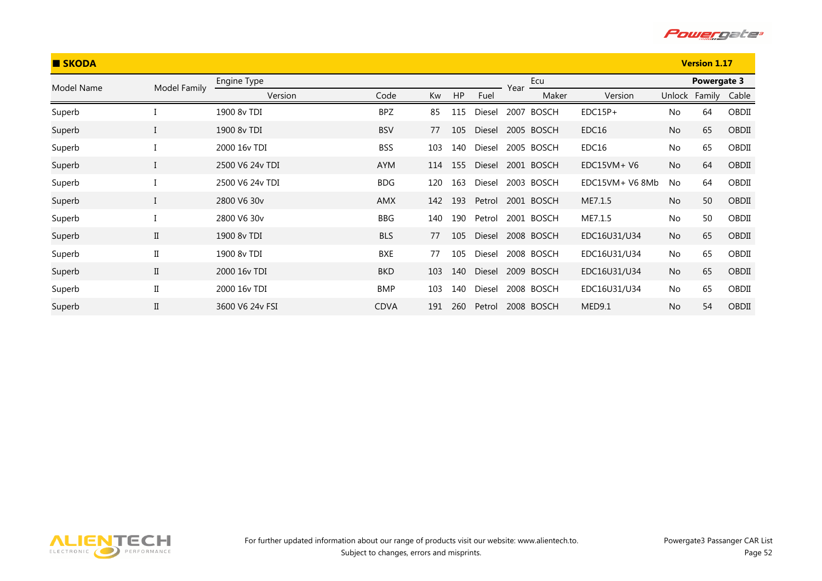

| <b>SKODA</b> |              |                 |             |     |     |        |      |              |                   |           | <b>Version 1.17</b> |       |
|--------------|--------------|-----------------|-------------|-----|-----|--------|------|--------------|-------------------|-----------|---------------------|-------|
| Model Name   | Model Family | Engine Type     |             |     |     |        | Year | Ecu          |                   |           | Powergate 3         |       |
|              |              | Version         | Code        | Kw  | HP  | Fuel   |      | Maker        | Version           | Unlock    | Family              | Cable |
| Superb       |              | 1900 8v TDI     | <b>BPZ</b>  | 85  | 115 | Diesel | 2007 | <b>BOSCH</b> | $EDC15P+$         | <b>No</b> | 64                  | OBDII |
| Superb       |              | 1900 8v TDI     | <b>BSV</b>  | 77  | 105 | Diesel |      | 2005 BOSCH   | EDC <sub>16</sub> | No        | 65                  | OBDII |
| Superb       |              | 2000 16v TDI    | <b>BSS</b>  | 103 | 140 | Diesel |      | 2005 BOSCH   | EDC16             | No        | 65                  | OBDII |
| Superb       |              | 2500 V6 24y TDI | <b>AYM</b>  | 114 | 155 | Diesel |      | 2001 BOSCH   | $EDC15VM+V6$      | <b>No</b> | 64                  | OBDII |
| Superb       |              | 2500 V6 24v TDI | <b>BDG</b>  | 120 | 163 | Diesel |      | 2003 BOSCH   | EDC15VM+ V6 8Mb   | <b>No</b> | 64                  | OBDII |
| Superb       |              | 2800 V6 30v     | <b>AMX</b>  | 142 | 193 | Petrol |      | 2001 BOSCH   | ME7.1.5           | <b>No</b> | 50                  | OBDII |
| Superb       |              | 2800 V6 30v     | BBG         | 140 | 190 | Petrol |      | 2001 BOSCH   | ME7.1.5           | No        | 50                  | OBDII |
| Superb       | $\mathbf{I}$ | 1900 8y TDI     | <b>BLS</b>  | 77  | 105 | Diesel |      | 2008 BOSCH   | EDC16U31/U34      | <b>No</b> | 65                  | OBDII |
| Superb       | $\rm II$     | 1900 8v TDI     | <b>BXE</b>  | 77  | 105 | Diesel |      | 2008 BOSCH   | EDC16U31/U34      | No        | 65                  | OBDII |
| Superb       | $\mathbf{I}$ | 2000 16y TDI    | <b>BKD</b>  | 103 | 140 | Diesel |      | 2009 BOSCH   | EDC16U31/U34      | No        | 65                  | OBDII |
| Superb       | $\rm II$     | 2000 16v TDI    | <b>BMP</b>  | 103 | 140 | Diesel |      | 2008 BOSCH   | EDC16U31/U34      | No        | 65                  | OBDII |
| Superb       | $\mathbf{I}$ | 3600 V6 24y FSI | <b>CDVA</b> | 191 | 260 | Petrol |      | 2008 BOSCH   | MED9.1            | <b>No</b> | 54                  | OBDII |

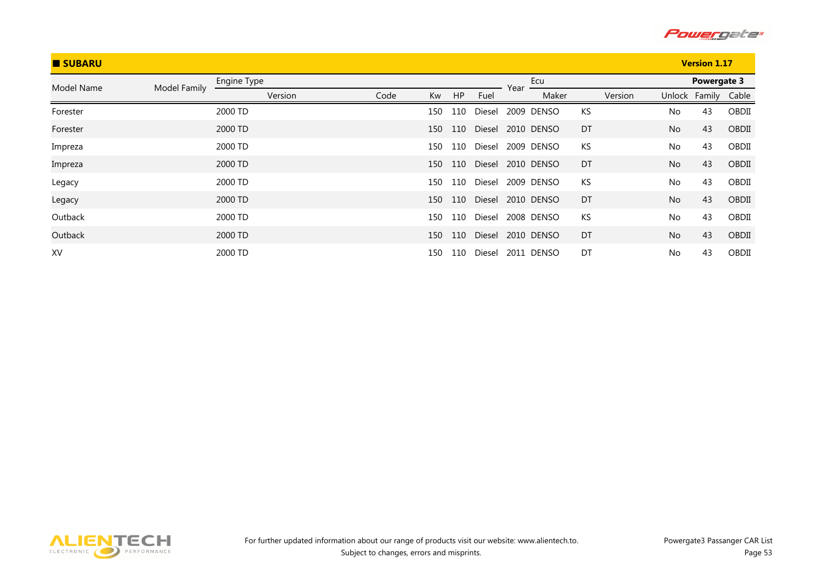

| <b>SUBARU</b> |              |             |      |     |     |        |      |            |    |         |           | <b>Version 1.17</b> |       |
|---------------|--------------|-------------|------|-----|-----|--------|------|------------|----|---------|-----------|---------------------|-------|
| Model Name    | Model Family | Engine Type |      |     |     |        | Year | Ecu        |    |         |           | <b>Powergate 3</b>  |       |
|               |              | Version     | Code | Kw  | HP  | Fuel   |      | Maker      |    | Version |           | Unlock Family       | Cable |
| Forester      |              | 2000 TD     |      | 150 | 110 | Diesel |      | 2009 DENSO | KS |         | No        | 43                  | OBDII |
| Forester      |              | 2000 TD     |      | 150 | 110 | Diesel |      | 2010 DENSO | DT |         | <b>No</b> | 43                  | OBDII |
| Impreza       |              | 2000 TD     |      | 150 | 110 | Diesel |      | 2009 DENSO | KS |         | No        | 43                  | OBDII |
| Impreza       |              | 2000 TD     |      | 150 | 110 | Diesel |      | 2010 DENSO | DT |         | <b>No</b> | 43                  | OBDII |
| Legacy        |              | 2000 TD     |      | 150 | 110 | Diesel |      | 2009 DENSO | KS |         | No        | 43                  | OBDII |
| Legacy        |              | 2000 TD     |      | 150 | 110 | Diesel |      | 2010 DENSO | DT |         | <b>No</b> | 43                  | OBDII |
| Outback       |              | 2000 TD     |      | 150 | 110 | Diesel |      | 2008 DENSO | KS |         | No        | 43                  | OBDII |
| Outback       |              | 2000 TD     |      | 150 | 110 | Diesel |      | 2010 DENSO | DT |         | <b>No</b> | 43                  | OBDII |
| XV            |              | 2000 TD     |      | 150 | 110 | Diesel |      | 2011 DENSO | DT |         | No        | 43                  | OBDII |

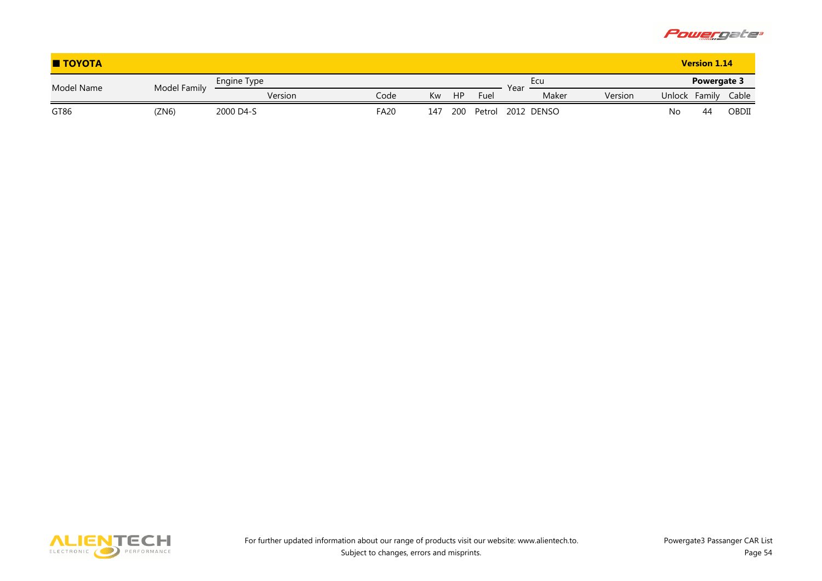

| <b>TOYOTA</b> |              |             |             |     |           |        |      |            |         |        | <b>Version 1.14</b> |       |
|---------------|--------------|-------------|-------------|-----|-----------|--------|------|------------|---------|--------|---------------------|-------|
| Model Name    | Model Family | Engine Type |             |     |           |        | Year | Ecu        |         |        | <b>Powergate 3</b>  |       |
|               |              | Version     | Codel       | Kw  | <b>HP</b> | Fuel   |      | Maker      | Version | Unlock | Family              | Cable |
| GT86          | 'ZN6)        | 2000 D4-S   | <b>FA20</b> | 147 | 200       | Petrol |      | 2012 DENSO |         | No     | 44                  | OBDII |

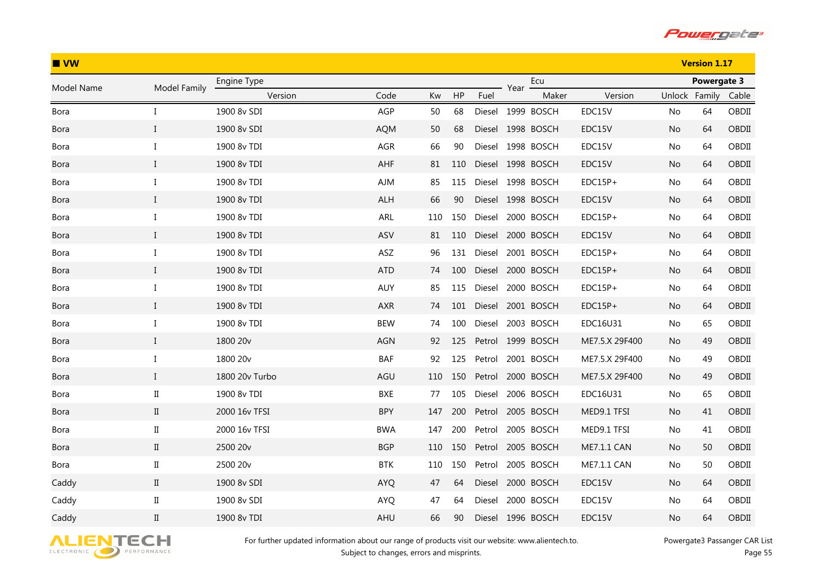

| $\blacksquare$ VW |                      |                |            |     |     |        |      | <b>Version 1.17</b> |                |               |             |       |
|-------------------|----------------------|----------------|------------|-----|-----|--------|------|---------------------|----------------|---------------|-------------|-------|
| Model Name        | Model Family         | Engine Type    |            |     |     |        | Year | Ecu                 |                |               | Powergate 3 |       |
|                   |                      | Version        | Code       | Kw  | HP  | Fuel   |      | Maker               | Version        | Unlock Family |             | Cable |
| Bora              | L                    | 1900 8v SDI    | AGP        | 50  | 68  |        |      | Diesel 1999 BOSCH   | EDC15V         | No            | 64          | OBDII |
| <b>Bora</b>       | $\bf{I}$             | 1900 8v SDI    | <b>AQM</b> | 50  | 68  |        |      | Diesel 1998 BOSCH   | EDC15V         | No            | 64          | OBDII |
| Bora              | I                    | 1900 8v TDI    | AGR        | 66  | 90  | Diesel |      | 1998 BOSCH          | EDC15V         | No            | 64          | OBDII |
| <b>Bora</b>       | $\mathbf{I}$         | 1900 8v TDI    | AHF        | 81  | 110 |        |      | Diesel 1998 BOSCH   | EDC15V         | No.           | 64          | OBDII |
| Bora              | I                    | 1900 8v TDI    | <b>AJM</b> | 85  | 115 |        |      | Diesel 1998 BOSCH   | $EDC15P+$      | No            | 64          | OBDII |
| Bora              | $\bf{I}$             | 1900 8v TDI    | <b>ALH</b> | 66  | 90  |        |      | Diesel 1998 BOSCH   | EDC15V         | No.           | 64          | OBDII |
| Bora              | $\bf{I}$             | 1900 8v TDI    | ARL        | 110 | 150 | Diesel |      | 2000 BOSCH          | EDC15P+        | No            | 64          | OBDII |
| <b>Bora</b>       | $\bf{I}$             | 1900 8v TDI    | ASV        | 81  | 110 | Diesel |      | 2000 BOSCH          | EDC15V         | No            | 64          | OBDII |
| Bora              | $\bf{I}$             | 1900 8v TDI    | ASZ        | 96  | 131 | Diesel |      | 2001 BOSCH          | $EDC15P+$      | No            | 64          | OBDII |
| <b>Bora</b>       | $\bf{I}$             | 1900 8v TDI    | <b>ATD</b> | 74  | 100 |        |      | Diesel 2000 BOSCH   | $EDC15P+$      | No            | 64          | OBDII |
| Bora              | $\mathbf{I}$         | 1900 8v TDI    | AUY        | 85  | 115 | Diesel |      | 2000 BOSCH          | $EDC15P+$      | No.           | 64          | OBDII |
| <b>Bora</b>       | $\mathbf I$          | 1900 8v TDI    | <b>AXR</b> | 74  | 101 | Diesel |      | 2001 BOSCH          | $EDC15P+$      | No.           | 64          | OBDII |
| Bora              | I                    | 1900 8v TDI    | <b>BEW</b> | 74  | 100 | Diesel |      | 2003 BOSCH          | EDC16U31       | No.           | 65          | OBDII |
| <b>Bora</b>       | $\bf{I}$             | 1800 20v       | <b>AGN</b> | 92  | 125 | Petrol |      | 1999 BOSCH          | ME7.5.X 29F400 | No            | 49          | OBDII |
| Bora              | $\bf{I}$             | 1800 20v       | BAF        | 92  | 125 | Petrol |      | 2001 BOSCH          | ME7.5.X 29F400 | No            | 49          | OBDII |
| <b>Bora</b>       | $\bf{I}$             | 1800 20v Turbo | AGU        | 110 | 150 | Petrol |      | 2000 BOSCH          | ME7.5.X 29F400 | No.           | 49          | OBDII |
| Bora              | $\rm II$             | 1900 8v TDI    | BXE        | 77  | 105 | Diesel |      | 2006 BOSCH          | EDC16U31       | No            | 65          | OBDII |
| <b>Bora</b>       | $\rm II$             | 2000 16v TFSI  | <b>BPY</b> | 147 | 200 |        |      | Petrol 2005 BOSCH   | MED9.1 TFSI    | No.           | 41          | OBDII |
| Bora              | $\rm II$             | 2000 16v TFSI  | <b>BWA</b> | 147 | 200 | Petrol |      | 2005 BOSCH          | MED9.1 TFSI    | No            | 41          | OBDII |
| <b>Bora</b>       | $\rm{II}$            | 2500 20v       | <b>BGP</b> | 110 | 150 |        |      | Petrol 2005 BOSCH   | ME7.1.1 CAN    | No.           | 50          | OBDII |
| Bora              | $\scriptstyle\rm II$ | 2500 20v       | <b>BTK</b> | 110 | 150 | Petrol |      | 2005 BOSCH          | ME7.1.1 CAN    | No.           | 50          | OBDII |
| Caddy             | $\rm II$             | 1900 8v SDI    | <b>AYQ</b> | 47  | 64  | Diesel |      | 2000 BOSCH          | EDC15V         | No.           | 64          | OBDII |
| Caddy             | $\rm II$             | 1900 8v SDI    | <b>AYQ</b> | 47  | 64  | Diesel |      | 2000 BOSCH          | EDC15V         | No.           | 64          | OBDII |
| Caddy             | $\rm II$             | 1900 8v TDI    | AHU        | 66  | 90  |        |      | Diesel 1996 BOSCH   | EDC15V         | No            | 64          | OBDII |

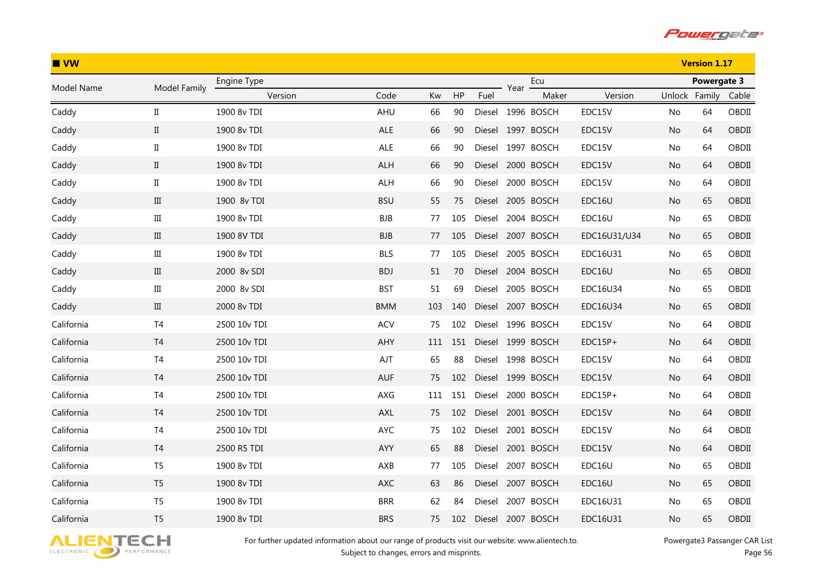

| $\blacksquare$ VW |                      |              |            |     |     |        |      |                   |              |               | <b>Version 1.17</b> |       |
|-------------------|----------------------|--------------|------------|-----|-----|--------|------|-------------------|--------------|---------------|---------------------|-------|
| Model Name        | Model Family         | Engine Type  |            |     |     |        | Year | Ecu               |              |               | Powergate 3         |       |
|                   |                      | Version      | Code       | Kw  | HP  | Fuel   |      | Maker             | Version      | Unlock Family |                     | Cable |
| Caddy             | $\scriptstyle\rm II$ | 1900 8v TDI  | AHU        | 66  | 90  |        |      | Diesel 1996 BOSCH | EDC15V       | No.           | 64                  | OBDII |
| Caddy             | $\mathbf{I}$         | 1900 8v TDI  | ALE        | 66  | 90  | Diesel |      | 1997 BOSCH        | EDC15V       | No            | 64                  | OBDII |
| Caddy             | $\rm II$             | 1900 8v TDI  | ALE        | 66  | 90  | Diesel |      | 1997 BOSCH        | EDC15V       | No            | 64                  | OBDII |
| Caddy             | $\scriptstyle\rm II$ | 1900 8v TDI  | ALH        | 66  | 90  | Diesel |      | 2000 BOSCH        | EDC15V       | No.           | 64                  | OBDII |
| Caddy             | $\rm II$             | 1900 8v TDI  | <b>ALH</b> | 66  | 90  | Diesel |      | 2000 BOSCH        | EDC15V       | No            | 64                  | OBDII |
| Caddy             | Ш                    | 1900 8v TDI  | <b>BSU</b> | 55  | 75  |        |      | Diesel 2005 BOSCH | EDC16U       | No.           | 65                  | OBDII |
| Caddy             | $\rm III$            | 1900 8v TDI  | <b>BJB</b> | 77  | 105 | Diesel |      | 2004 BOSCH        | EDC16U       | No.           | 65                  | OBDII |
| Caddy             | $\rm III$            | 1900 8V TDI  | <b>BJB</b> | 77  | 105 |        |      | Diesel 2007 BOSCH | EDC16U31/U34 | No            | 65                  | OBDII |
| Caddy             | $\rm III$            | 1900 8v TDI  | <b>BLS</b> | 77  | 105 | Diesel |      | 2005 BOSCH        | EDC16U31     | No            | 65                  | OBDII |
| Caddy             | $\rm III$            | 2000 8v SDI  | <b>BDJ</b> | 51  | 70  | Diesel |      | 2004 BOSCH        | EDC16U       | No            | 65                  | OBDII |
| Caddy             | $\rm III$            | 2000 8v SDI  | <b>BST</b> | 51  | 69  | Diesel |      | 2005 BOSCH        | EDC16U34     | No            | 65                  | OBDII |
| Caddy             | Ш                    | 2000 8v TDI  | <b>BMM</b> | 103 | 140 | Diesel |      | 2007 BOSCH        | EDC16U34     | No            | 65                  | OBDII |
| California        | T <sub>4</sub>       | 2500 10v TDI | <b>ACV</b> | 75  | 102 | Diesel |      | 1996 BOSCH        | EDC15V       | No            | 64                  | OBDII |
| California        | T <sub>4</sub>       | 2500 10v TDI | AHY        | 111 | 151 | Diesel |      | 1999 BOSCH        | $EDC15P+$    | No            | 64                  | OBDII |
| California        | T <sub>4</sub>       | 2500 10v TDI | AJT        | 65  | 88  | Diesel |      | 1998 BOSCH        | EDC15V       | No            | 64                  | OBDII |
| California        | T <sub>4</sub>       | 2500 10v TDI | <b>AUF</b> | 75  | 102 |        |      | Diesel 1999 BOSCH | EDC15V       | No            | 64                  | OBDII |
| California        | T <sub>4</sub>       | 2500 10v TDI | AXG        | 111 | 151 | Diesel |      | 2000 BOSCH        | $EDC15P+$    | No.           | 64                  | OBDII |
| California        | T <sub>4</sub>       | 2500 10v TDI | <b>AXL</b> | 75  | 102 |        |      | Diesel 2001 BOSCH | EDC15V       | No            | 64                  | OBDII |
| California        | T <sub>4</sub>       | 2500 10v TDI | AYC        | 75  | 102 | Diesel |      | 2001 BOSCH        | EDC15V       | No            | 64                  | OBDII |
| California        | T <sub>4</sub>       | 2500 R5 TDI  | AYY        | 65  | 88  | Diesel |      | 2001 BOSCH        | EDC15V       | No            | 64                  | OBDII |
| California        | T <sub>5</sub>       | 1900 8v TDI  | AXB        | 77  | 105 | Diesel |      | 2007 BOSCH        | EDC16U       | No            | 65                  | OBDII |
| California        | T <sub>5</sub>       | 1900 8v TDI  | AXC        | 63  | 86  | Diesel |      | 2007 BOSCH        | EDC16U       | No            | 65                  | OBDII |
| California        | T <sub>5</sub>       | 1900 8v TDI  | <b>BRR</b> | 62  | 84  | Diesel |      | 2007 BOSCH        | EDC16U31     | No.           | 65                  | OBDII |
| California        | T <sub>5</sub>       | 1900 8v TDI  | <b>BRS</b> | 75  | 102 | Diesel |      | 2007 BOSCH        | EDC16U31     | No            | 65                  | OBDII |

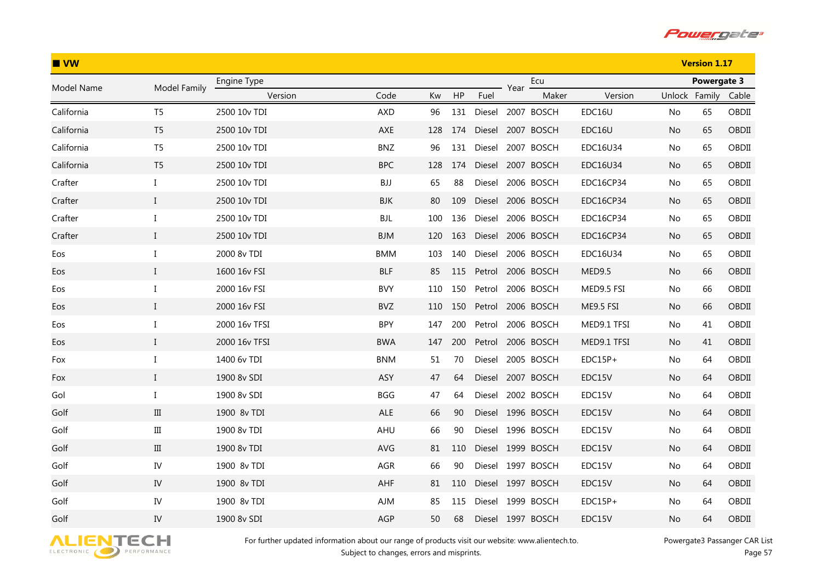

| IVW        |                |               |            |     |     |        |      |                   |             |               | <b>Version 1.17</b> |       |
|------------|----------------|---------------|------------|-----|-----|--------|------|-------------------|-------------|---------------|---------------------|-------|
| Model Name | Model Family   | Engine Type   |            |     |     |        | Year | Ecu               |             |               | Powergate 3         |       |
|            |                | Version       | Code       | Kw  | HP  | Fuel   |      | Maker             | Version     | Unlock Family |                     | Cable |
| California | T <sub>5</sub> | 2500 10v TDI  | <b>AXD</b> | 96  | 131 |        |      | Diesel 2007 BOSCH | EDC16U      | No.           | 65                  | OBDII |
| California | T <sub>5</sub> | 2500 10v TDI  | AXE        | 128 | 174 |        |      | Diesel 2007 BOSCH | EDC16U      | No            | 65                  | OBDII |
| California | T <sub>5</sub> | 2500 10y TDI  | <b>BNZ</b> | 96  | 131 |        |      | Diesel 2007 BOSCH | EDC16U34    | No.           | 65                  | OBDII |
| California | T <sub>5</sub> | 2500 10v TDI  | <b>BPC</b> | 128 | 174 | Diesel |      | 2007 BOSCH        | EDC16U34    | No            | 65                  | OBDII |
| Crafter    | $\bf{I}$       | 2500 10v TDI  | BJJ        | 65  | 88  | Diesel |      | 2006 BOSCH        | EDC16CP34   | No            | 65                  | OBDII |
| Crafter    | $\mathbf{I}$   | 2500 10v TDI  | BJK        | 80  | 109 |        |      | Diesel 2006 BOSCH | EDC16CP34   | No.           | 65                  | OBDII |
| Crafter    | $\bf{I}$       | 2500 10v TDI  | <b>BJL</b> | 100 | 136 | Diesel |      | 2006 BOSCH        | EDC16CP34   | No            | 65                  | OBDII |
| Crafter    | $\mathbf I$    | 2500 10v TDI  | <b>BJM</b> | 120 | 163 |        |      | Diesel 2006 BOSCH | EDC16CP34   | No            | 65                  | OBDII |
| Eos        | I              | 2000 8v TDI   | <b>BMM</b> | 103 | 140 | Diesel |      | 2006 BOSCH        | EDC16U34    | No            | 65                  | OBDII |
| Eos        | $\rm I$        | 1600 16v FSI  | <b>BLF</b> | 85  | 115 | Petrol |      | 2006 BOSCH        | MED9.5      | No            | 66                  | OBDII |
| Eos        | I              | 2000 16v FSI  | <b>BVY</b> | 110 | 150 | Petrol |      | 2006 BOSCH        | MED9.5 FSI  | No            | 66                  | OBDII |
| Eos        | $\mathbf{I}$   | 2000 16v FSI  | <b>BVZ</b> | 110 | 150 | Petrol |      | 2006 BOSCH        | ME9.5 FSI   | No.           | 66                  | OBDII |
| Eos        | $\bf{I}$       | 2000 16v TFSI | <b>BPY</b> | 147 | 200 | Petrol |      | 2006 BOSCH        | MED9.1 TFSI | No            | 41                  | OBDII |
| Eos        | $\mathbf{I}$   | 2000 16v TFSI | <b>BWA</b> | 147 | 200 | Petrol |      | 2006 BOSCH        | MED9.1 TFSI | No            | 41                  | OBDII |
| Fox        | I              | 1400 6v TDI   | <b>BNM</b> | 51  | 70  |        |      | Diesel 2005 BOSCH | EDC15P+     | No            | 64                  | OBDII |
| Fox        | $\bf{I}$       | 1900 8v SDI   | <b>ASY</b> | 47  | 64  |        |      | Diesel 2007 BOSCH | EDC15V      | No            | 64                  | OBDII |
| Gol        | $\bf{I}$       | 1900 8v SDI   | <b>BGG</b> | 47  | 64  |        |      | Diesel 2002 BOSCH | EDC15V      | No.           | 64                  | OBDII |
| Golf       | $\rm III$      | 1900 8v TDI   | ALE        | 66  | 90  |        |      | Diesel 1996 BOSCH | EDC15V      | No            | 64                  | OBDII |
| Golf       | $\rm III$      | 1900 8v TDI   | AHU        | 66  | 90  |        |      | Diesel 1996 BOSCH | EDC15V      | No            | 64                  | OBDII |
| Golf       | $\rm III$      | 1900 8v TDI   | AVG        | 81  | 110 |        |      | Diesel 1999 BOSCH | EDC15V      | No            | 64                  | OBDII |
| Golf       | IV             | 1900 8v TDI   | AGR        | 66  | 90  |        |      | Diesel 1997 BOSCH | EDC15V      | No            | 64                  | OBDII |
| Golf       | IV             | 1900 8v TDI   | AHF        | 81  | 110 |        |      | Diesel 1997 BOSCH | EDC15V      | No            | 64                  | OBDII |
| Golf       | IV             | 1900 8v TDI   | AJM        | 85  | 115 |        |      | Diesel 1999 BOSCH | $EDC15P+$   | No.           | 64                  | OBDII |
| Golf       | IV             | 1900 8v SDI   | AGP        | 50  | 68  |        |      | Diesel 1997 BOSCH | EDC15V      | No            | 64                  | OBDII |

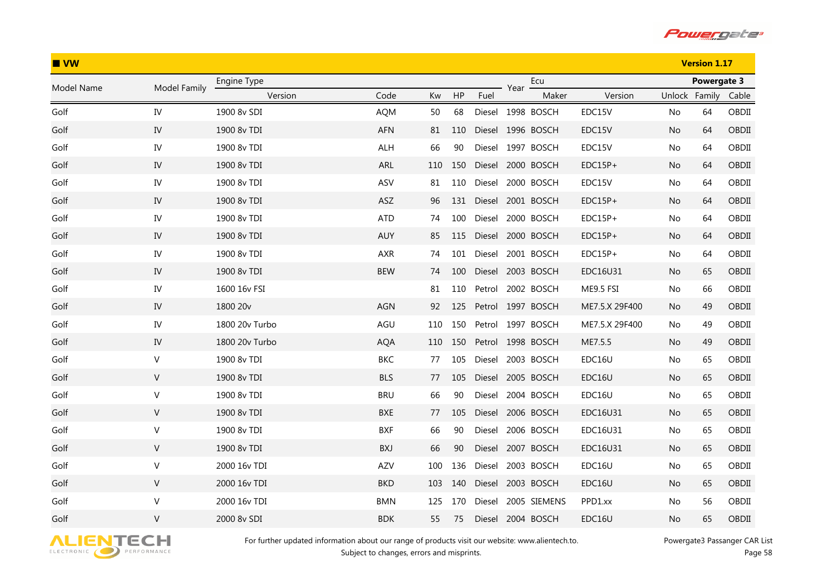

| $\blacksquare$ VW |              |                |            |     |     |        |      | <b>Version 1.17</b> |                |               |             |       |
|-------------------|--------------|----------------|------------|-----|-----|--------|------|---------------------|----------------|---------------|-------------|-------|
| Model Name        | Model Family | Engine Type    |            |     |     |        | Year | Ecu                 |                |               | Powergate 3 |       |
|                   |              | Version        | Code       | Kw  | HP  | Fuel   |      | Maker               | Version        | Unlock Family |             | Cable |
| Golf              | IV           | 1900 8v SDI    | <b>AQM</b> | 50  | 68  |        |      | Diesel 1998 BOSCH   | EDC15V         | No            | 64          | OBDII |
| Golf              | IV           | 1900 8v TDI    | AFN        | 81  | 110 |        |      | Diesel 1996 BOSCH   | EDC15V         | No.           | 64          | OBDII |
| Golf              | ${\rm IV}$   | 1900 8v TDI    | ALH        | 66  | 90  |        |      | Diesel 1997 BOSCH   | EDC15V         | No            | 64          | OBDII |
| Golf              | IV           | 1900 8v TDI    | ARL        | 110 | 150 | Diesel |      | 2000 BOSCH          | $EDC15P+$      | No.           | 64          | OBDII |
| Golf              | IV           | 1900 8v TDI    | ASV        | 81  | 110 | Diesel |      | 2000 BOSCH          | EDC15V         | No            | 64          | OBDII |
| Golf              | IV           | 1900 8v TDI    | ASZ        | 96  | 131 |        |      | Diesel 2001 BOSCH   | $EDC15P+$      | No            | 64          | OBDII |
| Golf              | IV           | 1900 8v TDI    | <b>ATD</b> | 74  | 100 | Diesel |      | 2000 BOSCH          | EDC15P+        | No            | 64          | OBDII |
| Golf              | ${\rm IV}$   | 1900 8v TDI    | AUY        | 85  | 115 |        |      | Diesel 2000 BOSCH   | $EDC15P+$      | No            | 64          | OBDII |
| Golf              | IV           | 1900 8v TDI    | AXR        | 74  | 101 | Diesel |      | 2001 BOSCH          | EDC15P+        | No            | 64          | OBDII |
| Golf              | ${\rm IV}$   | 1900 8v TDI    | <b>BEW</b> | 74  | 100 |        |      | Diesel 2003 BOSCH   | EDC16U31       | No            | 65          | OBDII |
| Golf              | IV           | 1600 16v FSI   |            | 81  | 110 | Petrol |      | 2002 BOSCH          | ME9.5 FSI      | No.           | 66          | OBDII |
| Golf              | ${\rm IV}$   | 1800 20v       | <b>AGN</b> | 92  | 125 |        |      | Petrol 1997 BOSCH   | ME7.5.X 29F400 | No.           | 49          | OBDII |
| Golf              | IV           | 1800 20y Turbo | AGU        | 110 | 150 | Petrol |      | 1997 BOSCH          | ME7.5.X 29F400 | No            | 49          | OBDII |
| Golf              | IV           | 1800 20v Turbo | <b>AQA</b> | 110 | 150 |        |      | Petrol 1998 BOSCH   | ME7.5.5        | No.           | 49          | OBDII |
| Golf              | V            | 1900 8v TDI    | BKC        | 77  | 105 | Diesel |      | 2003 BOSCH          | EDC16U         | No            | 65          | OBDII |
| Golf              | V            | 1900 8v TDI    | <b>BLS</b> | 77  | 105 |        |      | Diesel 2005 BOSCH   | EDC16U         | No.           | 65          | OBDII |
| Golf              | V            | 1900 8v TDI    | <b>BRU</b> | 66  | 90  | Diesel |      | 2004 BOSCH          | EDC16U         | No            | 65          | OBDII |
| Golf              | V            | 1900 8v TDI    | BXE        | 77  | 105 |        |      | Diesel 2006 BOSCH   | EDC16U31       | No            | 65          | OBDII |
| Golf              | V            | 1900 8v TDI    | <b>BXF</b> | 66  | 90  | Diesel |      | 2006 BOSCH          | EDC16U31       | No            | 65          | OBDII |
| Golf              | $\mathsf{V}$ | 1900 8v TDI    | BXJ        | 66  | 90  |        |      | Diesel 2007 BOSCH   | EDC16U31       | No            | 65          | OBDII |
| Golf              | V            | 2000 16v TDI   | AZV        | 100 | 136 | Diesel |      | 2003 BOSCH          | EDC16U         | No.           | 65          | OBDII |
| Golf              | V            | 2000 16v TDI   | <b>BKD</b> | 103 | 140 |        |      | Diesel 2003 BOSCH   | EDC16U         | No            | 65          | OBDII |
| Golf              | V            | 2000 16v TDI   | <b>BMN</b> | 125 | 170 | Diesel |      | 2005 SIEMENS        | PPD1.xx        | No.           | 56          | OBDII |
| Golf              | $\vee$       | 2000 8v SDI    | <b>BDK</b> | 55  | 75  | Diesel |      | 2004 BOSCH          | EDC16U         | No            | 65          | OBDII |

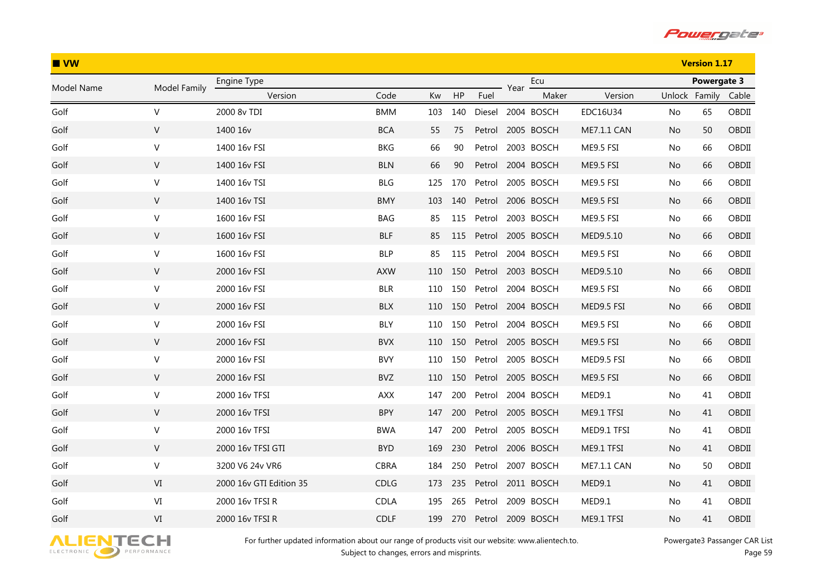

| $\blacksquare$ VW |              |                         |             |     |     |        |      | <b>Version 1.17</b> |               |               |             |       |
|-------------------|--------------|-------------------------|-------------|-----|-----|--------|------|---------------------|---------------|---------------|-------------|-------|
| Model Name        | Model Family | Engine Type             |             |     |     |        | Year | Ecu                 |               |               | Powergate 3 |       |
|                   |              | Version                 | Code        | Kw  | HP  | Fuel   |      | Maker               | Version       | Unlock Family |             | Cable |
| Golf              | $\vee$       | 2000 8v TDI             | <b>BMM</b>  | 103 | 140 |        |      | Diesel 2004 BOSCH   | EDC16U34      | No            | 65          | OBDII |
| Golf              | V            | 1400 16v                | <b>BCA</b>  | 55  | 75  | Petrol |      | 2005 BOSCH          | ME7.1.1 CAN   | No.           | 50          | OBDII |
| Golf              | $\mathsf{V}$ | 1400 16v FSI            | <b>BKG</b>  | 66  | 90  | Petrol |      | 2003 BOSCH          | ME9.5 FSI     | No            | 66          | OBDII |
| Golf              | V            | 1400 16v FSI            | <b>BLN</b>  | 66  | 90  | Petrol |      | 2004 BOSCH          | ME9.5 FSI     | No            | 66          | OBDII |
| Golf              | V            | 1400 16v TSI            | <b>BLG</b>  | 125 | 170 | Petrol |      | 2005 BOSCH          | ME9.5 FSI     | No            | 66          | OBDII |
| Golf              | V            | 1400 16v TSI            | <b>BMY</b>  | 103 | 140 |        |      | Petrol 2006 BOSCH   | ME9.5 FSI     | No.           | 66          | OBDII |
| Golf              | V            | 1600 16v FSI            | BAG         | 85  | 115 | Petrol |      | 2003 BOSCH          | ME9.5 FSI     | No            | 66          | OBDII |
| Golf              | ${\sf V}$    | 1600 16v FSI            | <b>BLF</b>  | 85  | 115 |        |      | Petrol 2005 BOSCH   | MED9.5.10     | No            | 66          | OBDII |
| Golf              | V            | 1600 16v FSI            | <b>BLP</b>  | 85  | 115 | Petrol |      | 2004 BOSCH          | ME9.5 FSI     | No            | 66          | OBDII |
| Golf              | ${\sf V}$    | 2000 16v FSI            | <b>AXW</b>  | 110 | 150 | Petrol |      | 2003 BOSCH          | MED9.5.10     | No            | 66          | OBDII |
| Golf              | V            | 2000 16v FSI            | <b>BLR</b>  | 110 | 150 | Petrol |      | 2004 BOSCH          | ME9.5 FSI     | No.           | 66          | OBDII |
| Golf              | V            | 2000 16v FSI            | <b>BLX</b>  | 110 | 150 | Petrol |      | 2004 BOSCH          | MED9.5 FSI    | No.           | 66          | OBDII |
| Golf              | V            | 2000 16v FSI            | <b>BLY</b>  | 110 | 150 | Petrol |      | 2004 BOSCH          | ME9.5 FSI     | No            | 66          | OBDII |
| Golf              | V            | 2000 16v FSI            | <b>BVX</b>  | 110 | 150 | Petrol |      | 2005 BOSCH          | ME9.5 FSI     | No.           | 66          | OBDII |
| Golf              | V            | 2000 16v FSI            | <b>BVY</b>  | 110 | 150 | Petrol |      | 2005 BOSCH          | MED9.5 FSI    | No            | 66          | OBDII |
| Golf              | V            | 2000 16v FSI            | BVZ         | 110 | 150 | Petrol |      | 2005 BOSCH          | ME9.5 FSI     | No.           | 66          | OBDII |
| Golf              | V            | 2000 16v TFSI           | <b>AXX</b>  | 147 | 200 | Petrol |      | 2004 BOSCH          | MED9.1        | No            | 41          | OBDII |
| Golf              | V            | 2000 16v TFSI           | <b>BPY</b>  | 147 | 200 | Petrol |      | 2005 BOSCH          | ME9.1 TFSI    | No            | 41          | OBDII |
| Golf              | V            | 2000 16v TFSI           | <b>BWA</b>  | 147 | 200 | Petrol |      | 2005 BOSCH          | MED9.1 TFSI   | No            | 41          | OBDII |
| Golf              | ${\sf V}$    | 2000 16v TFSI GTI       | <b>BYD</b>  | 169 | 230 | Petrol |      | 2006 BOSCH          | ME9.1 TFSI    | No            | 41          | OBDII |
| Golf              | V            | 3200 V6 24v VR6         | <b>CBRA</b> | 184 | 250 | Petrol |      | 2007 BOSCH          | ME7.1.1 CAN   | No            | 50          | OBDII |
| Golf              | VI           | 2000 16v GTI Edition 35 | CDLG        | 173 | 235 | Petrol |      | 2011 BOSCH          | <b>MED9.1</b> | No            | 41          | OBDII |
| Golf              | VI           | 2000 16v TFSI R         | <b>CDLA</b> | 195 | 265 | Petrol |      | 2009 BOSCH          | MED9.1        | No.           | 41          | OBDII |
| Golf              | VI           | 2000 16v TFSI R         | <b>CDLF</b> | 199 | 270 | Petrol |      | 2009 BOSCH          | ME9.1 TFSI    | No            | 41          | OBDII |

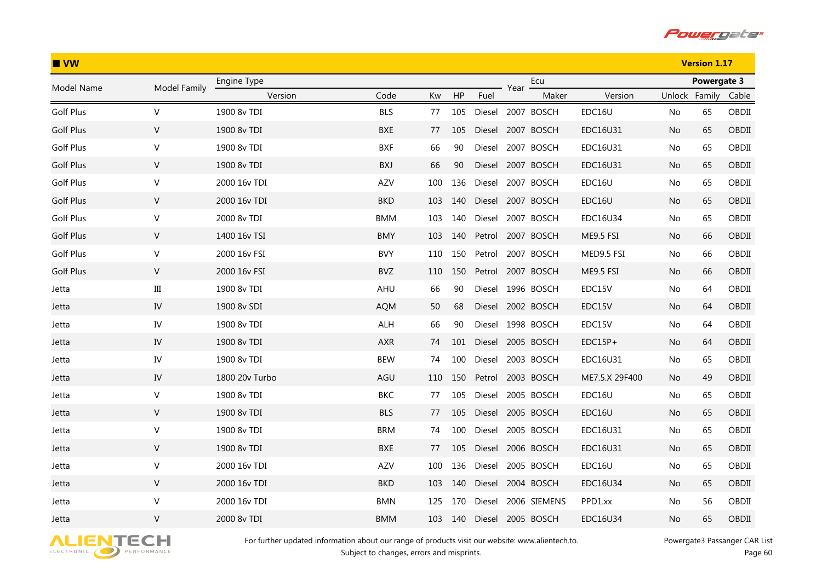

| IVW              |              |                |            |     |     |        |      |                   |                |               | <b>Version 1.17</b> |       |
|------------------|--------------|----------------|------------|-----|-----|--------|------|-------------------|----------------|---------------|---------------------|-------|
| Model Name       | Model Family | Engine Type    |            |     |     |        | Year | Ecu               |                |               | Powergate 3         |       |
|                  |              | Version        | Code       | Kw  | HP  | Fuel   |      | Maker             | Version        | Unlock Family |                     | Cable |
| <b>Golf Plus</b> | V            | 1900 8v TDI    | <b>BLS</b> | 77  | 105 |        |      | Diesel 2007 BOSCH | EDC16U         | No            | 65                  | OBDII |
| <b>Golf Plus</b> | V            | 1900 8v TDI    | <b>BXE</b> | 77  | 105 |        |      | Diesel 2007 BOSCH | EDC16U31       | No.           | 65                  | OBDII |
| Golf Plus        | $\mathsf V$  | 1900 8v TDI    | <b>BXF</b> | 66  | 90  | Diesel |      | 2007 BOSCH        | EDC16U31       | No            | 65                  | OBDII |
| <b>Golf Plus</b> | V            | 1900 8v TDI    | BXJ        | 66  | 90  | Diesel |      | 2007 BOSCH        | EDC16U31       | No            | 65                  | OBDII |
| Golf Plus        | V            | 2000 16v TDI   | AZV        | 100 | 136 | Diesel |      | 2007 BOSCH        | EDC16U         | No            | 65                  | OBDII |
| <b>Golf Plus</b> | V            | 2000 16v TDI   | <b>BKD</b> | 103 | 140 |        |      | Diesel 2007 BOSCH | EDC16U         | No.           | 65                  | OBDII |
| Golf Plus        | $\sf V$      | 2000 8v TDI    | <b>BMM</b> | 103 | 140 | Diesel |      | 2007 BOSCH        | EDC16U34       | No            | 65                  | OBDII |
| <b>Golf Plus</b> | V            | 1400 16v TSI   | <b>BMY</b> | 103 | 140 |        |      | Petrol 2007 BOSCH | ME9.5 FSI      | No.           | 66                  | OBDII |
| Golf Plus        | V            | 2000 16v FSI   | <b>BVY</b> | 110 | 150 | Petrol |      | 2007 BOSCH        | MED9.5 FSI     | No.           | 66                  | OBDII |
| <b>Golf Plus</b> | V            | 2000 16v FSI   | <b>BVZ</b> | 110 | 150 | Petrol |      | 2007 BOSCH        | ME9.5 FSI      | No.           | 66                  | OBDII |
| Jetta            | Ш            | 1900 8v TDI    | AHU        | 66  | 90  | Diesel |      | 1996 BOSCH        | EDC15V         | No.           | 64                  | OBDII |
| Jetta            | ${\rm IV}$   | 1900 8v SDI    | <b>AQM</b> | 50  | 68  |        |      | Diesel 2002 BOSCH | EDC15V         | No.           | 64                  | OBDII |
| Jetta            | IV           | 1900 8v TDI    | ALH        | 66  | 90  | Diesel |      | 1998 BOSCH        | EDC15V         | No.           | 64                  | OBDII |
| Jetta            | IV           | 1900 8v TDI    | AXR        | 74  | 101 | Diesel |      | 2005 BOSCH        | $EDC15P+$      | No.           | 64                  | OBDII |
| Jetta            | IV           | 1900 8v TDI    | <b>BEW</b> | 74  | 100 | Diesel |      | 2003 BOSCH        | EDC16U31       | No            | 65                  | OBDII |
| Jetta            | IV           | 1800 20v Turbo | AGU        | 110 | 150 |        |      | Petrol 2003 BOSCH | ME7.5.X 29F400 | No.           | 49                  | OBDII |
| Jetta            | $\mathsf{V}$ | 1900 8v TDI    | <b>BKC</b> | 77  | 105 | Diesel |      | 2005 BOSCH        | EDC16U         | No.           | 65                  | OBDII |
| Jetta            | $\mathsf{V}$ | 1900 8v TDI    | <b>BLS</b> | 77  | 105 |        |      | Diesel 2005 BOSCH | EDC16U         | No            | 65                  | OBDII |
| Jetta            | $\mathsf V$  | 1900 8v TDI    | <b>BRM</b> | 74  | 100 | Diesel |      | 2005 BOSCH        | EDC16U31       | No            | 65                  | OBDII |
| Jetta            | $\mathsf{V}$ | 1900 8v TDI    | BXE        | 77  | 105 | Diesel |      | 2006 BOSCH        | EDC16U31       | No            | 65                  | OBDII |
| Jetta            | V            | 2000 16v TDI   | AZV        | 100 | 136 | Diesel |      | 2005 BOSCH        | EDC16U         | No.           | 65                  | OBDII |
| Jetta            | $\mathsf{V}$ | 2000 16v TDI   | <b>BKD</b> | 103 | 140 |        |      | Diesel 2004 BOSCH | EDC16U34       | No            | 65                  | OBDII |
| Jetta            | $\mathsf V$  | 2000 16v TDI   | <b>BMN</b> | 125 | 170 | Diesel |      | 2006 SIEMENS      | PPD1.xx        | No.           | 56                  | OBDII |
| Jetta            | V            | 2000 8v TDI    | <b>BMM</b> | 103 | 140 | Diesel |      | 2005 BOSCH        | EDC16U34       | No            | 65                  | OBDII |

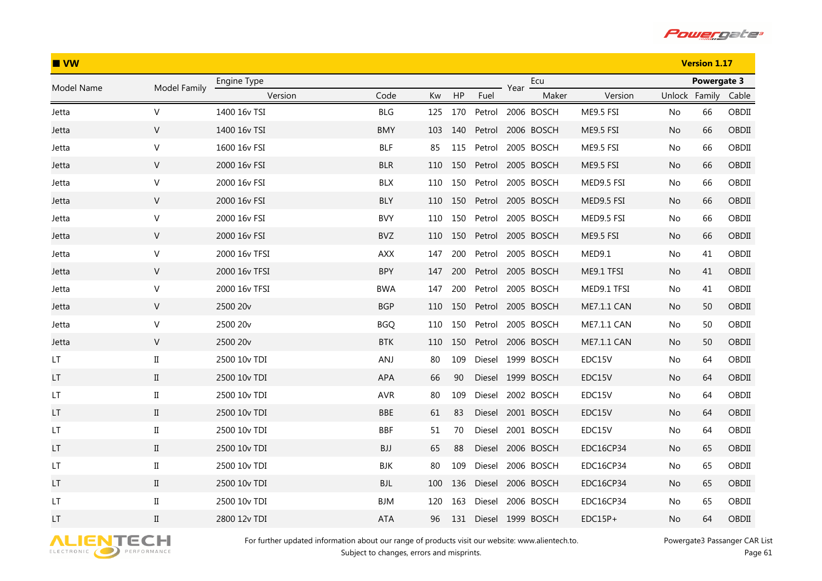

| $\blacksquare$ VW |                      |               |            |     |     |        |      |                   |             |               | <b>Version 1.17</b> |       |  |
|-------------------|----------------------|---------------|------------|-----|-----|--------|------|-------------------|-------------|---------------|---------------------|-------|--|
| Model Name        | Model Family         | Engine Type   |            |     |     |        | Year | Ecu               |             |               | Powergate 3         |       |  |
|                   |                      | Version       | Code       | Kw  | HP  | Fuel   |      | Maker             | Version     | Unlock Family |                     | Cable |  |
| Jetta             | $\vee$               | 1400 16v TSI  | <b>BLG</b> | 125 | 170 | Petrol |      | 2006 BOSCH        | ME9.5 FSI   | No            | 66                  | OBDII |  |
| Jetta             | $\vee$               | 1400 16v TSI  | <b>BMY</b> | 103 | 140 | Petrol |      | 2006 BOSCH        | ME9.5 FSI   | No.           | 66                  | OBDII |  |
| Jetta             | $\mathsf{V}$         | 1600 16v FSI  | <b>BLF</b> | 85  | 115 | Petrol |      | 2005 BOSCH        | ME9.5 FSI   | No            | 66                  | OBDII |  |
| Jetta             | $\vee$               | 2000 16v FSI  | <b>BLR</b> | 110 | 150 | Petrol |      | 2005 BOSCH        | ME9.5 FSI   | No            | 66                  | OBDII |  |
| Jetta             | V                    | 2000 16v FSI  | <b>BLX</b> | 110 | 150 | Petrol |      | 2005 BOSCH        | MED9.5 FSI  | No            | 66                  | OBDII |  |
| Jetta             | V                    | 2000 16v FSI  | <b>BLY</b> | 110 | 150 | Petrol |      | 2005 BOSCH        | MED9.5 FSI  | No            | 66                  | OBDII |  |
| Jetta             | $\mathsf{V}$         | 2000 16v FSI  | <b>BVY</b> | 110 | 150 | Petrol |      | 2005 BOSCH        | MED9.5 FSI  | No            | 66                  | OBDII |  |
| Jetta             | V                    | 2000 16v FSI  | BVZ        | 110 | 150 | Petrol |      | 2005 BOSCH        | ME9.5 FSI   | No            | 66                  | OBDII |  |
| Jetta             | $\vee$               | 2000 16v TFSI | <b>AXX</b> | 147 | 200 | Petrol |      | 2005 BOSCH        | MED9.1      | No            | 41                  | OBDII |  |
| Jetta             | ${\sf V}$            | 2000 16v TFSI | <b>BPY</b> | 147 | 200 | Petrol |      | 2005 BOSCH        | ME9.1 TFSI  | No            | 41                  | OBDII |  |
| Jetta             | $\vee$               | 2000 16v TFSI | <b>BWA</b> | 147 | 200 | Petrol |      | 2005 BOSCH        | MED9.1 TFSI | No.           | 41                  | OBDII |  |
| Jetta             | $\mathsf{V}$         | 2500 20v      | <b>BGP</b> | 110 | 150 | Petrol |      | 2005 BOSCH        | ME7.1.1 CAN | No.           | 50                  | OBDII |  |
| Jetta             | $\mathsf{V}$         | 2500 20v      | <b>BGQ</b> | 110 | 150 | Petrol |      | 2005 BOSCH        | ME7.1.1 CAN | No            | 50                  | OBDII |  |
| Jetta             | $\vee$               | 2500 20v      | <b>BTK</b> | 110 | 150 | Petrol |      | 2006 BOSCH        | ME7.1.1 CAN | No            | 50                  | OBDII |  |
| LT.               | $\scriptstyle\rm II$ | 2500 10v TDI  | ANJ        | 80  | 109 |        |      | Diesel 1999 BOSCH | EDC15V      | No            | 64                  | OBDII |  |
| LT.               | $\mathbf{I}$         | 2500 10v TDI  | APA        | 66  | 90  |        |      | Diesel 1999 BOSCH | EDC15V      | No            | 64                  | OBDII |  |
| LT.               | $\rm II$             | 2500 10v TDI  | <b>AVR</b> | 80  | 109 |        |      | Diesel 2002 BOSCH | EDC15V      | No            | 64                  | OBDII |  |
| LT                | $\mathbf{I}$         | 2500 10v TDI  | <b>BBE</b> | 61  | 83  |        |      | Diesel 2001 BOSCH | EDC15V      | No            | 64                  | OBDII |  |
| LT                | $_{\rm II}$          | 2500 10v TDI  | <b>BBF</b> | 51  | 70  | Diesel |      | 2001 BOSCH        | EDC15V      | No            | 64                  | OBDII |  |
| LT                | $\mathbf{I}$         | 2500 10v TDI  | BJJ        | 65  | 88  |        |      | Diesel 2006 BOSCH | EDC16CP34   | No            | 65                  | OBDII |  |
| LT.               | $_{\rm II}$          | 2500 10v TDI  | BJK        | 80  | 109 |        |      | Diesel 2006 BOSCH | EDC16CP34   | No            | 65                  | OBDII |  |
| LT.               | $\rm II$             | 2500 10v TDI  | <b>BJL</b> | 100 | 136 |        |      | Diesel 2006 BOSCH | EDC16CP34   | No            | 65                  | OBDII |  |
| LT                | $\rm II$             | 2500 10y TDI  | BJM        | 120 | 163 | Diesel |      | 2006 BOSCH        | EDC16CP34   | No.           | 65                  | OBDII |  |
| LT                | $\rm II$             | 2800 12v TDI  | <b>ATA</b> | 96  | 131 |        |      | Diesel 1999 BOSCH | $EDC15P+$   | No            | 64                  | OBDII |  |

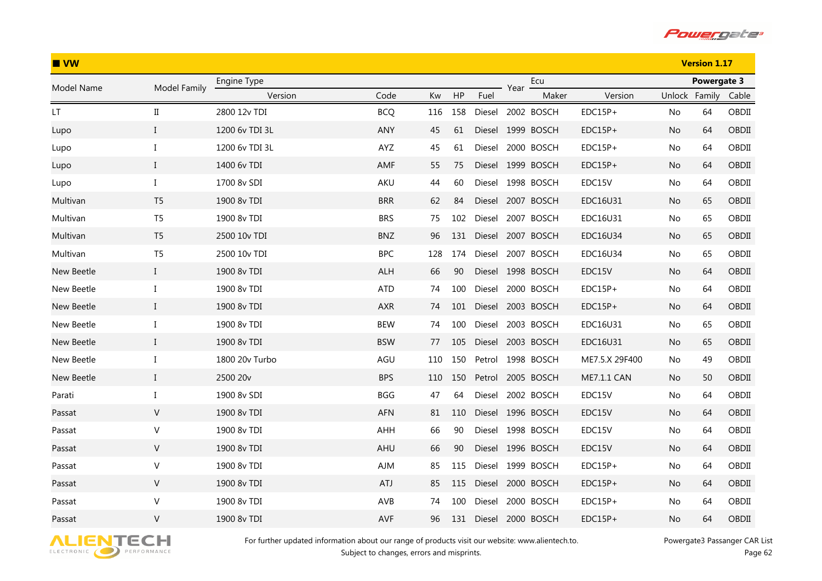

| $\blacksquare$ VW    |                      |                |            |     |     |        |      |                   |                |               | <b>Version 1.17</b> |       |  |
|----------------------|----------------------|----------------|------------|-----|-----|--------|------|-------------------|----------------|---------------|---------------------|-------|--|
| Model Name           | Model Family         | Engine Type    |            |     |     |        | Year | Ecu               |                | Powergate 3   |                     |       |  |
|                      |                      | Version        | Code       | Kw  | HP  | Fuel   |      | Maker             | Version        | Unlock Family |                     | Cable |  |
| $\mathsf{LT}\xspace$ | $\scriptstyle\rm II$ | 2800 12v TDI   | <b>BCQ</b> | 116 | 158 | Diesel |      | 2002 BOSCH        | EDC15P+        | No            | 64                  | OBDII |  |
| Lupo                 | $\mathbf{I}$         | 1200 6v TDI 3L | <b>ANY</b> | 45  | 61  |        |      | Diesel 1999 BOSCH | $EDC15P+$      | No.           | 64                  | OBDII |  |
| Lupo                 | $\bf{I}$             | 1200 6v TDI 3L | AYZ        | 45  | 61  | Diesel |      | 2000 BOSCH        | $EDC15P+$      | No            | 64                  | OBDII |  |
| Lupo                 | $\mathbf{I}$         | 1400 6v TDI    | AMF        | 55  | 75  | Diesel |      | 1999 BOSCH        | $EDC15P+$      | No.           | 64                  | OBDII |  |
| Lupo                 | $\bf{I}$             | 1700 8v SDI    | AKU        | 44  | 60  | Diesel |      | 1998 BOSCH        | EDC15V         | No            | 64                  | OBDII |  |
| Multivan             | T <sub>5</sub>       | 1900 8v TDI    | <b>BRR</b> | 62  | 84  | Diesel |      | 2007 BOSCH        | EDC16U31       | No.           | 65                  | OBDII |  |
| Multivan             | T <sub>5</sub>       | 1900 8v TDI    | <b>BRS</b> | 75  | 102 | Diesel |      | 2007 BOSCH        | EDC16U31       | No            | 65                  | OBDII |  |
| Multivan             | T <sub>5</sub>       | 2500 10v TDI   | <b>BNZ</b> | 96  | 131 |        |      | Diesel 2007 BOSCH | EDC16U34       | No.           | 65                  | OBDII |  |
| Multivan             | T <sub>5</sub>       | 2500 10v TDI   | <b>BPC</b> | 128 | 174 | Diesel |      | 2007 BOSCH        | EDC16U34       | No.           | 65                  | OBDII |  |
| New Beetle           | $\bf{I}$             | 1900 8v TDI    | ALH        | 66  | 90  |        |      | Diesel 1998 BOSCH | EDC15V         | No.           | 64                  | OBDII |  |
| New Beetle           | I                    | 1900 8v TDI    | ATD        | 74  | 100 | Diesel |      | 2000 BOSCH        | $EDC15P+$      | No.           | 64                  | OBDII |  |
| New Beetle           | $\mathbf{I}$         | 1900 8v TDI    | <b>AXR</b> | 74  | 101 |        |      | Diesel 2003 BOSCH | $EDC15P+$      | No.           | 64                  | OBDII |  |
| New Beetle           | $\bf{I}$             | 1900 8v TDI    | BEW        | 74  | 100 | Diesel |      | 2003 BOSCH        | EDC16U31       | No.           | 65                  | OBDII |  |
| New Beetle           | $\bf{I}$             | 1900 8v TDI    | <b>BSW</b> | 77  | 105 | Diesel |      | 2003 BOSCH        | EDC16U31       | No.           | 65                  | OBDII |  |
| New Beetle           | $\bf{I}$             | 1800 20v Turbo | AGU        | 110 | 150 |        |      | Petrol 1998 BOSCH | ME7.5.X 29F400 | No.           | 49                  | OBDII |  |
| New Beetle           | $\bf{I}$             | 2500 20v       | <b>BPS</b> | 110 | 150 |        |      | Petrol 2005 BOSCH | ME7.1.1 CAN    | No.           | 50                  | OBDII |  |
| Parati               | $\bf{I}$             | 1900 8v SDI    | <b>BGG</b> | 47  | 64  | Diesel |      | 2002 BOSCH        | EDC15V         | No.           | 64                  | OBDII |  |
| Passat               | $\mathsf{V}$         | 1900 8v TDI    | AFN        | 81  | 110 |        |      | Diesel 1996 BOSCH | EDC15V         | No            | 64                  | OBDII |  |
| Passat               | $\mathsf V$          | 1900 8v TDI    | AHH        | 66  | 90  | Diesel |      | 1998 BOSCH        | EDC15V         | No            | 64                  | OBDII |  |
| Passat               | $\mathsf{V}$         | 1900 8v TDI    | AHU        | 66  | 90  |        |      | Diesel 1996 BOSCH | EDC15V         | No            | 64                  | OBDII |  |
| Passat               | V                    | 1900 8v TDI    | AJM        | 85  | 115 | Diesel |      | 1999 BOSCH        | $EDC15P+$      | No.           | 64                  | OBDII |  |
| Passat               | $\mathsf{V}$         | 1900 8v TDI    | <b>ATJ</b> | 85  | 115 | Diesel |      | 2000 BOSCH        | EDC15P+        | No            | 64                  | OBDII |  |
| Passat               | $\sf V$              | 1900 8v TDI    | AVB        | 74  | 100 | Diesel |      | 2000 BOSCH        | $EDC15P+$      | No.           | 64                  | OBDII |  |
| Passat               | V                    | 1900 8v TDI    | AVF        | 96  | 131 | Diesel |      | 2000 BOSCH        | $EDC15P+$      | No            | 64                  | OBDII |  |

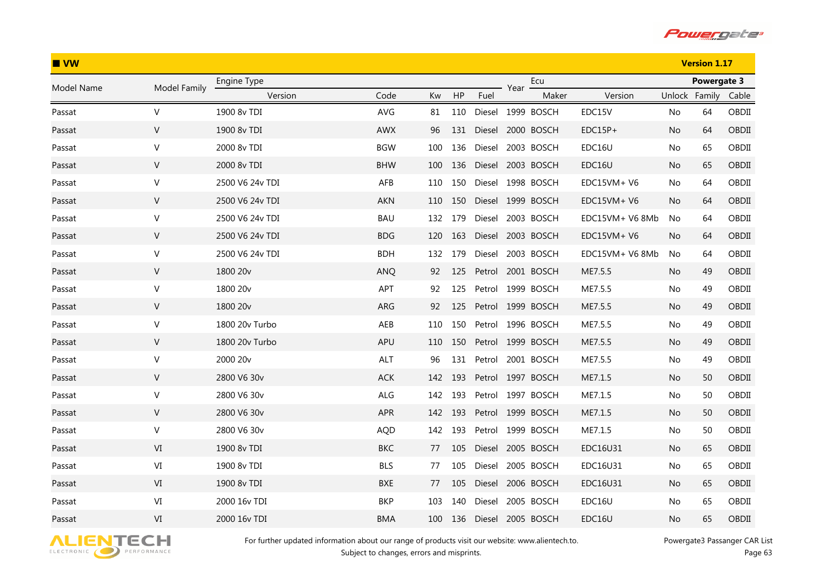

| $\blacksquare$ VW |              |                 |            |     |     |        | <b>Version 1.17</b> |                   |                 |               |             |       |
|-------------------|--------------|-----------------|------------|-----|-----|--------|---------------------|-------------------|-----------------|---------------|-------------|-------|
| Model Name        | Model Family | Engine Type     |            |     |     |        | Year                | Ecu               |                 |               | Powergate 3 |       |
|                   |              | Version         | Code       | Kw  | HP  | Fuel   |                     | Maker             | Version         | Unlock Family |             | Cable |
| Passat            | $\vee$       | 1900 8v TDI     | AVG        | 81  | 110 |        |                     | Diesel 1999 BOSCH | EDC15V          | No            | 64          | OBDII |
| Passat            | $\vee$       | 1900 8v TDI     | <b>AWX</b> | 96  | 131 |        |                     | Diesel 2000 BOSCH | $EDC15P+$       | No.           | 64          | OBDII |
| Passat            | $\mathsf{V}$ | 2000 8v TDI     | <b>BGW</b> | 100 | 136 | Diesel |                     | 2003 BOSCH        | EDC16U          | No            | 65          | OBDII |
| Passat            | $\vee$       | 2000 8v TDI     | <b>BHW</b> | 100 | 136 | Diesel |                     | 2003 BOSCH        | EDC16U          | No.           | 65          | OBDII |
| Passat            | V            | 2500 V6 24v TDI | AFB        | 110 | 150 |        |                     | Diesel 1998 BOSCH | EDC15VM+ V6     | No            | 64          | OBDII |
| Passat            | V            | 2500 V6 24v TDI | AKN        | 110 | 150 |        |                     | Diesel 1999 BOSCH | EDC15VM+ V6     | No.           | 64          | OBDII |
| Passat            | $\mathsf{V}$ | 2500 V6 24v TDI | <b>BAU</b> | 132 | 179 | Diesel |                     | 2003 BOSCH        | EDC15VM+ V6 8Mb | No            | 64          | OBDII |
| Passat            | V            | 2500 V6 24v TDI | <b>BDG</b> | 120 | 163 |        |                     | Diesel 2003 BOSCH | EDC15VM+ V6     | No            | 64          | OBDII |
| Passat            | $\vee$       | 2500 V6 24v TDI | <b>BDH</b> | 132 | 179 | Diesel |                     | 2003 BOSCH        | EDC15VM+ V6 8Mb | No.           | 64          | OBDII |
| Passat            | ${\sf V}$    | 1800 20v        | <b>ANQ</b> | 92  | 125 | Petrol |                     | 2001 BOSCH        | ME7.5.5         | No            | 49          | OBDII |
| Passat            | $\vee$       | 1800 20v        | APT        | 92  | 125 | Petrol |                     | 1999 BOSCH        | ME7.5.5         | No.           | 49          | OBDII |
| Passat            | $\mathsf{V}$ | 1800 20v        | ARG        | 92  | 125 |        |                     | Petrol 1999 BOSCH | ME7.5.5         | No.           | 49          | OBDII |
| Passat            | $\mathsf{V}$ | 1800 20v Turbo  | AEB        | 110 | 150 | Petrol |                     | 1996 BOSCH        | ME7.5.5         | No            | 49          | OBDII |
| Passat            | $\vee$       | 1800 20v Turbo  | APU        | 110 | 150 | Petrol |                     | 1999 BOSCH        | ME7.5.5         | No.           | 49          | OBDII |
| Passat            | V            | 2000 20v        | <b>ALT</b> | 96  | 131 | Petrol |                     | 2001 BOSCH        | ME7.5.5         | No            | 49          | OBDII |
| Passat            | V            | 2800 V6 30v     | ACK        | 142 | 193 |        |                     | Petrol 1997 BOSCH | ME7.1.5         | No            | 50          | OBDII |
| Passat            | $\vee$       | 2800 V6 30v     | ALG        | 142 | 193 | Petrol |                     | 1997 BOSCH        | ME7.1.5         | No.           | 50          | OBDII |
| Passat            | $\mathsf{V}$ | 2800 V6 30v     | APR        | 142 | 193 |        |                     | Petrol 1999 BOSCH | ME7.1.5         | No            | 50          | OBDII |
| Passat            | V            | 2800 V6 30v     | <b>AQD</b> | 142 | 193 | Petrol |                     | 1999 BOSCH        | ME7.1.5         | No            | 50          | OBDII |
| Passat            | VI           | 1900 8v TDI     | <b>BKC</b> | 77  | 105 |        |                     | Diesel 2005 BOSCH | EDC16U31        | No            | 65          | OBDII |
| Passat            | VI           | 1900 8v TDI     | <b>BLS</b> | 77  | 105 | Diesel |                     | 2005 BOSCH        | EDC16U31        | No.           | 65          | OBDII |
| Passat            | VI           | 1900 8v TDI     | <b>BXE</b> | 77  | 105 | Diesel |                     | 2006 BOSCH        | EDC16U31        | No            | 65          | OBDII |
| Passat            | VI           | 2000 16y TDI    | <b>BKP</b> | 103 | 140 | Diesel |                     | 2005 BOSCH        | EDC16U          | No.           | 65          | OBDII |
| Passat            | VI           | 2000 16v TDI    | <b>BMA</b> | 100 | 136 | Diesel |                     | 2005 BOSCH        | EDC16U          | No            | 65          | OBDII |

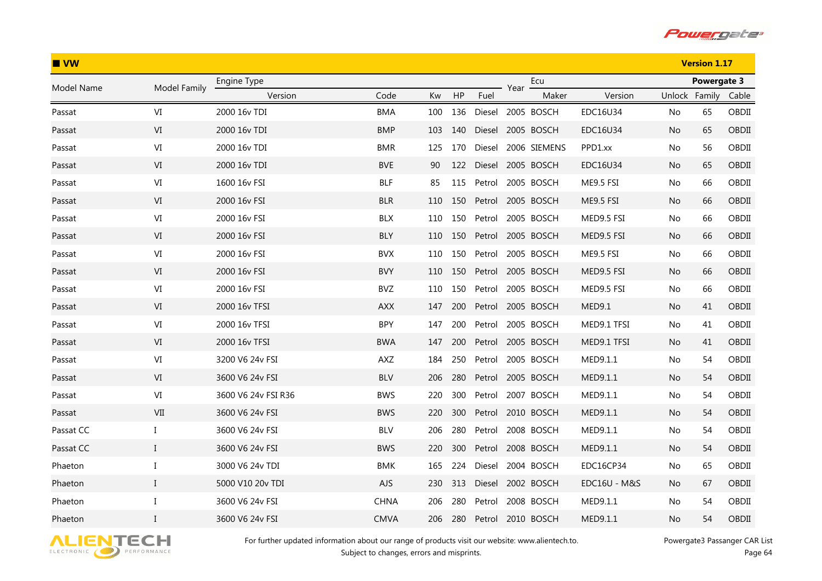

| IVW        |                                 |                     |             |     |     |        |      |              |              |               | <b>Version 1.17</b> |       |
|------------|---------------------------------|---------------------|-------------|-----|-----|--------|------|--------------|--------------|---------------|---------------------|-------|
| Model Name | Model Family                    | Engine Type         |             |     |     |        | Year | Ecu          |              | Powergate 3   |                     |       |
|            |                                 | Version             | Code        | Kw  | HP  | Fuel   |      | Maker        | Version      | Unlock Family |                     | Cable |
| Passat     | VI                              | 2000 16v TDI        | <b>BMA</b>  | 100 | 136 | Diesel |      | 2005 BOSCH   | EDC16U34     | No.           | 65                  | OBDII |
| Passat     | VI                              | 2000 16v TDI        | <b>BMP</b>  | 103 | 140 | Diesel |      | 2005 BOSCH   | EDC16U34     | No.           | 65                  | OBDII |
| Passat     | $\mbox{VI}$                     | 2000 16v TDI        | <b>BMR</b>  | 125 | 170 | Diesel |      | 2006 SIEMENS | PPD1.xx      | No            | 56                  | OBDII |
| Passat     | VI                              | 2000 16v TDI        | <b>BVE</b>  | 90  | 122 | Diesel |      | 2005 BOSCH   | EDC16U34     | No            | 65                  | OBDII |
| Passat     | $\ensuremath{\text{VI}}\xspace$ | 1600 16v FSI        | <b>BLF</b>  | 85  | 115 | Petrol |      | 2005 BOSCH   | ME9.5 FSI    | No            | 66                  | OBDII |
| Passat     | VI                              | 2000 16v FSI        | <b>BLR</b>  | 110 | 150 | Petrol |      | 2005 BOSCH   | ME9.5 FSI    | No.           | 66                  | OBDII |
| Passat     | $\mbox{VI}$                     | 2000 16v FSI        | <b>BLX</b>  | 110 | 150 | Petrol |      | 2005 BOSCH   | MED9.5 FSI   | No            | 66                  | OBDII |
| Passat     | $\ensuremath{\text{VI}}\xspace$ | 2000 16v FSI        | <b>BLY</b>  | 110 | 150 | Petrol |      | 2005 BOSCH   | MED9.5 FSI   | No            | 66                  | OBDII |
| Passat     | $\mbox{VI}$                     | 2000 16v FSI        | <b>BVX</b>  | 110 | 150 | Petrol |      | 2005 BOSCH   | ME9.5 FSI    | No.           | 66                  | OBDII |
| Passat     | VI                              | 2000 16v FSI        | <b>BVY</b>  | 110 | 150 | Petrol |      | 2005 BOSCH   | MED9.5 FSI   | No            | 66                  | OBDII |
| Passat     | $\mbox{VI}$                     | 2000 16v FSI        | <b>BVZ</b>  | 110 | 150 | Petrol |      | 2005 BOSCH   | MED9.5 FSI   | No.           | 66                  | OBDII |
| Passat     | $\ensuremath{\text{VI}}\xspace$ | 2000 16v TFSI       | <b>AXX</b>  | 147 | 200 | Petrol |      | 2005 BOSCH   | MED9.1       | No.           | 41                  | OBDII |
| Passat     | VI                              | 2000 16v TFSI       | <b>BPY</b>  | 147 | 200 | Petrol |      | 2005 BOSCH   | MED9.1 TFSI  | No.           | 41                  | OBDII |
| Passat     | VI                              | 2000 16v TFSI       | <b>BWA</b>  | 147 | 200 | Petrol |      | 2005 BOSCH   | MED9.1 TFSI  | No.           | 41                  | OBDII |
| Passat     | VI                              | 3200 V6 24v FSI     | AXZ         | 184 | 250 | Petrol |      | 2005 BOSCH   | MED9.1.1     | No            | 54                  | OBDII |
| Passat     | VI                              | 3600 V6 24v FSI     | <b>BLV</b>  | 206 | 280 | Petrol |      | 2005 BOSCH   | MED9.1.1     | No.           | 54                  | OBDII |
| Passat     | $\mbox{VI}$                     | 3600 V6 24v FSI R36 | <b>BWS</b>  | 220 | 300 | Petrol |      | 2007 BOSCH   | MED9.1.1     | No.           | 54                  | OBDII |
| Passat     | VII                             | 3600 V6 24v FSI     | <b>BWS</b>  | 220 | 300 | Petrol |      | 2010 BOSCH   | MED9.1.1     | No            | 54                  | OBDII |
| Passat CC  | I                               | 3600 V6 24v FSI     | <b>BLV</b>  | 206 | 280 | Petrol |      | 2008 BOSCH   | MED9.1.1     | No.           | 54                  | OBDII |
| Passat CC  | $\mathbf{I}$                    | 3600 V6 24v FSI     | <b>BWS</b>  | 220 | 300 | Petrol |      | 2008 BOSCH   | MED9.1.1     | No            | 54                  | OBDII |
| Phaeton    | I                               | 3000 V6 24v TDI     | <b>BMK</b>  | 165 | 224 | Diesel |      | 2004 BOSCH   | EDC16CP34    | No.           | 65                  | OBDII |
| Phaeton    | $\bf{I}$                        | 5000 V10 20v TDI    | <b>AJS</b>  | 230 | 313 | Diesel |      | 2002 BOSCH   | EDC16U - M&S | No.           | 67                  | OBDII |
| Phaeton    | $\bf{I}$                        | 3600 V6 24v FSI     | CHNA        | 206 | 280 | Petrol |      | 2008 BOSCH   | MED9.1.1     | No.           | 54                  | OBDII |
| Phaeton    | $\mathbf{I}$                    | 3600 V6 24v FSI     | <b>CMVA</b> | 206 | 280 | Petrol |      | 2010 BOSCH   | MED9.1.1     | No            | 54                  | OBDII |

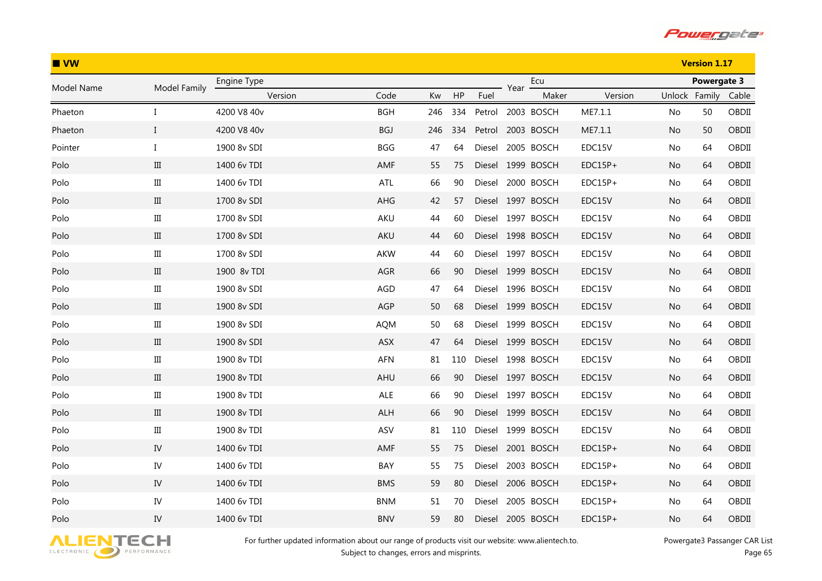

| IVW        |              |             |            |     |     |        |      |                   |           |               | <b>Version 1.17</b> |       |
|------------|--------------|-------------|------------|-----|-----|--------|------|-------------------|-----------|---------------|---------------------|-------|
| Model Name | Model Family | Engine Type |            |     |     |        | Year | Ecu               |           | Powergate 3   |                     |       |
|            |              | Version     | Code       | Kw  | HP  | Fuel   |      | Maker             | Version   | Unlock Family |                     | Cable |
| Phaeton    | I            | 4200 V8 40v | <b>BGH</b> | 246 | 334 |        |      | Petrol 2003 BOSCH | ME7.1.1   | No            | 50                  | OBDII |
| Phaeton    | $\bf{I}$     | 4200 V8 40v | BGJ        | 246 | 334 | Petrol |      | 2003 BOSCH        | ME7.1.1   | No.           | 50                  | OBDII |
| Pointer    | $\bf{I}$     | 1900 8v SDI | <b>BGG</b> | 47  | 64  | Diesel |      | 2005 BOSCH        | EDC15V    | No            | 64                  | OBDII |
| Polo       | III          | 1400 6v TDI | AMF        | 55  | 75  |        |      | Diesel 1999 BOSCH | $EDC15P+$ | No            | 64                  | OBDII |
| Polo       | $\rm III$    | 1400 6v TDI | ATL        | 66  | 90  |        |      | Diesel 2000 BOSCH | $EDC15P+$ | No            | 64                  | OBDII |
| Polo       | Ш            | 1700 8v SDI | AHG        | 42  | 57  |        |      | Diesel 1997 BOSCH | EDC15V    | No            | 64                  | OBDII |
| Polo       | $\rm III$    | 1700 8v SDI | <b>AKU</b> | 44  | 60  |        |      | Diesel 1997 BOSCH | EDC15V    | No            | 64                  | OBDII |
| Polo       | III          | 1700 8v SDI | AKU        | 44  | 60  |        |      | Diesel 1998 BOSCH | EDC15V    | No            | 64                  | OBDII |
| Polo       | $\rm III$    | 1700 8v SDI | AKW        | 44  | 60  |        |      | Diesel 1997 BOSCH | EDC15V    | No            | 64                  | OBDII |
| Polo       | III          | 1900 8v TDI | AGR        | 66  | 90  |        |      | Diesel 1999 BOSCH | EDC15V    | No            | 64                  | OBDII |
| Polo       | $\rm III$    | 1900 8v SDI | AGD        | 47  | 64  |        |      | Diesel 1996 BOSCH | EDC15V    | No.           | 64                  | OBDII |
| Polo       | $\rm III$    | 1900 8v SDI | AGP        | 50  | 68  |        |      | Diesel 1999 BOSCH | EDC15V    | No            | 64                  | OBDII |
| Polo       | $\rm III$    | 1900 8v SDI | <b>AQM</b> | 50  | 68  |        |      | Diesel 1999 BOSCH | EDC15V    | No            | 64                  | OBDII |
| Polo       | $\rm III$    | 1900 8v SDI | ASX        | 47  | 64  |        |      | Diesel 1999 BOSCH | EDC15V    | No            | 64                  | OBDII |
| Polo       | $\rm III$    | 1900 8v TDI | AFN        | 81  | 110 |        |      | Diesel 1998 BOSCH | EDC15V    | No            | 64                  | OBDII |
| Polo       | $\rm III$    | 1900 8v TDI | AHU        | 66  | 90  |        |      | Diesel 1997 BOSCH | EDC15V    | No            | 64                  | OBDII |
| Polo       | $\rm III$    | 1900 8v TDI | ALE        | 66  | 90  |        |      | Diesel 1997 BOSCH | EDC15V    | No            | 64                  | OBDII |
| Polo       | $\rm III$    | 1900 8v TDI | ALH        | 66  | 90  |        |      | Diesel 1999 BOSCH | EDC15V    | No            | 64                  | OBDII |
| Polo       | $\rm III$    | 1900 8v TDI | ASV        | 81  | 110 |        |      | Diesel 1999 BOSCH | EDC15V    | No            | 64                  | OBDII |
| Polo       | IV           | 1400 6v TDI | AMF        | 55  | 75  |        |      | Diesel 2001 BOSCH | $EDC15P+$ | No            | 64                  | OBDII |
| Polo       | IV           | 1400 6v TDI | BAY        | 55  | 75  |        |      | Diesel 2003 BOSCH | EDC15P+   | No            | 64                  | OBDII |
| Polo       | IV           | 1400 6v TDI | <b>BMS</b> | 59  | 80  |        |      | Diesel 2006 BOSCH | $EDC15P+$ | No            | 64                  | OBDII |
| Polo       | IV           | 1400 6v TDI | <b>BNM</b> | 51  | 70  | Diesel |      | 2005 BOSCH        | EDC15P+   | No.           | 64                  | OBDII |
| Polo       | IV           | 1400 6v TDI | <b>BNV</b> | 59  | 80  |        |      | Diesel 2005 BOSCH | $EDC15P+$ | No            | 64                  | OBDII |

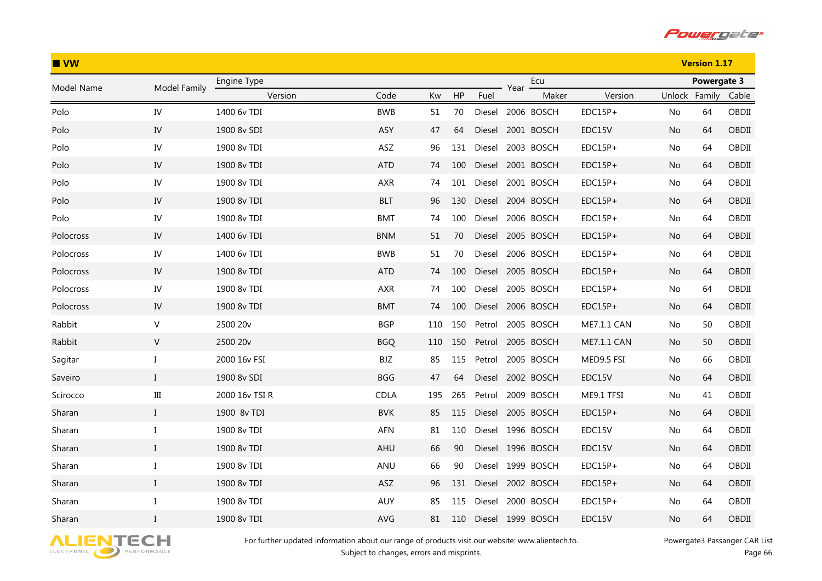

| $\blacksquare$ VW |              |                |             |     |     | <b>Version 1.17</b> |      |                   |             |               |             |       |
|-------------------|--------------|----------------|-------------|-----|-----|---------------------|------|-------------------|-------------|---------------|-------------|-------|
| Model Name        | Model Family | Engine Type    |             |     |     |                     | Year | Ecu               |             |               | Powergate 3 |       |
|                   |              | Version        | Code        | Kw  | HP  | Fuel                |      | Maker             | Version     | Unlock Family |             | Cable |
| Polo              | IV           | 1400 6v TDI    | <b>BWB</b>  | 51  | 70  |                     |      | Diesel 2006 BOSCH | $EDC15P+$   | No            | 64          | OBDII |
| Polo              | IV           | 1900 8v SDI    | ASY         | 47  | 64  |                     |      | Diesel 2001 BOSCH | EDC15V      | No.           | 64          | OBDII |
| Polo              | ${\rm IV}$   | 1900 8v TDI    | ASZ         | 96  | 131 | Diesel              |      | 2003 BOSCH        | EDC15P+     | No            | 64          | OBDII |
| Polo              | IV           | 1900 8v TDI    | <b>ATD</b>  | 74  | 100 |                     |      | Diesel 2001 BOSCH | $EDC15P+$   | No            | 64          | OBDII |
| Polo              | IV           | 1900 8v TDI    | AXR         | 74  | 101 |                     |      | Diesel 2001 BOSCH | $EDC15P+$   | No            | 64          | OBDII |
| Polo              | IV           | 1900 8v TDI    | <b>BLT</b>  | 96  | 130 |                     |      | Diesel 2004 BOSCH | $EDC15P+$   | No            | 64          | OBDII |
| Polo              | IV           | 1900 8v TDI    | <b>BMT</b>  | 74  | 100 |                     |      | Diesel 2006 BOSCH | $EDC15P+$   | No            | 64          | OBDII |
| Polocross         | ${\rm IV}$   | 1400 6v TDI    | <b>BNM</b>  | 51  | 70  |                     |      | Diesel 2005 BOSCH | $EDC15P+$   | No            | 64          | OBDII |
| Polocross         | IV           | 1400 6v TDI    | <b>BWB</b>  | 51  | 70  | Diesel              |      | 2006 BOSCH        | $EDC15P+$   | No            | 64          | OBDII |
| Polocross         | ${\rm IV}$   | 1900 8v TDI    | <b>ATD</b>  | 74  | 100 |                     |      | Diesel 2005 BOSCH | $EDC15P+$   | No            | 64          | OBDII |
| Polocross         | IV           | 1900 8v TDI    | <b>AXR</b>  | 74  | 100 |                     |      | Diesel 2005 BOSCH | $EDC15P+$   | No.           | 64          | OBDII |
| Polocross         | IV           | 1900 8v TDI    | <b>BMT</b>  | 74  | 100 |                     |      | Diesel 2006 BOSCH | $EDC15P+$   | No            | 64          | OBDII |
| Rabbit            | $\mathsf{V}$ | 2500 20v       | <b>BGP</b>  | 110 | 150 | Petrol              |      | 2005 BOSCH        | ME7.1.1 CAN | No            | 50          | OBDII |
| Rabbit            | $\mathsf{V}$ | 2500 20v       | <b>BGQ</b>  | 110 | 150 | Petrol              |      | 2005 BOSCH        | ME7.1.1 CAN | No            | 50          | OBDII |
| Sagitar           | $\bf{I}$     | 2000 16v FSI   | BJZ         | 85  | 115 | Petrol              |      | 2005 BOSCH        | MED9.5 FSI  | No            | 66          | OBDII |
| Saveiro           | $\bf{I}$     | 1900 8v SDI    | <b>BGG</b>  | 47  | 64  |                     |      | Diesel 2002 BOSCH | EDC15V      | No            | 64          | OBDII |
| Scirocco          | $\rm III$    | 2000 16v TSI R | <b>CDLA</b> | 195 | 265 | Petrol              |      | 2009 BOSCH        | ME9.1 TFSI  | No            | 41          | OBDII |
| Sharan            | $\mathbf I$  | 1900 8v TDI    | <b>BVK</b>  | 85  | 115 |                     |      | Diesel 2005 BOSCH | $EDC15P+$   | No            | 64          | OBDII |
| Sharan            | $\bf{I}$     | 1900 8v TDI    | AFN         | 81  | 110 |                     |      | Diesel 1996 BOSCH | EDC15V      | No            | 64          | OBDII |
| Sharan            | $\bf{I}$     | 1900 8v TDI    | AHU         | 66  | 90  |                     |      | Diesel 1996 BOSCH | EDC15V      | No            | 64          | OBDII |
| Sharan            | Ι.           | 1900 8v TDI    | ANU         | 66  | 90  |                     |      | Diesel 1999 BOSCH | EDC15P+     | No            | 64          | OBDII |
| Sharan            | $\bf{I}$     | 1900 8v TDI    | ASZ         | 96  | 131 |                     |      | Diesel 2002 BOSCH | $EDC15P+$   | No            | 64          | OBDII |
| Sharan            | $\bf{I}$     | 1900 8v TDI    | AUY         | 85  | 115 | Diesel              |      | 2000 BOSCH        | $EDC15P+$   | No.           | 64          | OBDII |
| Sharan            | $\mathbf{I}$ | 1900 8v TDI    | AVG         | 81  | 110 |                     |      | Diesel 1999 BOSCH | EDC15V      | No            | 64          | OBDII |

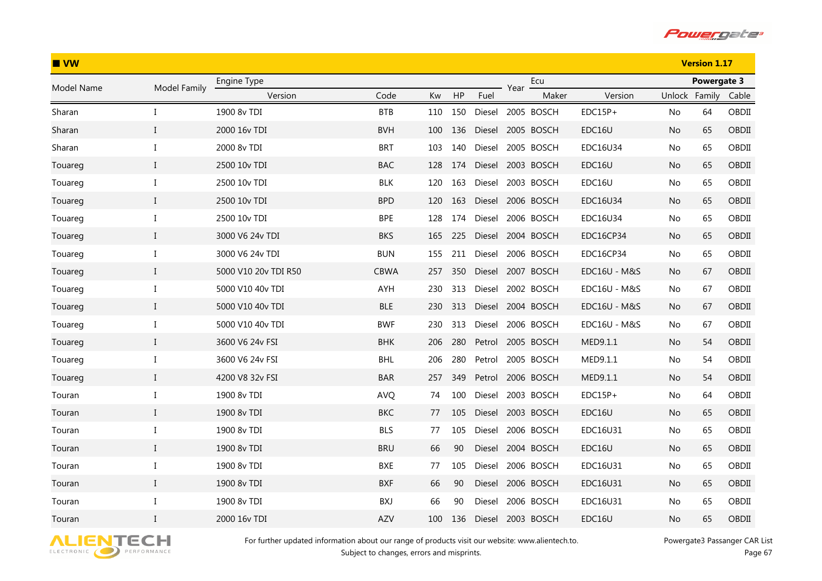

| $\blacksquare$ VW |              |                      |            |     |     | <b>Version 1.17</b> |      |                   |              |               |             |       |
|-------------------|--------------|----------------------|------------|-----|-----|---------------------|------|-------------------|--------------|---------------|-------------|-------|
| Model Name        | Model Family | Engine Type          |            |     |     |                     | Year | Ecu               |              |               | Powergate 3 |       |
|                   |              | Version              | Code       | Kw  | HP  | Fuel                |      | Maker             | Version      | Unlock Family |             | Cable |
| Sharan            | I            | 1900 8v TDI          | <b>BTB</b> | 110 | 150 |                     |      | Diesel 2005 BOSCH | $EDC15P+$    | No            | 64          | OBDII |
| Sharan            | $\mathbf{I}$ | 2000 16v TDI         | <b>BVH</b> | 100 | 136 |                     |      | Diesel 2005 BOSCH | EDC16U       | No.           | 65          | OBDII |
| Sharan            | $\bf{I}$     | 2000 8v TDI          | <b>BRT</b> | 103 | 140 | Diesel              |      | 2005 BOSCH        | EDC16U34     | No            | 65          | OBDII |
| Touareg           | $\bf{I}$     | 2500 10v TDI         | <b>BAC</b> | 128 | 174 | Diesel              |      | 2003 BOSCH        | EDC16U       | No            | 65          | OBDII |
| Touareg           | Ι            | 2500 10v TDI         | <b>BLK</b> | 120 | 163 | Diesel              |      | 2003 BOSCH        | EDC16U       | No            | 65          | OBDII |
| Touareg           | $\bf{I}$     | 2500 10v TDI         | <b>BPD</b> | 120 | 163 |                     |      | Diesel 2006 BOSCH | EDC16U34     | No            | 65          | OBDII |
| Touareg           | $\bf{I}$     | 2500 10v TDI         | <b>BPE</b> | 128 | 174 | Diesel              |      | 2006 BOSCH        | EDC16U34     | No            | 65          | OBDII |
| Touareg           | $\bf{I}$     | 3000 V6 24v TDI      | <b>BKS</b> | 165 | 225 |                     |      | Diesel 2004 BOSCH | EDC16CP34    | No            | 65          | OBDII |
| Touareg           | Ι            | 3000 V6 24v TDI      | <b>BUN</b> | 155 | 211 | Diesel              |      | 2006 BOSCH        | EDC16CP34    | No            | 65          | OBDII |
| Touareg           | $\bf{I}$     | 5000 V10 20v TDI R50 | CBWA       | 257 | 350 | Diesel              |      | 2007 BOSCH        | EDC16U - M&S | No.           | 67          | OBDII |
| Touareg           | I            | 5000 V10 40v TDI     | AYH        | 230 | 313 | Diesel              |      | 2002 BOSCH        | EDC16U - M&S | No.           | 67          | OBDII |
| Touareg           | $\mathbf I$  | 5000 V10 40v TDI     | <b>BLE</b> | 230 | 313 |                     |      | Diesel 2004 BOSCH | EDC16U - M&S | No            | 67          | OBDII |
| Touareg           | $\bf{I}$     | 5000 V10 40y TDI     | <b>BWF</b> | 230 | 313 | Diesel              |      | 2006 BOSCH        | EDC16U - M&S | No            | 67          | OBDII |
| Touareg           | $\mathbf I$  | 3600 V6 24v FSI      | <b>BHK</b> | 206 | 280 | Petrol              |      | 2005 BOSCH        | MED9.1.1     | No            | 54          | OBDII |
| Touareg           | I            | 3600 V6 24v FSI      | BHL        | 206 | 280 | Petrol              |      | 2005 BOSCH        | MED9.1.1     | No            | 54          | OBDII |
| Touareg           | $\bf{I}$     | 4200 V8 32v FSI      | BAR        | 257 | 349 | Petrol              |      | 2006 BOSCH        | MED9.1.1     | No            | 54          | OBDII |
| Touran            | $\bf{I}$     | 1900 8v TDI          | <b>AVQ</b> | 74  | 100 |                     |      | Diesel 2003 BOSCH | $EDC15P+$    | No            | 64          | OBDII |
| Touran            | $\mathbf I$  | 1900 8v TDI          | <b>BKC</b> | 77  | 105 |                     |      | Diesel 2003 BOSCH | EDC16U       | No            | 65          | OBDII |
| Touran            | $\bf{I}$     | 1900 8v TDI          | <b>BLS</b> | 77  | 105 | Diesel              |      | 2006 BOSCH        | EDC16U31     | No            | 65          | OBDII |
| Touran            | $\bf{I}$     | 1900 8v TDI          | <b>BRU</b> | 66  | 90  | Diesel              |      | 2004 BOSCH        | EDC16U       | No            | 65          | OBDII |
| Touran            | I            | 1900 8v TDI          | BXE        | 77  | 105 | Diesel              |      | 2006 BOSCH        | EDC16U31     | No.           | 65          | OBDII |
| Touran            | $\mathbf I$  | 1900 8v TDI          | <b>BXF</b> | 66  | 90  | Diesel              |      | 2006 BOSCH        | EDC16U31     | No            | 65          | OBDII |
| Touran            | $\bf{I}$     | 1900 8v TDI          | BXJ        | 66  | 90  | Diesel              |      | 2006 BOSCH        | EDC16U31     | No.           | 65          | OBDII |
| Touran            | $\mathbf{I}$ | 2000 16v TDI         | AZV        | 100 | 136 | Diesel              |      | 2003 BOSCH        | EDC16U       | No            | 65          | OBDII |

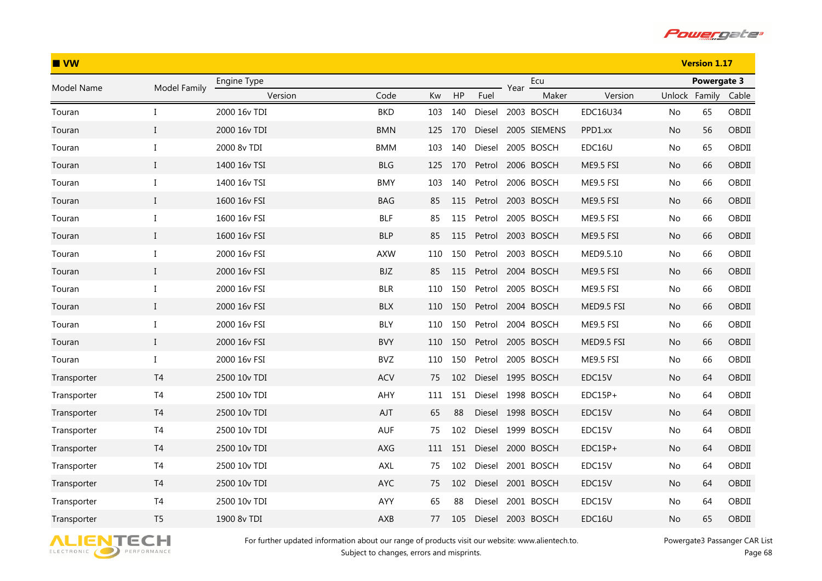

| $\blacksquare$ VW |                |              |            |     |     | <b>Version 1.17</b> |      |                   |            |               |             |       |
|-------------------|----------------|--------------|------------|-----|-----|---------------------|------|-------------------|------------|---------------|-------------|-------|
| Model Name        | Model Family   | Engine Type  |            |     |     |                     | Year | Ecu               |            |               | Powergate 3 |       |
|                   |                | Version      | Code       | Kw  | HP  | Fuel                |      | Maker             | Version    | Unlock Family |             | Cable |
| Touran            | I              | 2000 16v TDI | <b>BKD</b> | 103 | 140 | Diesel              |      | 2003 BOSCH        | EDC16U34   | No            | 65          | OBDII |
| Touran            | $\mathbf{I}$   | 2000 16v TDI | <b>BMN</b> | 125 | 170 | Diesel              |      | 2005 SIEMENS      | PPD1.xx    | No            | 56          | OBDII |
| Touran            | $\rm I$        | 2000 8v TDI  | <b>BMM</b> | 103 | 140 | Diesel              |      | 2005 BOSCH        | EDC16U     | No            | 65          | OBDII |
| Touran            | $\mathbf{I}$   | 1400 16v TSI | <b>BLG</b> | 125 | 170 | Petrol              |      | 2006 BOSCH        | ME9.5 FSI  | No            | 66          | OBDII |
| Touran            | Ι              | 1400 16v TSI | <b>BMY</b> | 103 | 140 | Petrol              |      | 2006 BOSCH        | ME9.5 FSI  | No            | 66          | OBDII |
| Touran            | $\mathbf{I}$   | 1600 16v FSI | <b>BAG</b> | 85  | 115 | Petrol              |      | 2003 BOSCH        | ME9.5 FSI  | No            | 66          | OBDII |
| Touran            | $\bf{I}$       | 1600 16v FSI | <b>BLF</b> | 85  | 115 | Petrol              |      | 2005 BOSCH        | ME9.5 FSI  | No            | 66          | OBDII |
| Touran            | $\mathbf{I}$   | 1600 16v FSI | <b>BLP</b> | 85  | 115 |                     |      | Petrol 2003 BOSCH | ME9.5 FSI  | No            | 66          | OBDII |
| Touran            | I              | 2000 16v FSI | AXW        | 110 | 150 | Petrol              |      | 2003 BOSCH        | MED9.5.10  | No            | 66          | OBDII |
| Touran            | $\mathbf{I}$   | 2000 16v FSI | BJZ        | 85  | 115 | Petrol              |      | 2004 BOSCH        | ME9.5 FSI  | No            | 66          | OBDII |
| Touran            | Ι              | 2000 16v FSI | <b>BLR</b> | 110 | 150 | Petrol              |      | 2005 BOSCH        | ME9.5 FSI  | No            | 66          | OBDII |
| Touran            | $\mathbf{I}$   | 2000 16v FSI | <b>BLX</b> | 110 | 150 | Petrol              |      | 2004 BOSCH        | MED9.5 FSI | No.           | 66          | OBDII |
| Touran            | $\rm I$        | 2000 16v FSI | <b>BLY</b> | 110 | 150 | Petrol              |      | 2004 BOSCH        | ME9.5 FSI  | No            | 66          | OBDII |
| Touran            | $\mathbf{I}$   | 2000 16v FSI | <b>BVY</b> | 110 | 150 | Petrol              |      | 2005 BOSCH        | MED9.5 FSI | No            | 66          | OBDII |
| Touran            | I              | 2000 16v FSI | <b>BVZ</b> | 110 | 150 | Petrol              |      | 2005 BOSCH        | ME9.5 FSI  | No            | 66          | OBDII |
| Transporter       | T <sub>4</sub> | 2500 10v TDI | <b>ACV</b> | 75  | 102 | Diesel              |      | 1995 BOSCH        | EDC15V     | No            | 64          | OBDII |
| Transporter       | T <sub>4</sub> | 2500 10v TDI | AHY        | 111 | 151 | Diesel              |      | 1998 BOSCH        | $EDC15P+$  | No            | 64          | OBDII |
| Transporter       | T <sub>4</sub> | 2500 10v TDI | AJT        | 65  | 88  |                     |      | Diesel 1998 BOSCH | EDC15V     | No            | 64          | OBDII |
| Transporter       | T <sub>4</sub> | 2500 10v TDI | <b>AUF</b> | 75  | 102 | Diesel              |      | 1999 BOSCH        | EDC15V     | No            | 64          | OBDII |
| Transporter       | T4             | 2500 10v TDI | <b>AXG</b> | 111 | 151 | Diesel              |      | 2000 BOSCH        | $EDC15P+$  | No            | 64          | OBDII |
| Transporter       | T <sub>4</sub> | 2500 10v TDI | AXL        | 75  | 102 | Diesel              |      | 2001 BOSCH        | EDC15V     | No            | 64          | OBDII |
| Transporter       | T <sub>4</sub> | 2500 10v TDI | AYC        | 75  | 102 | Diesel              |      | 2001 BOSCH        | EDC15V     | No            | 64          | OBDII |
| Transporter       | T <sub>4</sub> | 2500 10y TDI | AYY        | 65  | 88  | Diesel              |      | 2001 BOSCH        | EDC15V     | No            | 64          | OBDII |
| Transporter       | T <sub>5</sub> | 1900 8v TDI  | AXB        | 77  | 105 | Diesel              |      | 2003 BOSCH        | EDC16U     | No            | 65          | OBDII |